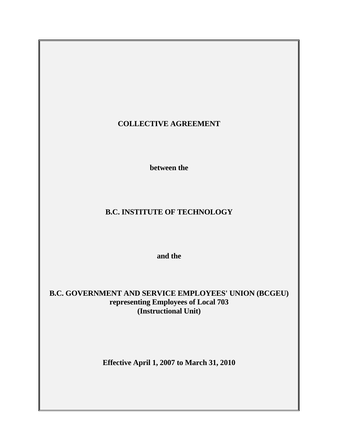# **COLLECTIVE AGREEMENT**

 **between the** 

# **B.C. INSTITUTE OF TECHNOLOGY**

 **and the** 

**B.C. GOVERNMENT AND SERVICE EMPLOYEES' UNION (BCGEU) representing Employees of Local 703 (Instructional Unit)** 

**Effective April 1, 2007 to March 31, 2010**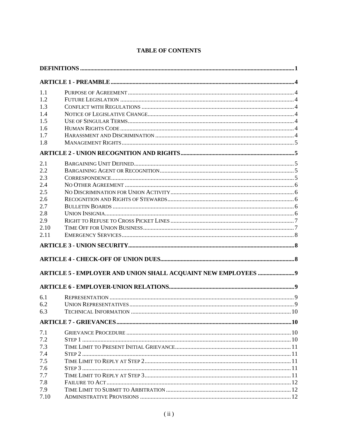|  | <b>TABLE OF CONTENTS</b> |
|--|--------------------------|

| 1.1<br>1.2<br>1.3<br>1.4<br>1.5<br>1.6<br>1.7<br>1.8<br>2.1 |  |  |  |  |
|-------------------------------------------------------------|--|--|--|--|
|                                                             |  |  |  |  |
|                                                             |  |  |  |  |
|                                                             |  |  |  |  |
|                                                             |  |  |  |  |
|                                                             |  |  |  |  |
|                                                             |  |  |  |  |
|                                                             |  |  |  |  |
|                                                             |  |  |  |  |
|                                                             |  |  |  |  |
|                                                             |  |  |  |  |
|                                                             |  |  |  |  |
| 2.2                                                         |  |  |  |  |
| 2.3                                                         |  |  |  |  |
| 2.4                                                         |  |  |  |  |
| 2.5                                                         |  |  |  |  |
| 2.6                                                         |  |  |  |  |
| 2.7                                                         |  |  |  |  |
| 2.8                                                         |  |  |  |  |
| 2.9                                                         |  |  |  |  |
| 2.10                                                        |  |  |  |  |
| 2.11                                                        |  |  |  |  |
|                                                             |  |  |  |  |
|                                                             |  |  |  |  |
|                                                             |  |  |  |  |
|                                                             |  |  |  |  |
| 6.1                                                         |  |  |  |  |
| 6.2                                                         |  |  |  |  |
| 6.3                                                         |  |  |  |  |
|                                                             |  |  |  |  |
| 7.1                                                         |  |  |  |  |
| 7.2                                                         |  |  |  |  |
| 7.3                                                         |  |  |  |  |
| 7.4                                                         |  |  |  |  |
| 7.5                                                         |  |  |  |  |
| 7.6                                                         |  |  |  |  |
| 7.7                                                         |  |  |  |  |
| 7.8                                                         |  |  |  |  |
| 7.9                                                         |  |  |  |  |
| 7.10                                                        |  |  |  |  |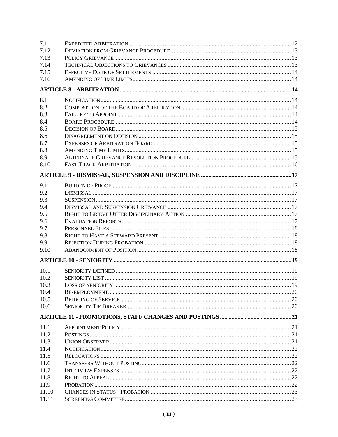| 7.11  |  |
|-------|--|
| 7.12  |  |
| 7.13  |  |
| 7.14  |  |
| 7.15  |  |
| 7.16  |  |
|       |  |
| 8.1   |  |
| 8.2   |  |
| 8.3   |  |
|       |  |
| 8.4   |  |
| 8.5   |  |
| 8.6   |  |
| 8.7   |  |
| 8.8   |  |
| 8.9   |  |
| 8.10  |  |
|       |  |
| 9.1   |  |
| 9.2   |  |
| 9.3   |  |
| 9.4   |  |
| 9.5   |  |
| 9.6   |  |
| 9.7   |  |
| 9.8   |  |
| 9.9   |  |
| 9.10  |  |
|       |  |
| 10.1  |  |
| 10.2  |  |
| 10.3  |  |
| 10.4  |  |
| 10.5  |  |
| 10.6  |  |
|       |  |
| 11.1  |  |
| 11.2  |  |
| 11.3  |  |
| 11.4  |  |
| 11.5  |  |
| 11.6  |  |
| 11.7  |  |
| 11.8  |  |
| 11.9  |  |
| 11.10 |  |
| 11.11 |  |
|       |  |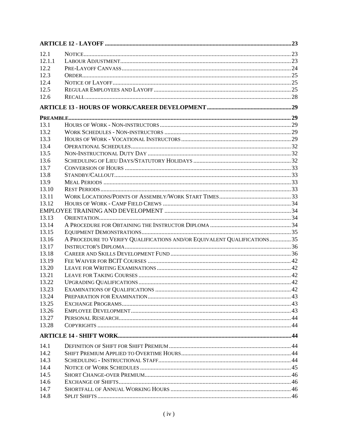| 12.1           |                                                                          |  |
|----------------|--------------------------------------------------------------------------|--|
| 12.1.1         |                                                                          |  |
| 12.2           |                                                                          |  |
| 12.3           |                                                                          |  |
| 12.4           |                                                                          |  |
| 12.5           |                                                                          |  |
| 12.6           |                                                                          |  |
|                |                                                                          |  |
|                |                                                                          |  |
| 13.1           |                                                                          |  |
| 13.2           |                                                                          |  |
| 13.3           |                                                                          |  |
| 13.4           |                                                                          |  |
| 13.5           |                                                                          |  |
| 13.6           |                                                                          |  |
| 13.7           |                                                                          |  |
| 13.8           |                                                                          |  |
| 13.9           |                                                                          |  |
| 13.10          |                                                                          |  |
| 13.11          |                                                                          |  |
| 13.12          |                                                                          |  |
|                |                                                                          |  |
| 13.13          |                                                                          |  |
| 13.14          |                                                                          |  |
| 13.15          |                                                                          |  |
| 13.16          | A PROCEDURE TO VERIFY QUALIFICATIONS AND/OR EQUIVALENT QUALIFICATIONS 35 |  |
| 13.17          |                                                                          |  |
| 13.18          |                                                                          |  |
| 13.19          |                                                                          |  |
| 13.20          |                                                                          |  |
| 13.21          |                                                                          |  |
| 13.22          |                                                                          |  |
| 13.23          |                                                                          |  |
| 13.24          |                                                                          |  |
| 13.25          |                                                                          |  |
| 13.26          |                                                                          |  |
| 13.27<br>13.28 |                                                                          |  |
|                |                                                                          |  |
|                |                                                                          |  |
| 14.1           |                                                                          |  |
| 14.2           |                                                                          |  |
| 14.3           |                                                                          |  |
| 14.4           |                                                                          |  |
| 14.5           |                                                                          |  |
| 14.6           |                                                                          |  |
| 14.7           |                                                                          |  |
| 14.8           |                                                                          |  |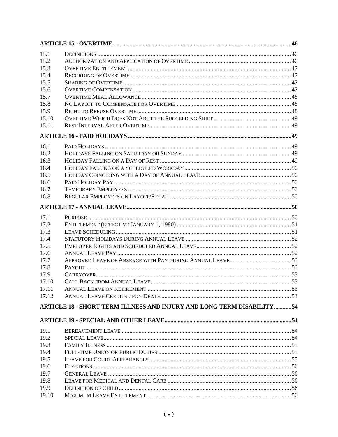| 15.1  |                                                                        |  |
|-------|------------------------------------------------------------------------|--|
| 15.2  |                                                                        |  |
| 15.3  |                                                                        |  |
| 15.4  |                                                                        |  |
| 15.5  |                                                                        |  |
| 15.6  |                                                                        |  |
| 15.7  |                                                                        |  |
| 15.8  |                                                                        |  |
| 15.9  |                                                                        |  |
| 15.10 |                                                                        |  |
| 15.11 |                                                                        |  |
|       |                                                                        |  |
| 16.1  |                                                                        |  |
| 16.2  |                                                                        |  |
| 16.3  |                                                                        |  |
| 16.4  |                                                                        |  |
| 16.5  |                                                                        |  |
| 16.6  |                                                                        |  |
| 16.7  |                                                                        |  |
| 16.8  |                                                                        |  |
|       |                                                                        |  |
| 17.1  |                                                                        |  |
| 17.2  |                                                                        |  |
| 17.3  |                                                                        |  |
| 17.4  |                                                                        |  |
| 17.5  |                                                                        |  |
| 17.6  |                                                                        |  |
| 17.7  |                                                                        |  |
| 17.8  |                                                                        |  |
| 17.9  |                                                                        |  |
| 17.10 |                                                                        |  |
| 17.11 |                                                                        |  |
| 17.12 |                                                                        |  |
|       | ARTICLE 18 - SHORT TERM ILLNESS AND INJURY AND LONG TERM DISABILITY 54 |  |
|       |                                                                        |  |
|       |                                                                        |  |
| 19.1  |                                                                        |  |
| 19.2  |                                                                        |  |
| 19.3  |                                                                        |  |
| 19.4  |                                                                        |  |
| 19.5  |                                                                        |  |
| 19.6  |                                                                        |  |
| 19.7  |                                                                        |  |
| 19.8  |                                                                        |  |
| 19.9  |                                                                        |  |
| 19.10 |                                                                        |  |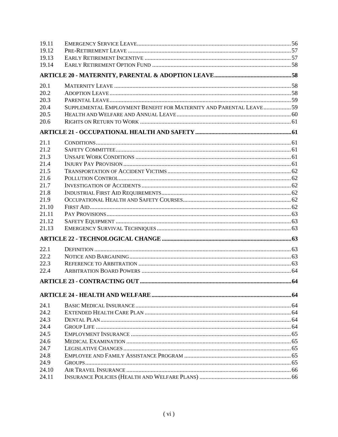| 19.11 |                                                                     |  |
|-------|---------------------------------------------------------------------|--|
| 19 12 |                                                                     |  |
| 19.13 |                                                                     |  |
| 19.14 |                                                                     |  |
|       |                                                                     |  |
| 20.1  |                                                                     |  |
| 20.2  |                                                                     |  |
| 20.3  |                                                                     |  |
| 20.4  | SUPPLEMENTAL EMPLOYMENT BENEFIT FOR MATERNITY AND PARENTAL LEAVE 59 |  |
| 20.5  |                                                                     |  |
| 20.6  |                                                                     |  |
|       |                                                                     |  |
| 21.1  |                                                                     |  |
| 21.2  |                                                                     |  |
| 21.3  |                                                                     |  |
| 21.4  |                                                                     |  |
| 21.5  |                                                                     |  |
| 21.6  |                                                                     |  |
| 21.7  |                                                                     |  |
| 21.8  |                                                                     |  |
| 21.9  |                                                                     |  |
| 21.10 |                                                                     |  |
| 21.11 |                                                                     |  |
| 21.12 |                                                                     |  |
| 21.13 |                                                                     |  |
|       |                                                                     |  |
| 22.1  |                                                                     |  |
| 22.2  |                                                                     |  |
| 22.3  |                                                                     |  |
| 22.4  |                                                                     |  |
|       |                                                                     |  |
|       |                                                                     |  |
|       |                                                                     |  |
| 24.1  |                                                                     |  |
| 24.2  |                                                                     |  |
| 24.3  |                                                                     |  |
| 24.4  |                                                                     |  |
| 24.5  |                                                                     |  |
| 24.6  |                                                                     |  |
| 24.7  |                                                                     |  |
| 24.8  |                                                                     |  |
| 24.9  |                                                                     |  |
| 24.10 |                                                                     |  |
| 24.11 |                                                                     |  |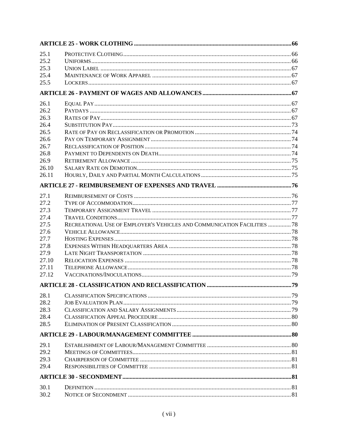| 25.1  |                                                                          |  |
|-------|--------------------------------------------------------------------------|--|
| 25.2  |                                                                          |  |
| 25.3  |                                                                          |  |
| 25.4  |                                                                          |  |
| 25.5  |                                                                          |  |
|       |                                                                          |  |
| 26.1  |                                                                          |  |
| 26.2  |                                                                          |  |
| 26.3  |                                                                          |  |
| 26.4  |                                                                          |  |
| 26.5  |                                                                          |  |
| 26.6  |                                                                          |  |
| 26.7  |                                                                          |  |
| 26.8  |                                                                          |  |
| 26.9  |                                                                          |  |
| 26.10 |                                                                          |  |
| 26.11 |                                                                          |  |
|       |                                                                          |  |
| 27.1  |                                                                          |  |
| 27.2  |                                                                          |  |
| 27.3  |                                                                          |  |
| 27.4  |                                                                          |  |
| 27.5  | RECREATIONAL USE OF EMPLOYER'S VEHICLES AND COMMUNICATION FACILITIES  78 |  |
| 27.6  |                                                                          |  |
| 27.7  |                                                                          |  |
| 27.8  |                                                                          |  |
| 27.9  |                                                                          |  |
| 27.10 |                                                                          |  |
| 27.11 |                                                                          |  |
| 27.12 |                                                                          |  |
|       |                                                                          |  |
| 28.1  |                                                                          |  |
| 28.2  |                                                                          |  |
| 28.3  |                                                                          |  |
| 28.4  |                                                                          |  |
| 28.5  |                                                                          |  |
|       |                                                                          |  |
| 29.1  |                                                                          |  |
| 29.2  |                                                                          |  |
| 29.3  |                                                                          |  |
| 29.4  |                                                                          |  |
|       |                                                                          |  |
| 30.1  |                                                                          |  |
| 30.2  |                                                                          |  |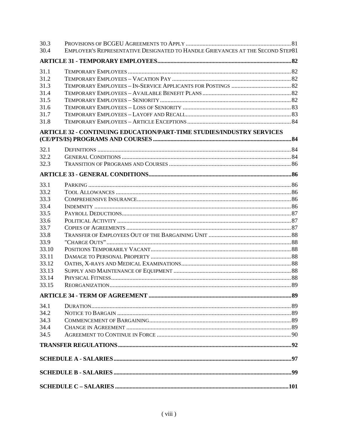| 30.3  |                                                                                |  |
|-------|--------------------------------------------------------------------------------|--|
| 30.4  | EMPLOYER'S REPRESENTATIVE DESIGNATED TO HANDLE GRIEVANCES AT THE SECOND STEP81 |  |
|       |                                                                                |  |
| 31.1  |                                                                                |  |
| 31.2  |                                                                                |  |
| 31.3  |                                                                                |  |
| 31.4  |                                                                                |  |
| 31.5  |                                                                                |  |
| 31.6  |                                                                                |  |
| 31.7  |                                                                                |  |
| 31.8  |                                                                                |  |
|       | ARTICLE 32 - CONTINUING EDUCATION/PART-TIME STUDIES/INDUSTRY SERVICES          |  |
| 32.1  |                                                                                |  |
| 32.2  |                                                                                |  |
| 32.3  |                                                                                |  |
|       |                                                                                |  |
| 33.1  |                                                                                |  |
| 33.2  |                                                                                |  |
| 33.3  |                                                                                |  |
| 33.4  |                                                                                |  |
| 33.5  |                                                                                |  |
| 33.6  |                                                                                |  |
| 33.7  |                                                                                |  |
| 33.8  |                                                                                |  |
| 33.9  |                                                                                |  |
| 33.10 |                                                                                |  |
| 33.11 |                                                                                |  |
| 33.12 |                                                                                |  |
| 33.13 |                                                                                |  |
| 33.14 |                                                                                |  |
| 33.15 |                                                                                |  |
|       |                                                                                |  |
| 34.1  |                                                                                |  |
| 34.2  |                                                                                |  |
| 34.3  |                                                                                |  |
| 34.4  |                                                                                |  |
| 34.5  |                                                                                |  |
|       |                                                                                |  |
|       |                                                                                |  |
|       |                                                                                |  |
|       |                                                                                |  |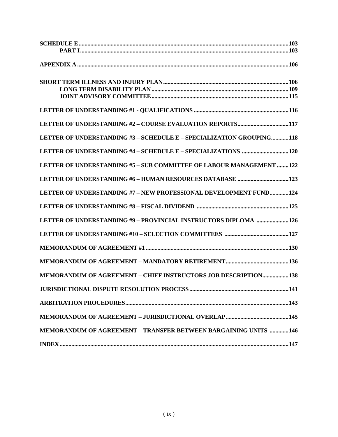| LETTER OF UNDERSTANDING #3 - SCHEDULE E - SPECIALIZATION GROUPING118   |  |
|------------------------------------------------------------------------|--|
|                                                                        |  |
| LETTER OF UNDERSTANDING #5 - SUB COMMITTEE OF LABOUR MANAGEMENT 122    |  |
|                                                                        |  |
| LETTER OF UNDERSTANDING #7 - NEW PROFESSIONAL DEVELOPMENT FUND124      |  |
|                                                                        |  |
| LETTER OF UNDERSTANDING #9 - PROVINCIAL INSTRUCTORS DIPLOMA 126        |  |
|                                                                        |  |
|                                                                        |  |
|                                                                        |  |
| <b>MEMORANDUM OF AGREEMENT - CHIEF INSTRUCTORS JOB DESCRIPTION 138</b> |  |
|                                                                        |  |
|                                                                        |  |
|                                                                        |  |
| <b>MEMORANDUM OF AGREEMENT - TRANSFER BETWEEN BARGAINING UNITS 146</b> |  |
|                                                                        |  |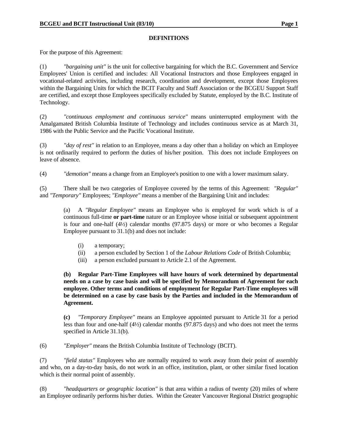#### **DEFINITIONS**

For the purpose of this Agreement:

(1) *"bargaining unit"* is the unit for collective bargaining for which the B.C. Government and Service Employees' Union is certified and includes: All Vocational Instructors and those Employees engaged in vocational-related activities, including research, coordination and development, except those Employees within the Bargaining Units for which the BCIT Faculty and Staff Association or the BCGEU Support Staff are certified, and except those Employees specifically excluded by Statute, employed by the B.C. Institute of Technology.

(2) *"continuous employment and continuous service"* means uninterrupted employment with the Amalgamated British Columbia Institute of Technology and includes continuous service as at March 31, 1986 with the Public Service and the Pacific Vocational Institute.

(3) *"day of rest"* in relation to an Employee, means a day other than a holiday on which an Employee is not ordinarily required to perform the duties of his/her position. This does not include Employees on leave of absence.

(4) *"demotion"* means a change from an Employee's position to one with a lower maximum salary.

(5) There shall be two categories of Employee covered by the terms of this Agreement: *"Regular"* and *"Temporary"* Employees; *"Employee"* means a member of the Bargaining Unit and includes:

 (a) A *"Regular Employee"* means an Employee who is employed for work which is of a continuous full-time **or part-time** nature or an Employee whose initial or subsequent appointment is four and one-half (4½) calendar months (97.875 days) or more or who becomes a Regular Employee pursuant to 31.1(b) and does not include:

- (i) a temporary;
- (ii) a person excluded by Section 1 of the *Labour Relations Code* of British Columbia;
- (iii) a person excluded pursuant to Article 2.1 of the Agreement.

**(b) Regular Part-Time Employees will have hours of work determined by departmental needs on a case by case basis and will be specified by Memorandum of Agreement for each employee. Other terms and conditions of employment for Regular Part-Time employees will be determined on a case by case basis by the Parties and included in the Memorandum of Agreement.** 

**(c)** *"Temporary Employee"* means an Employee appointed pursuant to Article 31 for a period less than four and one-half (4½) calendar months (97.875 days) and who does not meet the terms specified in Article 31.1(b).

(6) *"Employer"* means the British Columbia Institute of Technology (BCIT).

(7) *"field status"* Employees who are normally required to work away from their point of assembly and who, on a day-to-day basis, do not work in an office, institution, plant, or other similar fixed location which is their normal point of assembly.

(8) *"headquarters or geographic location"* is that area within a radius of twenty (20) miles of where an Employee ordinarily performs his/her duties. Within the Greater Vancouver Regional District geographic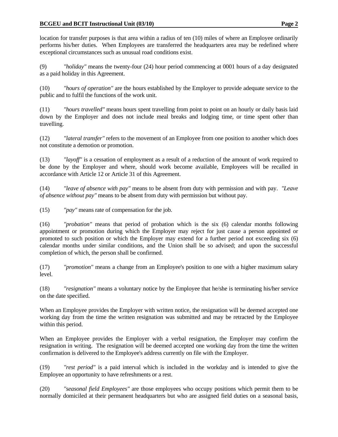#### **BCGEU and BCIT Instructional Unit (03/10)** Page 2

location for transfer purposes is that area within a radius of ten (10) miles of where an Employee ordinarily performs his/her duties. When Employees are transferred the headquarters area may be redefined where exceptional circumstances such as unusual road conditions exist.

(9) *"holiday"* means the twenty-four (24) hour period commencing at 0001 hours of a day designated as a paid holiday in this Agreement.

(10) *"hours of operation"* are the hours established by the Employer to provide adequate service to the public and to fulfil the functions of the work unit.

(11) *"hours travelled"* means hours spent travelling from point to point on an hourly or daily basis laid down by the Employer and does not include meal breaks and lodging time, or time spent other than travelling.

(12) *"lateral transfer"* refers to the movement of an Employee from one position to another which does not constitute a demotion or promotion.

(13) *"layoff"* is a cessation of employment as a result of a reduction of the amount of work required to be done by the Employer and where, should work become available, Employees will be recalled in accordance with Article 12 or Article 31 of this Agreement.

(14) *"leave of absence with pay"* means to be absent from duty with permission and with pay. *"Leave of absence without pay"* means to be absent from duty with permission but without pay.

(15) *"pay"* means rate of compensation for the job.

(16) *"probation"* means that period of probation which is the six (6) calendar months following appointment or promotion during which the Employer may reject for just cause a person appointed or promoted to such position or which the Employer may extend for a further period not exceeding six (6) calendar months under similar conditions, and the Union shall be so advised; and upon the successful completion of which, the person shall be confirmed.

(17) *"promotion"* means a change from an Employee's position to one with a higher maximum salary level.

(18) *"resignation"* means a voluntary notice by the Employee that he/she is terminating his/her service on the date specified.

When an Employee provides the Employer with written notice, the resignation will be deemed accepted one working day from the time the written resignation was submitted and may be retracted by the Employee within this period.

When an Employee provides the Employer with a verbal resignation, the Employer may confirm the resignation in writing. The resignation will be deemed accepted one working day from the time the written confirmation is delivered to the Employee's address currently on file with the Employer.

(19) *"rest period"* is a paid interval which is included in the workday and is intended to give the Employee an opportunity to have refreshments or a rest.

(20) *"seasonal field Employees"* are those employees who occupy positions which permit them to be normally domiciled at their permanent headquarters but who are assigned field duties on a seasonal basis,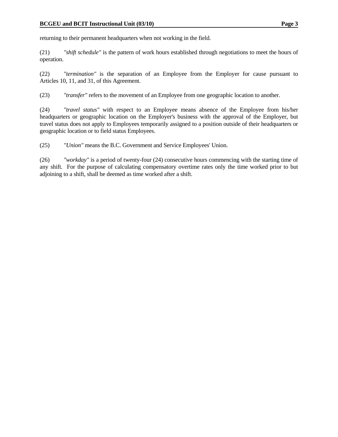returning to their permanent headquarters when not working in the field.

(21) *"shift schedule"* is the pattern of work hours established through negotiations to meet the hours of operation.

(22) *"termination"* is the separation of an Employee from the Employer for cause pursuant to Articles 10, 11, and 31, of this Agreement.

(23) *"transfer"* refers to the movement of an Employee from one geographic location to another.

(24) *"travel status"* with respect to an Employee means absence of the Employee from his/her headquarters or geographic location on the Employer's business with the approval of the Employer, but travel status does not apply to Employees temporarily assigned to a position outside of their headquarters or geographic location or to field status Employees.

(25) *"Union"* means the B.C. Government and Service Employees' Union.

(26) *"workday"* is a period of twenty-four (24) consecutive hours commencing with the starting time of any shift. For the purpose of calculating compensatory overtime rates only the time worked prior to but adjoining to a shift, shall be deemed as time worked after a shift.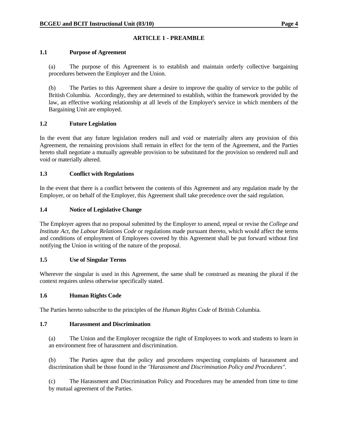## **ARTICLE 1 - PREAMBLE**

#### **1.1 Purpose of Agreement**

 (a) The purpose of this Agreement is to establish and maintain orderly collective bargaining procedures between the Employer and the Union.

 (b) The Parties to this Agreement share a desire to improve the quality of service to the public of British Columbia. Accordingly, they are determined to establish, within the framework provided by the law, an effective working relationship at all levels of the Employer's service in which members of the Bargaining Unit are employed.

### **1.2 Future Legislation**

In the event that any future legislation renders null and void or materially alters any provision of this Agreement, the remaining provisions shall remain in effect for the term of the Agreement, and the Parties hereto shall negotiate a mutually agreeable provision to be substituted for the provision so rendered null and void or materially altered.

### **1.3 Conflict with Regulations**

In the event that there is a conflict between the contents of this Agreement and any regulation made by the Employer, or on behalf of the Employer, this Agreement shall take precedence over the said regulation.

## **1.4 Notice of Legislative Change**

The Employer agrees that no proposal submitted by the Employer to amend, repeal or revise the *College and Institute Act*, the *Labour Relations Code* or regulations made pursuant thereto, which would affect the terms and conditions of employment of Employees covered by this Agreement shall be put forward without first notifying the Union in writing of the nature of the proposal.

#### **1.5 Use of Singular Terms**

Wherever the singular is used in this Agreement, the same shall be construed as meaning the plural if the context requires unless otherwise specifically stated.

#### **1.6 Human Rights Code**

The Parties hereto subscribe to the principles of the *Human Rights Code* of British Columbia.

#### **1.7 Harassment and Discrimination**

(a) The Union and the Employer recognize the right of Employees to work and students to learn in an environment free of harassment and discrimination.

 (b) The Parties agree that the policy and procedures respecting complaints of harassment and discrimination shall be those found in the *"Harassment and Discrimination Policy and Procedures"*.

 (c) The Harassment and Discrimination Policy and Procedures may be amended from time to time by mutual agreement of the Parties.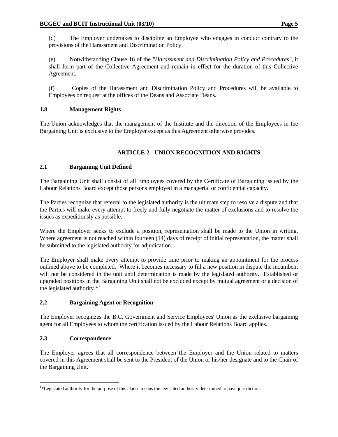(d) The Employer undertakes to discipline an Employee who engages in conduct contrary to the provisions of the Harassment and Discrimination Policy.

 (e) Notwithstanding Clause 16 of the *"Harassment and Discrimination Policy and Procedures"*, it shall form part of the Collective Agreement and remain in effect for the duration of this Collective Agreement.

 (f) Copies of the Harassment and Discrimination Policy and Procedures will be available to Employees on request at the offices of the Deans and Associate Deans.

## **1.8 Management Rights**

The Union acknowledges that the management of the Institute and the direction of the Employees in the Bargaining Unit is exclusive to the Employer except as this Agreement otherwise provides.

## **ARTICLE 2 - UNION RECOGNITION AND RIGHTS**

## **2.1 Bargaining Unit Defined**

The Bargaining Unit shall consist of all Employees covered by the Certificate of Bargaining issued by the Labour Relations Board except those persons employed in a managerial or confidential capacity.

The Parties recognize that referral to the legislated authority is the ultimate step to resolve a dispute and that the Parties will make every attempt to freely and fully negotiate the matter of exclusions and to resolve the issues as expeditiously as possible.

Where the Employer seeks to exclude a position, representation shall be made to the Union in writing. Where agreement is not reached within fourteen (14) days of receipt of initial representation, the matter shall be submitted to the legislated authority for adjudication.

The Employer shall make every attempt to provide time prior to making an appointment for the process outlined above to be completed. Where it becomes necessary to fill a new position in dispute the incumbent will not be considered in the unit until determination is made by the legislated authority. Established or upgraded positions in the Bargaining Unit shall not be excluded except by mutual agreement or a decision of the legislated authority. $*<sup>1</sup>$ 

## **2.2 Bargaining Agent or Recognition**

The Employer recognizes the B.C. Government and Service Employees' Union as the exclusive bargaining agent for all Employees to whom the certification issued by the Labour Relations Board applies.

## **2.3 Correspondence**

 $\overline{a}$ 

The Employer agrees that all correspondence between the Employer and the Union related to matters covered in this Agreement shall be sent to the President of the Union or his/her designate and to the Chair of the Bargaining Unit.

<sup>&</sup>lt;sup>1\*</sup>Legislated authority for the purpose of this clause means the legislated authority determined to have jurisdiction.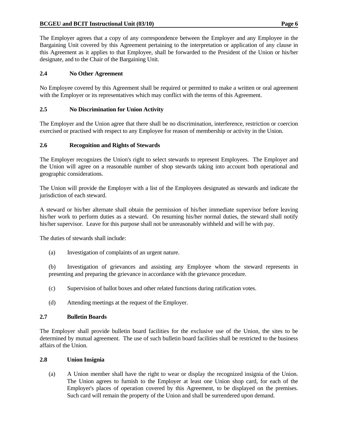The Employer agrees that a copy of any correspondence between the Employer and any Employee in the Bargaining Unit covered by this Agreement pertaining to the interpretation or application of any clause in this Agreement as it applies to that Employee, shall be forwarded to the President of the Union or his/her designate, and to the Chair of the Bargaining Unit.

## **2.4 No Other Agreement**

No Employee covered by this Agreement shall be required or permitted to make a written or oral agreement with the Employer or its representatives which may conflict with the terms of this Agreement.

## **2.5 No Discrimination for Union Activity**

The Employer and the Union agree that there shall be no discrimination, interference, restriction or coercion exercised or practised with respect to any Employee for reason of membership or activity in the Union.

## **2.6 Recognition and Rights of Stewards**

The Employer recognizes the Union's right to select stewards to represent Employees. The Employer and the Union will agree on a reasonable number of shop stewards taking into account both operational and geographic considerations.

The Union will provide the Employer with a list of the Employees designated as stewards and indicate the jurisdiction of each steward.

A steward or his/her alternate shall obtain the permission of his/her immediate supervisor before leaving his/her work to perform duties as a steward. On resuming his/her normal duties, the steward shall notify his/her supervisor. Leave for this purpose shall not be unreasonably withheld and will be with pay.

The duties of stewards shall include:

(a) Investigation of complaints of an urgent nature.

 (b) Investigation of grievances and assisting any Employee whom the steward represents in presenting and preparing the grievance in accordance with the grievance procedure.

- (c) Supervision of ballot boxes and other related functions during ratification votes.
- (d) Attending meetings at the request of the Employer.

## **2.7 Bulletin Boards**

The Employer shall provide bulletin board facilities for the exclusive use of the Union, the sites to be determined by mutual agreement. The use of such bulletin board facilities shall be restricted to the business affairs of the Union.

## **2.8 Union Insignia**

 (a) A Union member shall have the right to wear or display the recognized insignia of the Union. The Union agrees to furnish to the Employer at least one Union shop card, for each of the Employer's places of operation covered by this Agreement, to be displayed on the premises. Such card will remain the property of the Union and shall be surrendered upon demand.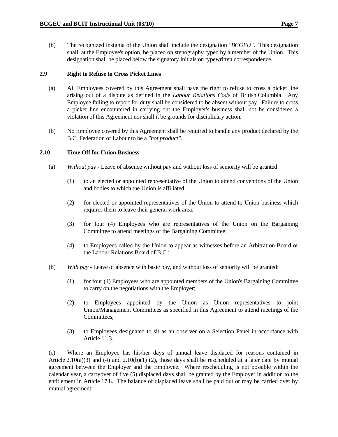(b) The recognized insignia of the Union shall include the designation *"BCGEU"*. This designation shall, at the Employee's option, be placed on stenography typed by a member of the Union. This designation shall be placed below the signatory initials on typewritten correspondence.

#### **2.9 Right to Refuse to Cross Picket Lines**

- (a) All Employees covered by this Agreement shall have the right to refuse to cross a picket line arising out of a dispute as defined in the *Labour Relations Code* of British Columbia. Any Employee failing to report for duty shall be considered to be absent without pay. Failure to cross a picket line encountered in carrying out the Employer's business shall not be considered a violation of this Agreement nor shall it be grounds for disciplinary action.
- (b) No Employee covered by this Agreement shall be required to handle any product declared by the B.C. Federation of Labour to be a *"hot product"*.

#### **2.10 Time Off for Union Business**

- (a) *Without pay* Leave of absence without pay and without loss of seniority will be granted:
	- (1) to an elected or appointed representative of the Union to attend conventions of the Union and bodies to which the Union is affiliated;
	- (2) for elected or appointed representatives of the Union to attend to Union business which requires them to leave their general work area;
	- (3) for four (4) Employees who are representatives of the Union on the Bargaining Committee to attend meetings of the Bargaining Committee;
	- (4) to Employees called by the Union to appear as witnesses before an Arbitration Board or the Labour Relations Board of B.C.;
- (b) *With pay* Leave of absence with basic pay, and without loss of seniority will be granted:
	- (1) for four (4) Employees who are appointed members of the Union's Bargaining Committee to carry on the negotiations with the Employer;
	- (2) to Employees appointed by the Union as Union representatives to joint Union/Management Committees as specified in this Agreement to attend meetings of the Committees;
	- (3) to Employees designated to sit as an observer on a Selection Panel in accordance with Article 11.3.

 (c) Where an Employee has his/her days of annual leave displaced for reasons contained in Article 2.10(a)(3) and (4) and 2.10(b)(1) (2), those days shall be rescheduled at a later date by mutual agreement between the Employer and the Employee. Where rescheduling is not possible within the calendar year, a carryover of five (5) displaced days shall be granted by the Employer in addition to the entitlement in Article 17.8. The balance of displaced leave shall be paid out or may be carried over by mutual agreement.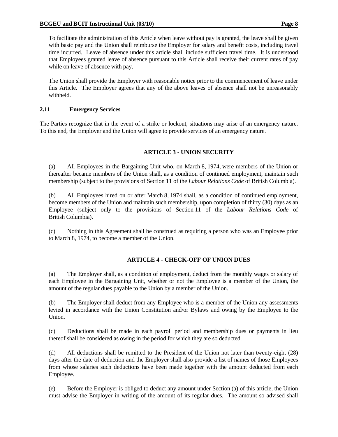To facilitate the administration of this Article when leave without pay is granted, the leave shall be given with basic pay and the Union shall reimburse the Employer for salary and benefit costs, including travel time incurred. Leave of absence under this article shall include sufficient travel time. It is understood that Employees granted leave of absence pursuant to this Article shall receive their current rates of pay while on leave of absence with pay.

 The Union shall provide the Employer with reasonable notice prior to the commencement of leave under this Article. The Employer agrees that any of the above leaves of absence shall not be unreasonably withheld.

## **2.11 Emergency Services**

The Parties recognize that in the event of a strike or lockout, situations may arise of an emergency nature. To this end, the Employer and the Union will agree to provide services of an emergency nature.

## **ARTICLE 3 - UNION SECURITY**

 (a) All Employees in the Bargaining Unit who, on March 8, 1974, were members of the Union or thereafter became members of the Union shall, as a condition of continued employment, maintain such membership (subject to the provisions of Section 11 of the *Labour Relations Code* of British Columbia).

 (b) All Employees hired on or after March 8, 1974 shall, as a condition of continued employment, become members of the Union and maintain such membership, upon completion of thirty (30) days as an Employee (subject only to the provisions of Section 11 of the *Labour Relations Code* of British Columbia).

 (c) Nothing in this Agreement shall be construed as requiring a person who was an Employee prior to March 8, 1974, to become a member of the Union.

## **ARTICLE 4 - CHECK-OFF OF UNION DUES**

 (a) The Employer shall, as a condition of employment, deduct from the monthly wages or salary of each Employee in the Bargaining Unit, whether or not the Employee is a member of the Union, the amount of the regular dues payable to the Union by a member of the Union.

 (b) The Employer shall deduct from any Employee who is a member of the Union any assessments levied in accordance with the Union Constitution and/or Bylaws and owing by the Employee to the Union.

 (c) Deductions shall be made in each payroll period and membership dues or payments in lieu thereof shall be considered as owing in the period for which they are so deducted.

 (d) All deductions shall be remitted to the President of the Union not later than twenty-eight (28) days after the date of deduction and the Employer shall also provide a list of names of those Employees from whose salaries such deductions have been made together with the amount deducted from each Employee.

 (e) Before the Employer is obliged to deduct any amount under Section (a) of this article, the Union must advise the Employer in writing of the amount of its regular dues. The amount so advised shall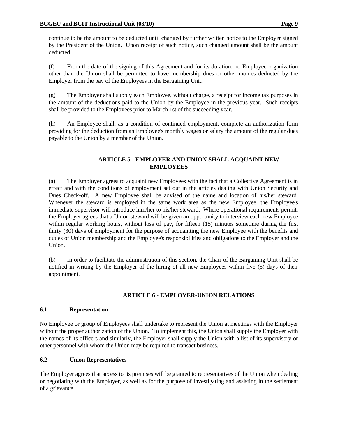continue to be the amount to be deducted until changed by further written notice to the Employer signed by the President of the Union. Upon receipt of such notice, such changed amount shall be the amount deducted.

 (f) From the date of the signing of this Agreement and for its duration, no Employee organization other than the Union shall be permitted to have membership dues or other monies deducted by the Employer from the pay of the Employees in the Bargaining Unit.

 (g) The Employer shall supply each Employee, without charge, a receipt for income tax purposes in the amount of the deductions paid to the Union by the Employee in the previous year. Such receipts shall be provided to the Employees prior to March 1st of the succeeding year.

 (h) An Employee shall, as a condition of continued employment, complete an authorization form providing for the deduction from an Employee's monthly wages or salary the amount of the regular dues payable to the Union by a member of the Union.

## **ARTICLE 5 - EMPLOYER AND UNION SHALL ACQUAINT NEW EMPLOYEES**

 (a) The Employer agrees to acquaint new Employees with the fact that a Collective Agreement is in effect and with the conditions of employment set out in the articles dealing with Union Security and Dues Check-off. A new Employee shall be advised of the name and location of his/her steward. Whenever the steward is employed in the same work area as the new Employee, the Employee's immediate supervisor will introduce him/her to his/her steward. Where operational requirements permit, the Employer agrees that a Union steward will be given an opportunity to interview each new Employee within regular working hours, without loss of pay, for fifteen (15) minutes sometime during the first thirty (30) days of employment for the purpose of acquainting the new Employee with the benefits and duties of Union membership and the Employee's responsibilities and obligations to the Employer and the Union.

 (b) In order to facilitate the administration of this section, the Chair of the Bargaining Unit shall be notified in writing by the Employer of the hiring of all new Employees within five (5) days of their appointment.

## **ARTICLE 6 - EMPLOYER-UNION RELATIONS**

## **6.1 Representation**

No Employee or group of Employees shall undertake to represent the Union at meetings with the Employer without the proper authorization of the Union. To implement this, the Union shall supply the Employer with the names of its officers and similarly, the Employer shall supply the Union with a list of its supervisory or other personnel with whom the Union may be required to transact business.

## **6.2 Union Representatives**

The Employer agrees that access to its premises will be granted to representatives of the Union when dealing or negotiating with the Employer, as well as for the purpose of investigating and assisting in the settlement of a grievance.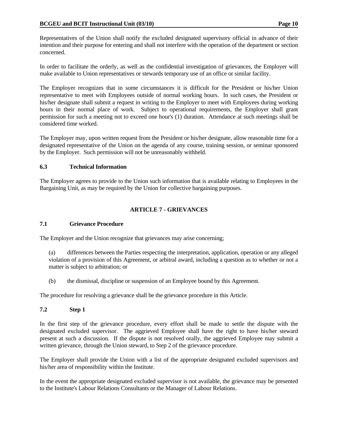Representatives of the Union shall notify the excluded designated supervisory official in advance of their intention and their purpose for entering and shall not interfere with the operation of the department or section concerned.

In order to facilitate the orderly, as well as the confidential investigation of grievances, the Employer will make available to Union representatives or stewards temporary use of an office or similar facility.

The Employer recognizes that in some circumstances it is difficult for the President or his/her Union representative to meet with Employees outside of normal working hours. In such cases, the President or his/her designate shall submit a request in writing to the Employer to meet with Employees during working hours in their normal place of work. Subject to operational requirements, the Employer shall grant permission for such a meeting not to exceed one hour's (1) duration. Attendance at such meetings shall be considered time worked.

The Employer may, upon written request from the President or his/her designate, allow reasonable time for a designated representative of the Union on the agenda of any course, training session, or seminar sponsored by the Employer. Such permission will not be unreasonably withheld.

### **6.3 Technical Information**

The Employer agrees to provide to the Union such information that is available relating to Employees in the Bargaining Unit, as may be required by the Union for collective bargaining purposes.

### **ARTICLE 7 - GRIEVANCES**

#### **7.1 Grievance Procedure**

The Employer and the Union recognize that grievances may arise concerning;

- (a) differences between the Parties respecting the interpretation, application, operation or any alleged violation of a provision of this Agreement, or arbitral award, including a question as to whether or not a matter is subject to arbitration; or
- (b) the dismissal, discipline or suspension of an Employee bound by this Agreement.

The procedure for resolving a grievance shall be the grievance procedure in this Article.

#### **7.2 Step 1**

In the first step of the grievance procedure, every effort shall be made to settle the dispute with the designated excluded supervisor. The aggrieved Employee shall have the right to have his/her steward present at such a discussion. If the dispute is not resolved orally, the aggrieved Employee may submit a written grievance, through the Union steward, to Step 2 of the grievance procedure.

The Employer shall provide the Union with a list of the appropriate designated excluded supervisors and his/her area of responsibility within the Institute.

In the event the appropriate designated excluded supervisor is not available, the grievance may be presented to the Institute's Labour Relations Consultants or the Manager of Labour Relations.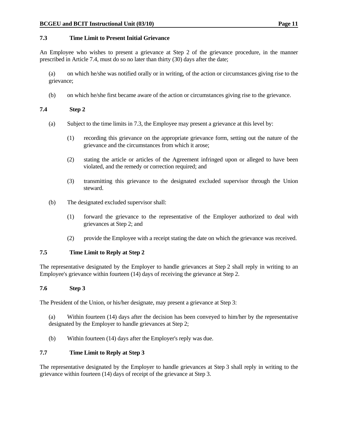#### **7.3 Time Limit to Present Initial Grievance**

An Employee who wishes to present a grievance at Step 2 of the grievance procedure, in the manner prescribed in Article 7.4, must do so no later than thirty (30) days after the date;

 (a) on which he/she was notified orally or in writing, of the action or circumstances giving rise to the grievance;

(b) on which he/she first became aware of the action or circumstances giving rise to the grievance.

#### **7.4 Step 2**

- (a) Subject to the time limits in 7.3, the Employee may present a grievance at this level by:
	- (1) recording this grievance on the appropriate grievance form, setting out the nature of the grievance and the circumstances from which it arose;
	- (2) stating the article or articles of the Agreement infringed upon or alleged to have been violated, and the remedy or correction required; and
	- (3) transmitting this grievance to the designated excluded supervisor through the Union steward.
- (b) The designated excluded supervisor shall:
	- (1) forward the grievance to the representative of the Employer authorized to deal with grievances at Step 2; and
	- (2) provide the Employee with a receipt stating the date on which the grievance was received.

#### **7.5 Time Limit to Reply at Step 2**

The representative designated by the Employer to handle grievances at Step 2 shall reply in writing to an Employee's grievance within fourteen (14) days of receiving the grievance at Step 2.

#### **7.6 Step 3**

The President of the Union, or his/her designate, may present a grievance at Step 3:

 (a) Within fourteen (14) days after the decision has been conveyed to him/her by the representative designated by the Employer to handle grievances at Step 2;

(b) Within fourteen (14) days after the Employer's reply was due.

#### **7.7 Time Limit to Reply at Step 3**

The representative designated by the Employer to handle grievances at Step 3 shall reply in writing to the grievance within fourteen (14) days of receipt of the grievance at Step 3.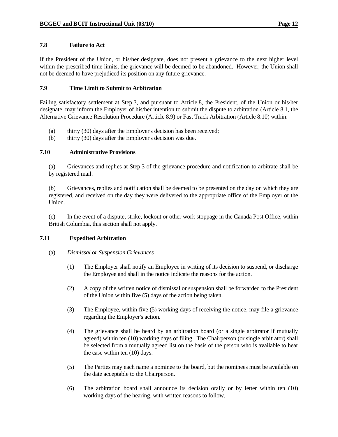#### **7.8 Failure to Act**

If the President of the Union, or his/her designate, does not present a grievance to the next higher level within the prescribed time limits, the grievance will be deemed to be abandoned. However, the Union shall not be deemed to have prejudiced its position on any future grievance.

### **7.9 Time Limit to Submit to Arbitration**

Failing satisfactory settlement at Step 3, and pursuant to Article 8, the President, of the Union or his/her designate, may inform the Employer of his/her intention to submit the dispute to arbitration (Article 8.1, the Alternative Grievance Resolution Procedure (Article 8.9) or Fast Track Arbitration (Article 8.10) within:

- (a) thirty (30) days after the Employer's decision has been received;
- (b) thirty (30) days after the Employer's decision was due.

### **7.10 Administrative Provisions**

 (a) Grievances and replies at Step 3 of the grievance procedure and notification to arbitrate shall be by registered mail.

 (b) Grievances, replies and notification shall be deemed to be presented on the day on which they are registered, and received on the day they were delivered to the appropriate office of the Employer or the Union.

 (c) In the event of a dispute, strike, lockout or other work stoppage in the Canada Post Office, within British Columbia, this section shall not apply.

#### **7.11 Expedited Arbitration**

#### (a) *Dismissal or Suspension Grievances*

- (1) The Employer shall notify an Employee in writing of its decision to suspend, or discharge the Employee and shall in the notice indicate the reasons for the action.
- (2) A copy of the written notice of dismissal or suspension shall be forwarded to the President of the Union within five (5) days of the action being taken.
- (3) The Employee, within five (5) working days of receiving the notice, may file a grievance regarding the Employer's action.
- (4) The grievance shall be heard by an arbitration board (or a single arbitrator if mutually agreed) within ten (10) working days of filing. The Chairperson (or single arbitrator) shall be selected from a mutually agreed list on the basis of the person who is available to hear the case within ten (10) days.
- (5) The Parties may each name a nominee to the board, but the nominees must be available on the date acceptable to the Chairperson.
- (6) The arbitration board shall announce its decision orally or by letter within ten (10) working days of the hearing, with written reasons to follow.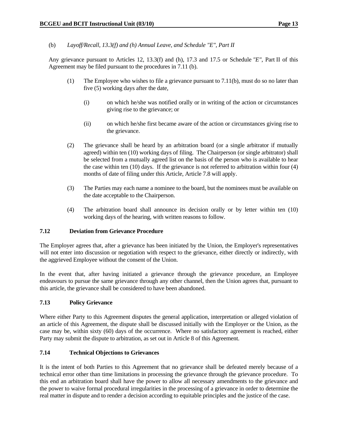(b) *Layoff/Recall, 13.3(f) and (h) Annual Leave, and Schedule "E", Part II*

 Any grievance pursuant to Articles 12, 13.3(f) and (h), 17.3 and 17.5 or Schedule *"E"*, Part II of this Agreement may be filed pursuant to the procedures in 7.11 (b).

- (1) The Employee who wishes to file a grievance pursuant to 7.11(b), must do so no later than five (5) working days after the date,
	- (i) on which he/she was notified orally or in writing of the action or circumstances giving rise to the grievance; or
	- (ii) on which he/she first became aware of the action or circumstances giving rise to the grievance.
- (2) The grievance shall be heard by an arbitration board (or a single arbitrator if mutually agreed) within ten (10) working days of filing. The Chairperson (or single arbitrator) shall be selected from a mutually agreed list on the basis of the person who is available to hear the case within ten (10) days. If the grievance is not referred to arbitration within four (4) months of date of filing under this Article, Article 7.8 will apply.
- (3) The Parties may each name a nominee to the board, but the nominees must be available on the date acceptable to the Chairperson.
- (4) The arbitration board shall announce its decision orally or by letter within ten (10) working days of the hearing, with written reasons to follow.

#### **7.12 Deviation from Grievance Procedure**

The Employer agrees that, after a grievance has been initiated by the Union, the Employer's representatives will not enter into discussion or negotiation with respect to the grievance, either directly or indirectly, with the aggrieved Employee without the consent of the Union.

In the event that, after having initiated a grievance through the grievance procedure, an Employee endeavours to pursue the same grievance through any other channel, then the Union agrees that, pursuant to this article, the grievance shall be considered to have been abandoned.

## **7.13 Policy Grievance**

Where either Party to this Agreement disputes the general application, interpretation or alleged violation of an article of this Agreement, the dispute shall be discussed initially with the Employer or the Union, as the case may be, within sixty (60) days of the occurrence. Where no satisfactory agreement is reached, either Party may submit the dispute to arbitration, as set out in Article 8 of this Agreement.

#### **7.14 Technical Objections to Grievances**

It is the intent of both Parties to this Agreement that no grievance shall be defeated merely because of a technical error other than time limitations in processing the grievance through the grievance procedure. To this end an arbitration board shall have the power to allow all necessary amendments to the grievance and the power to waive formal procedural irregularities in the processing of a grievance in order to determine the real matter in dispute and to render a decision according to equitable principles and the justice of the case.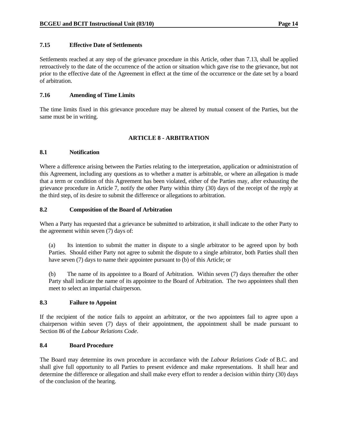#### **7.15 Effective Date of Settlements**

Settlements reached at any step of the grievance procedure in this Article, other than 7.13, shall be applied retroactively to the date of the occurrence of the action or situation which gave rise to the grievance, but not prior to the effective date of the Agreement in effect at the time of the occurrence or the date set by a board of arbitration.

### **7.16 Amending of Time Limits**

The time limits fixed in this grievance procedure may be altered by mutual consent of the Parties, but the same must be in writing.

## **ARTICLE 8 - ARBITRATION**

#### **8.1 Notification**

Where a difference arising between the Parties relating to the interpretation, application or administration of this Agreement, including any questions as to whether a matter is arbitrable, or where an allegation is made that a term or condition of this Agreement has been violated, either of the Parties may, after exhausting the grievance procedure in Article 7, notify the other Party within thirty (30) days of the receipt of the reply at the third step, of its desire to submit the difference or allegations to arbitration.

### **8.2 Composition of the Board of Arbitration**

When a Party has requested that a grievance be submitted to arbitration, it shall indicate to the other Party to the agreement within seven (7) days of:

 (a) Its intention to submit the matter in dispute to a single arbitrator to be agreed upon by both Parties. Should either Party not agree to submit the dispute to a single arbitrator, both Parties shall then have seven (7) days to name their appointee pursuant to (b) of this Article; or

 (b) The name of its appointee to a Board of Arbitration. Within seven (7) days thereafter the other Party shall indicate the name of its appointee to the Board of Arbitration. The two appointees shall then meet to select an impartial chairperson.

#### **8.3 Failure to Appoint**

If the recipient of the notice fails to appoint an arbitrator, or the two appointees fail to agree upon a chairperson within seven (7) days of their appointment, the appointment shall be made pursuant to Section 86 of the *Labour Relations Code*.

#### **8.4 Board Procedure**

The Board may determine its own procedure in accordance with the *Labour Relations Code* of B.C. and shall give full opportunity to all Parties to present evidence and make representations. It shall hear and determine the difference or allegation and shall make every effort to render a decision within thirty (30) days of the conclusion of the hearing.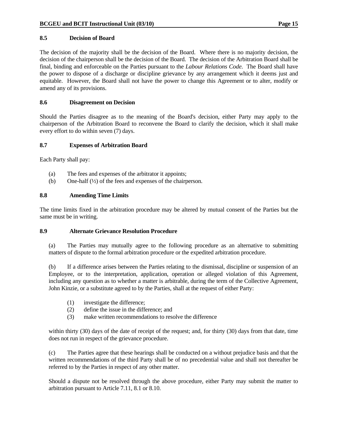#### **8.5 Decision of Board**

The decision of the majority shall be the decision of the Board. Where there is no majority decision, the decision of the chairperson shall be the decision of the Board. The decision of the Arbitration Board shall be final, binding and enforceable on the Parties pursuant to the *Labour Relations Code*. The Board shall have the power to dispose of a discharge or discipline grievance by any arrangement which it deems just and equitable. However, the Board shall not have the power to change this Agreement or to alter, modify or amend any of its provisions.

#### **8.6 Disagreement on Decision**

Should the Parties disagree as to the meaning of the Board's decision, either Party may apply to the chairperson of the Arbitration Board to reconvene the Board to clarify the decision, which it shall make every effort to do within seven (7) days.

#### **8.7 Expenses of Arbitration Board**

Each Party shall pay:

- (a) The fees and expenses of the arbitrator it appoints;
- (b) One-half (½) of the fees and expenses of the chairperson.

### **8.8 Amending Time Limits**

The time limits fixed in the arbitration procedure may be altered by mutual consent of the Parties but the same must be in writing.

#### **8.9 Alternate Grievance Resolution Procedure**

 (a) The Parties may mutually agree to the following procedure as an alternative to submitting matters of dispute to the formal arbitration procedure or the expedited arbitration procedure.

 (b) If a difference arises between the Parties relating to the dismissal, discipline or suspension of an Employee, or to the interpretation, application, operation or alleged violation of this Agreement, including any question as to whether a matter is arbitrable, during the term of the Collective Agreement, John Kinzie, or a substitute agreed to by the Parties, shall at the request of either Party:

- (1) investigate the difference;
- (2) define the issue in the difference; and
- (3) make written recommendations to resolve the difference

 within thirty (30) days of the date of receipt of the request; and, for thirty (30) days from that date, time does not run in respect of the grievance procedure.

 (c) The Parties agree that these hearings shall be conducted on a without prejudice basis and that the written recommendations of the third Party shall be of no precedential value and shall not thereafter be referred to by the Parties in respect of any other matter.

 Should a dispute not be resolved through the above procedure, either Party may submit the matter to arbitration pursuant to Article 7.11, 8.1 or 8.10.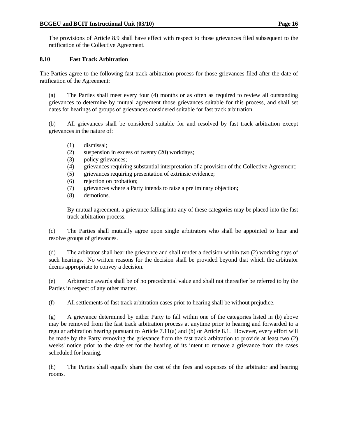The provisions of Article 8.9 shall have effect with respect to those grievances filed subsequent to the ratification of the Collective Agreement.

## **8.10 Fast Track Arbitration**

The Parties agree to the following fast track arbitration process for those grievances filed after the date of ratification of the Agreement:

 (a) The Parties shall meet every four (4) months or as often as required to review all outstanding grievances to determine by mutual agreement those grievances suitable for this process, and shall set dates for hearings of groups of grievances considered suitable for fast track arbitration.

 (b) All grievances shall be considered suitable for and resolved by fast track arbitration except grievances in the nature of:

- (1) dismissal;
- (2) suspension in excess of twenty (20) workdays;
- (3) policy grievances;
- (4) grievances requiring substantial interpretation of a provision of the Collective Agreement;
- (5) grievances requiring presentation of extrinsic evidence;
- (6) rejection on probation;
- (7) grievances where a Party intends to raise a preliminary objection;
- (8) demotions.

 By mutual agreement, a grievance falling into any of these categories may be placed into the fast track arbitration process.

 (c) The Parties shall mutually agree upon single arbitrators who shall be appointed to hear and resolve groups of grievances.

 (d) The arbitrator shall hear the grievance and shall render a decision within two (2) working days of such hearings. No written reasons for the decision shall be provided beyond that which the arbitrator deems appropriate to convey a decision.

 (e) Arbitration awards shall be of no precedential value and shall not thereafter be referred to by the Parties in respect of any other matter.

(f) All settlements of fast track arbitration cases prior to hearing shall be without prejudice.

 (g) A grievance determined by either Party to fall within one of the categories listed in (b) above may be removed from the fast track arbitration process at anytime prior to hearing and forwarded to a regular arbitration hearing pursuant to Article 7.11(a) and (b) or Article 8.1. However, every effort will be made by the Party removing the grievance from the fast track arbitration to provide at least two (2) weeks' notice prior to the date set for the hearing of its intent to remove a grievance from the cases scheduled for hearing.

 (h) The Parties shall equally share the cost of the fees and expenses of the arbitrator and hearing rooms.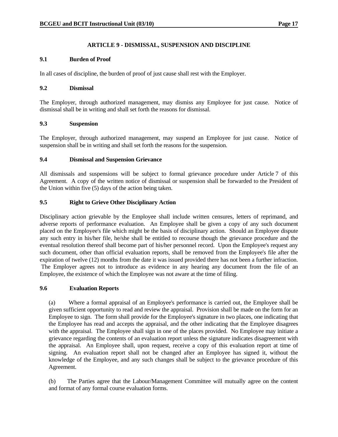### **ARTICLE 9 - DISMISSAL, SUSPENSION AND DISCIPLINE**

#### **9.1 Burden of Proof**

In all cases of discipline, the burden of proof of just cause shall rest with the Employer.

#### **9.2 Dismissal**

The Employer, through authorized management, may dismiss any Employee for just cause. Notice of dismissal shall be in writing and shall set forth the reasons for dismissal.

#### **9.3 Suspension**

The Employer, through authorized management, may suspend an Employee for just cause. Notice of suspension shall be in writing and shall set forth the reasons for the suspension.

#### **9.4 Dismissal and Suspension Grievance**

All dismissals and suspensions will be subject to formal grievance procedure under Article 7 of this Agreement. A copy of the written notice of dismissal or suspension shall be forwarded to the President of the Union within five (5) days of the action being taken.

#### **9.5 Right to Grieve Other Disciplinary Action**

Disciplinary action grievable by the Employee shall include written censures, letters of reprimand, and adverse reports of performance evaluation. An Employee shall be given a copy of any such document placed on the Employee's file which might be the basis of disciplinary action. Should an Employee dispute any such entry in his/her file, he/she shall be entitled to recourse though the grievance procedure and the eventual resolution thereof shall become part of his/her personnel record. Upon the Employee's request any such document, other than official evaluation reports, shall be removed from the Employee's file after the expiration of twelve (12) months from the date it was issued provided there has not been a further infraction. The Employer agrees not to introduce as evidence in any hearing any document from the file of an Employee, the existence of which the Employee was not aware at the time of filing.

#### **9.6 Evaluation Reports**

 (a) Where a formal appraisal of an Employee's performance is carried out, the Employee shall be given sufficient opportunity to read and review the appraisal. Provision shall be made on the form for an Employee to sign. The form shall provide for the Employee's signature in two places, one indicating that the Employee has read and accepts the appraisal, and the other indicating that the Employee disagrees with the appraisal. The Employee shall sign in one of the places provided. No Employee may initiate a grievance regarding the contents of an evaluation report unless the signature indicates disagreement with the appraisal. An Employee shall, upon request, receive a copy of this evaluation report at time of signing. An evaluation report shall not be changed after an Employee has signed it, without the knowledge of the Employee, and any such changes shall be subject to the grievance procedure of this Agreement.

 (b) The Parties agree that the Labour/Management Committee will mutually agree on the content and format of any formal course evaluation forms.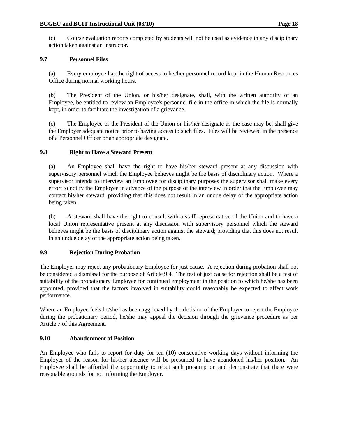(c) Course evaluation reports completed by students will not be used as evidence in any disciplinary action taken against an instructor.

### **9.7 Personnel Files**

 (a) Every employee has the right of access to his/her personnel record kept in the Human Resources Office during normal working hours.

 (b) The President of the Union, or his/her designate, shall, with the written authority of an Employee, be entitled to review an Employee's personnel file in the office in which the file is normally kept, in order to facilitate the investigation of a grievance.

 (c) The Employee or the President of the Union or his/her designate as the case may be, shall give the Employer adequate notice prior to having access to such files. Files will be reviewed in the presence of a Personnel Officer or an appropriate designate.

### **9.8 Right to Have a Steward Present**

 (a) An Employee shall have the right to have his/her steward present at any discussion with supervisory personnel which the Employee believes might be the basis of disciplinary action. Where a supervisor intends to interview an Employee for disciplinary purposes the supervisor shall make every effort to notify the Employee in advance of the purpose of the interview in order that the Employee may contact his/her steward, providing that this does not result in an undue delay of the appropriate action being taken.

 (b) A steward shall have the right to consult with a staff representative of the Union and to have a local Union representative present at any discussion with supervisory personnel which the steward believes might be the basis of disciplinary action against the steward; providing that this does not result in an undue delay of the appropriate action being taken.

## **9.9 Rejection During Probation**

The Employer may reject any probationary Employee for just cause. A rejection during probation shall not be considered a dismissal for the purpose of Article 9.4. The test of just cause for rejection shall be a test of suitability of the probationary Employee for continued employment in the position to which he/she has been appointed, provided that the factors involved in suitability could reasonably be expected to affect work performance.

Where an Employee feels he/she has been aggrieved by the decision of the Employer to reject the Employee during the probationary period, he/she may appeal the decision through the grievance procedure as per Article 7 of this Agreement.

## **9.10 Abandonment of Position**

An Employee who fails to report for duty for ten (10) consecutive working days without informing the Employer of the reason for his/her absence will be presumed to have abandoned his/her position. An Employee shall be afforded the opportunity to rebut such presumption and demonstrate that there were reasonable grounds for not informing the Employer.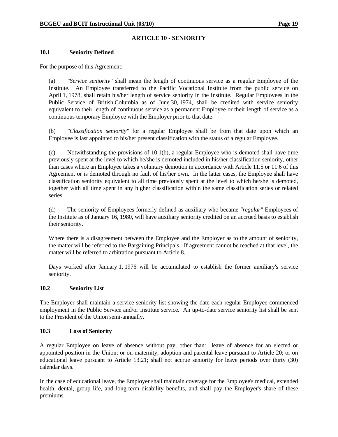### **ARTICLE 10 - SENIORITY**

#### **10.1 Seniority Defined**

For the purpose of this Agreement:

 (a) *"Service seniority"* shall mean the length of continuous service as a regular Employee of the Institute. An Employee transferred to the Pacific Vocational Institute from the public service on April 1, 1978, shall retain his/her length of service seniority in the Institute. Regular Employees in the Public Service of British Columbia as of June 30, 1974, shall be credited with service seniority equivalent to their length of continuous service as a permanent Employee or their length of service as a continuous temporary Employee with the Employer prior to that date.

 (b) *"Classification seniority"* for a regular Employee shall be from that date upon which an Employee is last appointed to his/her present classification with the status of a regular Employee.

 (c) Notwithstanding the provisions of 10.1(b), a regular Employee who is demoted shall have time previously spent at the level to which he/she is demoted included in his/her classification seniority, other than cases where an Employee takes a voluntary demotion in accordance with Article 11.5 or 11.6 of this Agreement or is demoted through no fault of his/her own. In the latter cases, the Employee shall have classification seniority equivalent to all time previously spent at the level to which he/she is demoted, together with all time spent in any higher classification within the same classification series or related series.

 (d) The seniority of Employees formerly defined as auxiliary who became *"regular"* Employees of the Institute as of January 16, 1980, will have auxiliary seniority credited on an accrued basis to establish their seniority.

 Where there is a disagreement between the Employee and the Employer as to the amount of seniority, the matter will be referred to the Bargaining Principals. If agreement cannot be reached at that level, the matter will be referred to arbitration pursuant to Article 8.

 Days worked after January 1, 1976 will be accumulated to establish the former auxiliary's service seniority.

#### **10.2 Seniority List**

The Employer shall maintain a service seniority list showing the date each regular Employee commenced employment in the Public Service and/or Institute service. An up-to-date service seniority list shall be sent to the President of the Union semi-annually.

#### **10.3 Loss of Seniority**

A regular Employee on leave of absence without pay, other than: leave of absence for an elected or appointed position in the Union; or on maternity, adoption and parental leave pursuant to Article 20; or on educational leave pursuant to Article 13.21; shall not accrue seniority for leave periods over thirty (30) calendar days.

In the case of educational leave, the Employer shall maintain coverage for the Employee's medical, extended health, dental, group life, and long-term disability benefits, and shall pay the Employer's share of these premiums.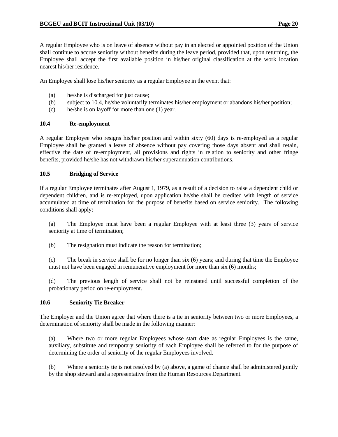A regular Employee who is on leave of absence without pay in an elected or appointed position of the Union shall continue to accrue seniority without benefits during the leave period, provided that, upon returning, the Employee shall accept the first available position in his/her original classification at the work location nearest his/her residence.

An Employee shall lose his/her seniority as a regular Employee in the event that:

- (a) he/she is discharged for just cause;
- (b) subject to 10.4, he/she voluntarily terminates his/her employment or abandons his/her position;
- (c) he/she is on layoff for more than one (1) year.

### **10.4 Re-employment**

A regular Employee who resigns his/her position and within sixty (60) days is re-employed as a regular Employee shall be granted a leave of absence without pay covering those days absent and shall retain, effective the date of re-employment, all provisions and rights in relation to seniority and other fringe benefits, provided he/she has not withdrawn his/her superannuation contributions.

### **10.5 Bridging of Service**

If a regular Employee terminates after August 1, 1979, as a result of a decision to raise a dependent child or dependent children, and is re-employed, upon application he/she shall be credited with length of service accumulated at time of termination for the purpose of benefits based on service seniority. The following conditions shall apply:

 (a) The Employee must have been a regular Employee with at least three (3) years of service seniority at time of termination;

(b) The resignation must indicate the reason for termination;

 (c) The break in service shall be for no longer than six (6) years; and during that time the Employee must not have been engaged in remunerative employment for more than six (6) months;

 (d) The previous length of service shall not be reinstated until successful completion of the probationary period on re-employment.

#### **10.6 Seniority Tie Breaker**

The Employer and the Union agree that where there is a tie in seniority between two or more Employees, a determination of seniority shall be made in the following manner:

 (a) Where two or more regular Employees whose start date as regular Employees is the same, auxiliary, substitute and temporary seniority of each Employee shall be referred to for the purpose of determining the order of seniority of the regular Employees involved.

 (b) Where a seniority tie is not resolved by (a) above, a game of chance shall be administered jointly by the shop steward and a representative from the Human Resources Department.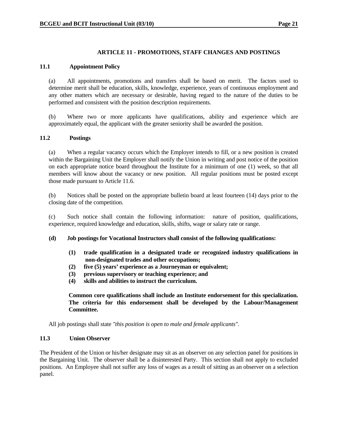#### **ARTICLE 11 - PROMOTIONS, STAFF CHANGES AND POSTINGS**

#### **11.1 Appointment Policy**

 (a) All appointments, promotions and transfers shall be based on merit. The factors used to determine merit shall be education, skills, knowledge, experience, years of continuous employment and any other matters which are necessary or desirable, having regard to the nature of the duties to be performed and consistent with the position description requirements.

 (b) Where two or more applicants have qualifications, ability and experience which are approximately equal, the applicant with the greater seniority shall be awarded the position.

#### **11.2 Postings**

 (a) When a regular vacancy occurs which the Employer intends to fill, or a new position is created within the Bargaining Unit the Employer shall notify the Union in writing and post notice of the position on each appropriate notice board throughout the Institute for a minimum of one (1) week, so that all members will know about the vacancy or new position. All regular positions must be posted except those made pursuant to Article 11.6.

 (b) Notices shall be posted on the appropriate bulletin board at least fourteen (14) days prior to the closing date of the competition.

 (c) Such notice shall contain the following information: nature of position, qualifications, experience, required knowledge and education, skills, shifts, wage or salary rate or range.

#### **(d) Job postings for Vocational Instructors shall consist of the following qualifications:**

- **(1) trade qualification in a designated trade or recognized industry qualifications in non-designated trades and other occupations;**
- **(2) five (5) years' experience as a Journeyman or equivalent;**
- **(3) previous supervisory or teaching experience; and**
- **(4) skills and abilities to instruct the curriculum.**

**Common core qualifications shall include an Institute endorsement for this specialization. The criteria for this endorsement shall be developed by the Labour/Management Committee.** 

All job postings shall state *"this position is open to male and female applicants"*.

#### **11.3 Union Observer**

The President of the Union or his/her designate may sit as an observer on any selection panel for positions in the Bargaining Unit. The observer shall be a disinterested Party. This section shall not apply to excluded positions. An Employee shall not suffer any loss of wages as a result of sitting as an observer on a selection panel.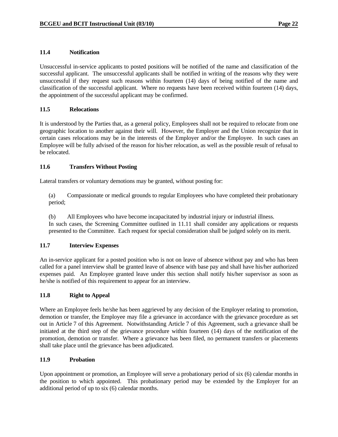#### **11.4 Notification**

Unsuccessful in-service applicants to posted positions will be notified of the name and classification of the successful applicant. The unsuccessful applicants shall be notified in writing of the reasons why they were unsuccessful if they request such reasons within fourteen (14) days of being notified of the name and classification of the successful applicant. Where no requests have been received within fourteen (14) days, the appointment of the successful applicant may be confirmed.

### **11.5 Relocations**

It is understood by the Parties that, as a general policy, Employees shall not be required to relocate from one geographic location to another against their will. However, the Employer and the Union recognize that in certain cases relocations may be in the interests of the Employer and/or the Employee. In such cases an Employee will be fully advised of the reason for his/her relocation, as well as the possible result of refusal to be relocated.

### **11.6 Transfers Without Posting**

Lateral transfers or voluntary demotions may be granted, without posting for:

 (a) Compassionate or medical grounds to regular Employees who have completed their probationary period;

 (b) All Employees who have become incapacitated by industrial injury or industrial illness. In such cases, the Screening Committee outlined in 11.11 shall consider any applications or requests presented to the Committee. Each request for special consideration shall be judged solely on its merit.

## **11.7 Interview Expenses**

An in-service applicant for a posted position who is not on leave of absence without pay and who has been called for a panel interview shall be granted leave of absence with base pay and shall have his/her authorized expenses paid. An Employee granted leave under this section shall notify his/her supervisor as soon as he/she is notified of this requirement to appear for an interview.

#### **11.8 Right to Appeal**

Where an Employee feels he/she has been aggrieved by any decision of the Employer relating to promotion, demotion or transfer, the Employee may file a grievance in accordance with the grievance procedure as set out in Article 7 of this Agreement. Notwithstanding Article 7 of this Agreement, such a grievance shall be initiated at the third step of the grievance procedure within fourteen (14) days of the notification of the promotion, demotion or transfer. Where a grievance has been filed, no permanent transfers or placements shall take place until the grievance has been adjudicated.

#### **11.9 Probation**

Upon appointment or promotion, an Employee will serve a probationary period of six (6) calendar months in the position to which appointed. This probationary period may be extended by the Employer for an additional period of up to six (6) calendar months.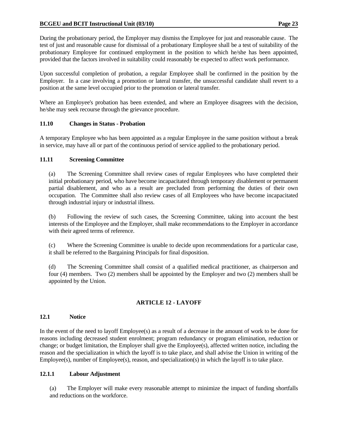During the probationary period, the Employer may dismiss the Employee for just and reasonable cause. The test of just and reasonable cause for dismissal of a probationary Employee shall be a test of suitability of the probationary Employee for continued employment in the position to which he/she has been appointed, provided that the factors involved in suitability could reasonably be expected to affect work performance.

Upon successful completion of probation, a regular Employee shall be confirmed in the position by the Employer. In a case involving a promotion or lateral transfer, the unsuccessful candidate shall revert to a position at the same level occupied prior to the promotion or lateral transfer.

Where an Employee's probation has been extended, and where an Employee disagrees with the decision, he/she may seek recourse through the grievance procedure.

### **11.10 Changes in Status - Probation**

A temporary Employee who has been appointed as a regular Employee in the same position without a break in service, may have all or part of the continuous period of service applied to the probationary period.

### **11.11 Screening Committee**

 (a) The Screening Committee shall review cases of regular Employees who have completed their initial probationary period, who have become incapacitated through temporary disablement or permanent partial disablement, and who as a result are precluded from performing the duties of their own occupation. The Committee shall also review cases of all Employees who have become incapacitated through industrial injury or industrial illness.

 (b) Following the review of such cases, the Screening Committee, taking into account the best interests of the Employee and the Employer, shall make recommendations to the Employer in accordance with their agreed terms of reference.

 (c) Where the Screening Committee is unable to decide upon recommendations for a particular case, it shall be referred to the Bargaining Principals for final disposition.

 (d) The Screening Committee shall consist of a qualified medical practitioner, as chairperson and four (4) members. Two (2) members shall be appointed by the Employer and two (2) members shall be appointed by the Union.

## **ARTICLE 12 - LAYOFF**

#### **12.1 Notice**

In the event of the need to layoff Employee(s) as a result of a decrease in the amount of work to be done for reasons including decreased student enrolment; program redundancy or program elimination, reduction or change; or budget limitation, the Employer shall give the Employee(s), affected written notice, including the reason and the specialization in which the layoff is to take place, and shall advise the Union in writing of the Employee(s), number of Employee(s), reason, and specialization(s) in which the layoff is to take place.

#### **12.1.1 Labour Adjustment**

(a) The Employer will make every reasonable attempt to minimize the impact of funding shortfalls and reductions on the workforce.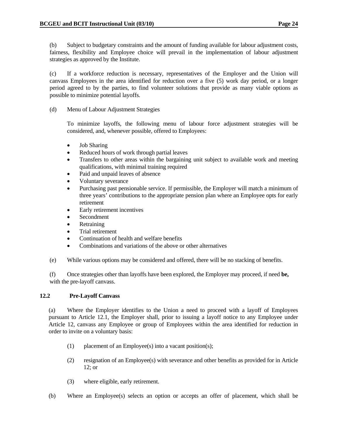(b) Subject to budgetary constraints and the amount of funding available for labour adjustment costs, fairness, flexibility and Employee choice will prevail in the implementation of labour adjustment strategies as approved by the Institute.

(c) If a workforce reduction is necessary, representatives of the Employer and the Union will canvass Employees in the area identified for reduction over a five (5) work day period, or a longer period agreed to by the parties, to find volunteer solutions that provide as many viable options as possible to minimize potential layoffs.

(d) Menu of Labour Adjustment Strategies

To minimize layoffs, the following menu of labour force adjustment strategies will be considered, and, whenever possible, offered to Employees:

- Job Sharing
- Reduced hours of work through partial leaves
- Transfers to other areas within the bargaining unit subject to available work and meeting qualifications, with minimal training required
- Paid and unpaid leaves of absence
- Voluntary severance
- Purchasing past pensionable service. If permissible, the Employer will match a minimum of three years' contributions to the appropriate pension plan where an Employee opts for early retirement
- Early retirement incentives
- Secondment
- Retraining
- Trial retirement
- Continuation of health and welfare benefits
- Combinations and variations of the above or other alternatives
- (e) While various options may be considered and offered, there will be no stacking of benefits.

 (f) Once strategies other than layoffs have been explored, the Employer may proceed, if need **be,**  with the pre-layoff canvass.

## **12.2 Pre-Layoff Canvass**

 (a) Where the Employer identifies to the Union a need to proceed with a layoff of Employees pursuant to Article 12.1, the Employer shall, prior to issuing a layoff notice to any Employee under Article 12, canvass any Employee or group of Employees within the area identified for reduction in order to invite on a voluntary basis:

- (1) placement of an Employee(s) into a vacant position(s);
- (2) resignation of an Employee(s) with severance and other benefits as provided for in Article 12; or
- (3) where eligible, early retirement.
- (b) Where an Employee(s) selects an option or accepts an offer of placement, which shall be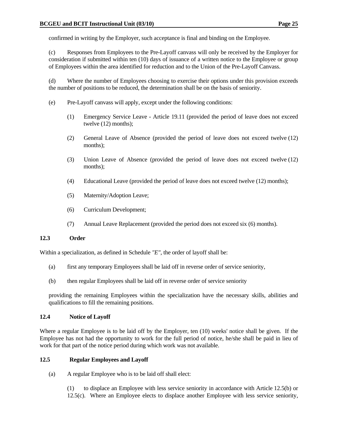confirmed in writing by the Employer, such acceptance is final and binding on the Employee.

 (c) Responses from Employees to the Pre-Layoff canvass will only be received by the Employer for consideration if submitted within ten (10) days of issuance of a written notice to the Employee or group of Employees within the area identified for reduction and to the Union of the Pre-Layoff Canvass.

 (d) Where the number of Employees choosing to exercise their options under this provision exceeds the number of positions to be reduced, the determination shall be on the basis of seniority.

- (e) Pre-Layoff canvass will apply, except under the following conditions:
	- (1) Emergency Service Leave Article 19.11 (provided the period of leave does not exceed twelve (12) months);
	- (2) General Leave of Absence (provided the period of leave does not exceed twelve (12) months);
	- (3) Union Leave of Absence (provided the period of leave does not exceed twelve (12) months);
	- (4) Educational Leave (provided the period of leave does not exceed twelve (12) months);
	- (5) Maternity/Adoption Leave;
	- (6) Curriculum Development;
	- (7) Annual Leave Replacement (provided the period does not exceed six (6) months).

#### **12.3 Order**

Within a specialization, as defined in Schedule *"E"*, the order of layoff shall be:

- (a) first any temporary Employees shall be laid off in reverse order of service seniority,
- (b) then regular Employees shall be laid off in reverse order of service seniority

 providing the remaining Employees within the specialization have the necessary skills, abilities and qualifications to fill the remaining positions.

#### **12.4 Notice of Layoff**

Where a regular Employee is to be laid off by the Employer, ten (10) weeks' notice shall be given. If the Employee has not had the opportunity to work for the full period of notice, he/she shall be paid in lieu of work for that part of the notice period during which work was not available.

#### **12.5 Regular Employees and Layoff**

(a) A regular Employee who is to be laid off shall elect:

 (1) to displace an Employee with less service seniority in accordance with Article 12.5(b) or 12.5(c). Where an Employee elects to displace another Employee with less service seniority,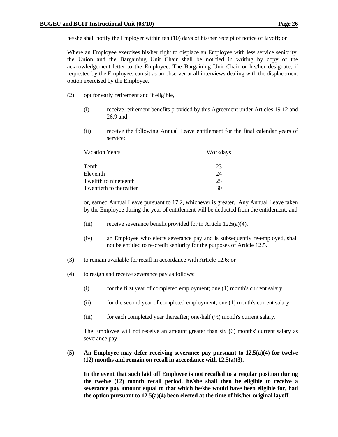he/she shall notify the Employer within ten (10) days of his/her receipt of notice of layoff; or

 Where an Employee exercises his/her right to displace an Employee with less service seniority, the Union and the Bargaining Unit Chair shall be notified in writing by copy of the acknowledgement letter to the Employee. The Bargaining Unit Chair or his/her designate, if requested by the Employee, can sit as an observer at all interviews dealing with the displacement option exercised by the Employee.

- (2) opt for early retirement and if eligible,
	- (i) receive retirement benefits provided by this Agreement under Articles 19.12 and 26.9 and;
	- (ii) receive the following Annual Leave entitlement for the final calendar years of service:

| <b>Vacation Years</b>   | Workdays |
|-------------------------|----------|
| Tenth                   | 23       |
| Eleventh                | 24       |
| Twelfth to nineteenth   | 25       |
| Twentieth to thereafter | 30       |

 or, earned Annual Leave pursuant to 17.2, whichever is greater. Any Annual Leave taken by the Employee during the year of entitlement will be deducted from the entitlement; and

- (iii) receive severance benefit provided for in Article  $12.5(a)(4)$ .
- (iv) an Employee who elects severance pay and is subsequently re-employed, shall not be entitled to re-credit seniority for the purposes of Article 12.5.
- (3) to remain available for recall in accordance with Article 12.6; or
- (4) to resign and receive severance pay as follows:
	- (i) for the first year of completed employment; one (1) month's current salary
	- (ii) for the second year of completed employment; one (1) month's current salary
	- (iii) for each completed year thereafter; one-half  $(\frac{1}{2})$  month's current salary.

 The Employee will not receive an amount greater than six (6) months' current salary as severance pay.

#### **(5) An Employee may defer receiving severance pay pursuant to 12.5(a)(4) for twelve (12) months and remain on recall in accordance with 12.5(a)(3).**

 **In the event that such laid off Employee is not recalled to a regular position during the twelve (12) month recall period, he/she shall then be eligible to receive a severance pay amount equal to that which he/she would have been eligible for, had the option pursuant to 12.5(a)(4) been elected at the time of his/her original layoff.**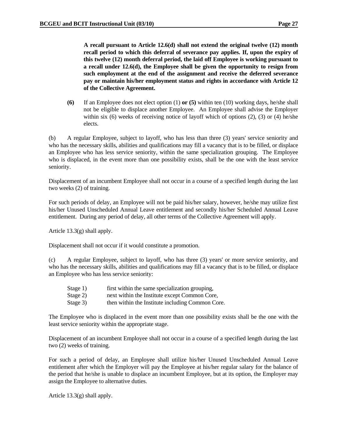**A recall pursuant to Article 12.6(d) shall not extend the original twelve (12) month recall period to which this deferral of severance pay applies. If, upon the expiry of this twelve (12) month deferral period, the laid off Employee is working pursuant to a recall under 12.6(d), the Employee shall be given the opportunity to resign from such employment at the end of the assignment and receive the deferred severance pay or maintain his/her employment status and rights in accordance with Article 12 of the Collective Agreement.** 

 **(6)** If an Employee does not elect option (1) **or (5)** within ten (10) working days, he/she shall not be eligible to displace another Employee. An Employee shall advise the Employer within six (6) weeks of receiving notice of layoff which of options  $(2)$ ,  $(3)$  or  $(4)$  he/she elects.

 (b) A regular Employee, subject to layoff, who has less than three (3) years' service seniority and who has the necessary skills, abilities and qualifications may fill a vacancy that is to be filled, or displace an Employee who has less service seniority, within the same specialization grouping. The Employee who is displaced, in the event more than one possibility exists, shall be the one with the least service seniority.

 Displacement of an incumbent Employee shall not occur in a course of a specified length during the last two weeks (2) of training.

 For such periods of delay, an Employee will not be paid his/her salary, however, he/she may utilize first his/her Unused Unscheduled Annual Leave entitlement and secondly his/her Scheduled Annual Leave entitlement. During any period of delay, all other terms of the Collective Agreement will apply.

Article 13.3(g) shall apply.

Displacement shall not occur if it would constitute a promotion.

 (c) A regular Employee, subject to layoff, who has three (3) years' or more service seniority, and who has the necessary skills, abilities and qualifications may fill a vacancy that is to be filled, or displace an Employee who has less service seniority:

- Stage 1) first within the same specialization grouping,
- Stage 2) next within the Institute except Common Core,
- Stage 3) then within the Institute including Common Core.

 The Employee who is displaced in the event more than one possibility exists shall be the one with the least service seniority within the appropriate stage.

 Displacement of an incumbent Employee shall not occur in a course of a specified length during the last two (2) weeks of training.

 For such a period of delay, an Employee shall utilize his/her Unused Unscheduled Annual Leave entitlement after which the Employer will pay the Employee at his/her regular salary for the balance of the period that he/she is unable to displace an incumbent Employee, but at its option, the Employer may assign the Employee to alternative duties.

Article 13.3(g) shall apply.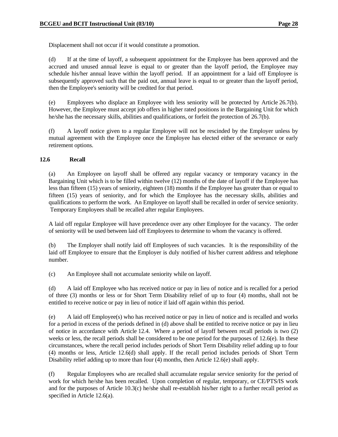Displacement shall not occur if it would constitute a promotion.

 (d) If at the time of layoff, a subsequent appointment for the Employee has been approved and the accrued and unused annual leave is equal to or greater than the layoff period, the Employee may schedule his/her annual leave within the layoff period. If an appointment for a laid off Employee is subsequently approved such that the paid out, annual leave is equal to or greater than the layoff period, then the Employee's seniority will be credited for that period.

 (e) Employees who displace an Employee with less seniority will be protected by Article 26.7(b). However, the Employee must accept job offers in higher rated positions in the Bargaining Unit for which he/she has the necessary skills, abilities and qualifications, or forfeit the protection of 26.7(b).

 (f) A layoff notice given to a regular Employee will not be rescinded by the Employer unless by mutual agreement with the Employee once the Employee has elected either of the severance or early retirement options.

### **12.6 Recall**

 (a) An Employee on layoff shall be offered any regular vacancy or temporary vacancy in the Bargaining Unit which is to be filled within twelve (12) months of the date of layoff if the Employee has less than fifteen (15) years of seniority, eighteen (18) months if the Employee has greater than or equal to fifteen (15) years of seniority, and for which the Employee has the necessary skills, abilities and qualifications to perform the work. An Employee on layoff shall be recalled in order of service seniority. Temporary Employees shall be recalled after regular Employees.

 A laid off regular Employee will have precedence over any other Employee for the vacancy. The order of seniority will be used between laid off Employees to determine to whom the vacancy is offered.

 (b) The Employer shall notify laid off Employees of such vacancies. It is the responsibility of the laid off Employee to ensure that the Employer is duly notified of his/her current address and telephone number.

(c) An Employee shall not accumulate seniority while on layoff.

 (d) A laid off Employee who has received notice or pay in lieu of notice and is recalled for a period of three (3) months or less or for Short Term Disability relief of up to four (4) months, shall not be entitled to receive notice or pay in lieu of notice if laid off again within this period.

 (e) A laid off Employee(s) who has received notice or pay in lieu of notice and is recalled and works for a period in excess of the periods defined in (d) above shall be entitled to receive notice or pay in lieu of notice in accordance with Article 12.4. Where a period of layoff between recall periods is two (2) weeks or less, the recall periods shall be considered to be one period for the purposes of 12.6(e). In these circumstances, where the recall period includes periods of Short Term Disability relief adding up to four (4) months or less, Article 12.6(d) shall apply. If the recall period includes periods of Short Term Disability relief adding up to more than four (4) months, then Article 12.6(e) shall apply.

 (f) Regular Employees who are recalled shall accumulate regular service seniority for the period of work for which he/she has been recalled. Upon completion of regular, temporary, or CE/PTS/IS work and for the purposes of Article 10.3(c) he/she shall re-establish his/her right to a further recall period as specified in Article 12.6(a).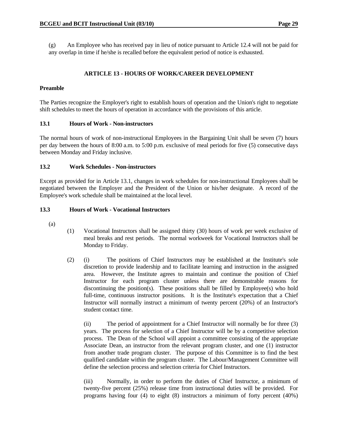(g) An Employee who has received pay in lieu of notice pursuant to Article 12.4 will not be paid for any overlap in time if he/she is recalled before the equivalent period of notice is exhausted.

### **ARTICLE 13 - HOURS OF WORK/CAREER DEVELOPMENT**

### **Preamble**

The Parties recognize the Employer's right to establish hours of operation and the Union's right to negotiate shift schedules to meet the hours of operation in accordance with the provisions of this article.

### **13.1 Hours of Work - Non-instructors**

The normal hours of work of non-instructional Employees in the Bargaining Unit shall be seven (7) hours per day between the hours of 8:00 a.m. to 5:00 p.m. exclusive of meal periods for five (5) consecutive days between Monday and Friday inclusive.

### **13.2 Work Schedules - Non-instructors**

Except as provided for in Article 13.1, changes in work schedules for non-instructional Employees shall be negotiated between the Employer and the President of the Union or his/her designate. A record of the Employee's work schedule shall be maintained at the local level.

#### **13.3 Hours of Work - Vocational Instructors**

- (a)
- (1) Vocational Instructors shall be assigned thirty (30) hours of work per week exclusive of meal breaks and rest periods. The normal workweek for Vocational Instructors shall be Monday to Friday.
- (2) (i) The positions of Chief Instructors may be established at the Institute's sole discretion to provide leadership and to facilitate learning and instruction in the assigned area. However, the Institute agrees to maintain and continue the position of Chief Instructor for each program cluster unless there are demonstrable reasons for discontinuing the position(s). These positions shall be filled by Employee(s) who hold full-time, continuous instructor positions. It is the Institute's expectation that a Chief Instructor will normally instruct a minimum of twenty percent (20%) of an Instructor's student contact time.

 (ii) The period of appointment for a Chief Instructor will normally be for three (3) years. The process for selection of a Chief Instructor will be by a competitive selection process. The Dean of the School will appoint a committee consisting of the appropriate Associate Dean, an instructor from the relevant program cluster, and one (1) instructor from another trade program cluster. The purpose of this Committee is to find the best qualified candidate within the program cluster. The Labour/Management Committee will define the selection process and selection criteria for Chief Instructors.

 (iii) Normally, in order to perform the duties of Chief Instructor, a minimum of twenty-five percent (25%) release time from instructional duties will be provided. For programs having four (4) to eight (8) instructors a minimum of forty percent (40%)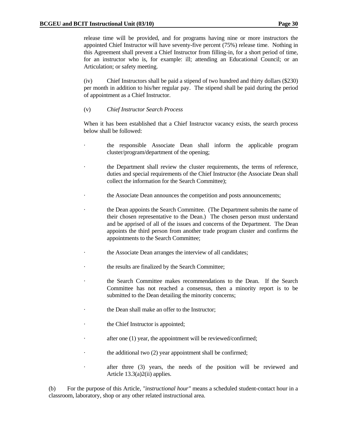release time will be provided, and for programs having nine or more instructors the appointed Chief Instructor will have seventy-five percent (75%) release time. Nothing in this Agreement shall prevent a Chief Instructor from filling-in, for a short period of time, for an instructor who is, for example: ill; attending an Educational Council; or an Articulation; or safety meeting.

 (iv) Chief Instructors shall be paid a stipend of two hundred and thirty dollars (\$230) per month in addition to his/her regular pay. The stipend shall be paid during the period of appointment as a Chief Instructor.

(v) *Chief Instructor Search Process*

 When it has been established that a Chief Instructor vacancy exists, the search process below shall be followed:

- the responsible Associate Dean shall inform the applicable program cluster/program/department of the opening;
- the Department shall review the cluster requirements, the terms of reference, duties and special requirements of the Chief Instructor (the Associate Dean shall collect the information for the Search Committee);
- the Associate Dean announces the competition and posts announcements;
- the Dean appoints the Search Committee. (The Department submits the name of their chosen representative to the Dean.) The chosen person must understand and be apprised of all of the issues and concerns of the Department. The Dean appoints the third person from another trade program cluster and confirms the appointments to the Search Committee;
- the Associate Dean arranges the interview of all candidates;
- the results are finalized by the Search Committee;
- · the Search Committee makes recommendations to the Dean. If the Search Committee has not reached a consensus, then a minority report is to be submitted to the Dean detailing the minority concerns;
- the Dean shall make an offer to the Instructor;
- the Chief Instructor is appointed;
- after one  $(1)$  year, the appointment will be reviewed/confirmed;
- the additional two  $(2)$  year appointment shall be confirmed;
- after three (3) years, the needs of the position will be reviewed and Article 13.3(a)2(ii) applies.

 (b) For the purpose of this Article, *"instructional hour"* means a scheduled student-contact hour in a classroom, laboratory, shop or any other related instructional area.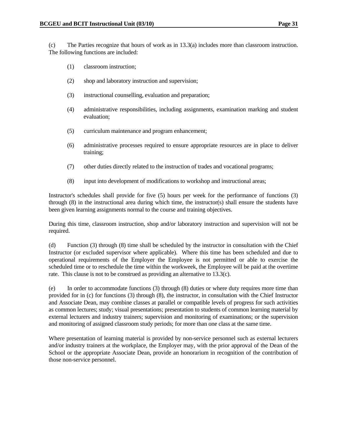(c) The Parties recognize that hours of work as in 13.3(a) includes more than classroom instruction. The following functions are included:

- (1) classroom instruction;
- (2) shop and laboratory instruction and supervision;
- (3) instructional counselling, evaluation and preparation;
- (4) administrative responsibilities, including assignments, examination marking and student evaluation;
- (5) curriculum maintenance and program enhancement;
- (6) administrative processes required to ensure appropriate resources are in place to deliver training;
- (7) other duties directly related to the instruction of trades and vocational programs;
- (8) input into development of modifications to workshop and instructional areas;

 Instructor's schedules shall provide for five (5) hours per week for the performance of functions (3) through (8) in the instructional area during which time, the instructor(s) shall ensure the students have been given learning assignments normal to the course and training objectives.

 During this time, classroom instruction, shop and/or laboratory instruction and supervision will not be required.

 (d) Function (3) through (8) time shall be scheduled by the instructor in consultation with the Chief Instructor (or excluded supervisor where applicable). Where this time has been scheduled and due to operational requirements of the Employer the Employee is not permitted or able to exercise the scheduled time or to reschedule the time within the workweek, the Employee will be paid at the overtime rate. This clause is not to be construed as providing an alternative to 13.3(c).

 (e) In order to accommodate functions (3) through (8) duties or where duty requires more time than provided for in (c) for functions (3) through (8), the instructor, in consultation with the Chief Instructor and Associate Dean, may combine classes at parallel or compatible levels of progress for such activities as common lectures; study; visual presentations; presentation to students of common learning material by external lecturers and industry trainers; supervision and monitoring of examinations; or the supervision and monitoring of assigned classroom study periods; for more than one class at the same time.

 Where presentation of learning material is provided by non-service personnel such as external lecturers and/or industry trainers at the workplace, the Employer may, with the prior approval of the Dean of the School or the appropriate Associate Dean, provide an honorarium in recognition of the contribution of those non-service personnel.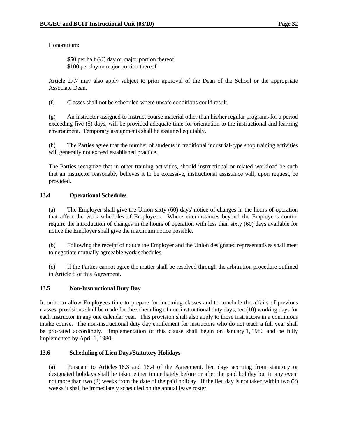Honorarium:

\$50 per half  $(\frac{1}{2})$  day or major portion thereof \$100 per day or major portion thereof

 Article 27.7 may also apply subject to prior approval of the Dean of the School or the appropriate Associate Dean.

(f) Classes shall not be scheduled where unsafe conditions could result.

 (g) An instructor assigned to instruct course material other than his/her regular programs for a period exceeding five (5) days, will be provided adequate time for orientation to the instructional and learning environment. Temporary assignments shall be assigned equitably.

 (h) The Parties agree that the number of students in traditional industrial-type shop training activities will generally not exceed established practice.

 The Parties recognize that in other training activities, should instructional or related workload be such that an instructor reasonably believes it to be excessive, instructional assistance will, upon request, be provided.

### **13.4 Operational Schedules**

 (a) The Employer shall give the Union sixty (60) days' notice of changes in the hours of operation that affect the work schedules of Employees. Where circumstances beyond the Employer's control require the introduction of changes in the hours of operation with less than sixty (60) days available for notice the Employer shall give the maximum notice possible.

 (b) Following the receipt of notice the Employer and the Union designated representatives shall meet to negotiate mutually agreeable work schedules.

 (c) If the Parties cannot agree the matter shall be resolved through the arbitration procedure outlined in Article 8 of this Agreement.

### **13.5 Non-Instructional Duty Day**

In order to allow Employees time to prepare for incoming classes and to conclude the affairs of previous classes, provisions shall be made for the scheduling of non-instructional duty days, ten (10) working days for each instructor in any one calendar year. This provision shall also apply to those instructors in a continuous intake course. The non-instructional duty day entitlement for instructors who do not teach a full year shall be pro-rated accordingly. Implementation of this clause shall begin on January 1, 1980 and be fully implemented by April 1, 1980.

### **13.6 Scheduling of Lieu Days/Statutory Holidays**

 (a) Pursuant to Articles 16.3 and 16.4 of the Agreement, lieu days accruing from statutory or designated holidays shall be taken either immediately before or after the paid holiday but in any event not more than two (2) weeks from the date of the paid holiday. If the lieu day is not taken within two (2) weeks it shall be immediately scheduled on the annual leave roster.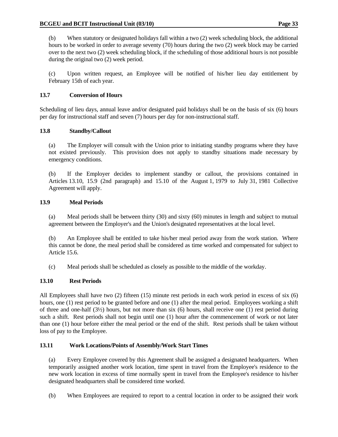(b) When statutory or designated holidays fall within a two (2) week scheduling block, the additional hours to be worked in order to average seventy (70) hours during the two (2) week block may be carried over to the next two (2) week scheduling block, if the scheduling of those additional hours is not possible during the original two (2) week period.

 (c) Upon written request, an Employee will be notified of his/her lieu day entitlement by February 15th of each year.

# **13.7 Conversion of Hours**

Scheduling of lieu days, annual leave and/or designated paid holidays shall be on the basis of six (6) hours per day for instructional staff and seven (7) hours per day for non-instructional staff.

# **13.8 Standby/Callout**

 (a) The Employer will consult with the Union prior to initiating standby programs where they have not existed previously. This provision does not apply to standby situations made necessary by emergency conditions.

 (b) If the Employer decides to implement standby or callout, the provisions contained in Articles 13.10, 15.9 (2nd paragraph) and 15.10 of the August 1, 1979 to July 31, 1981 Collective Agreement will apply.

# **13.9 Meal Periods**

 (a) Meal periods shall be between thirty (30) and sixty (60) minutes in length and subject to mutual agreement between the Employer's and the Union's designated representatives at the local level.

 (b) An Employee shall be entitled to take his/her meal period away from the work station. Where this cannot be done, the meal period shall be considered as time worked and compensated for subject to Article 15.6.

(c) Meal periods shall be scheduled as closely as possible to the middle of the workday.

## **13.10 Rest Periods**

All Employees shall have two (2) fifteen (15) minute rest periods in each work period in excess of six (6) hours, one (1) rest period to be granted before and one (1) after the meal period. Employees working a shift of three and one-half (3½) hours, but not more than six (6) hours, shall receive one (1) rest period during such a shift. Rest periods shall not begin until one (1) hour after the commencement of work or not later than one (1) hour before either the meal period or the end of the shift. Rest periods shall be taken without loss of pay to the Employee.

## **13.11 Work Locations/Points of Assembly/Work Start Times**

 (a) Every Employee covered by this Agreement shall be assigned a designated headquarters. When temporarily assigned another work location, time spent in travel from the Employee's residence to the new work location in excess of time normally spent in travel from the Employee's residence to his/her designated headquarters shall be considered time worked.

(b) When Employees are required to report to a central location in order to be assigned their work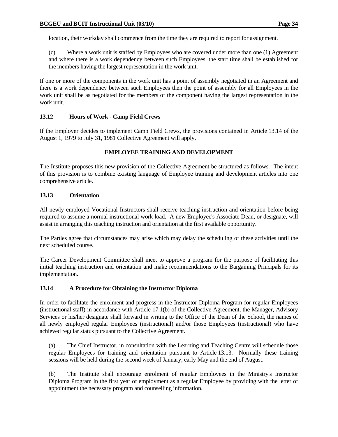location, their workday shall commence from the time they are required to report for assignment.

 (c) Where a work unit is staffed by Employees who are covered under more than one (1) Agreement and where there is a work dependency between such Employees, the start time shall be established for the members having the largest representation in the work unit.

If one or more of the components in the work unit has a point of assembly negotiated in an Agreement and there is a work dependency between such Employees then the point of assembly for all Employees in the work unit shall be as negotiated for the members of the component having the largest representation in the work unit.

## **13.12 Hours of Work - Camp Field Crews**

If the Employer decides to implement Camp Field Crews, the provisions contained in Article 13.14 of the August 1, 1979 to July 31, 1981 Collective Agreement will apply.

## **EMPLOYEE TRAINING AND DEVELOPMENT**

The Institute proposes this new provision of the Collective Agreement be structured as follows. The intent of this provision is to combine existing language of Employee training and development articles into one comprehensive article.

### **13.13 Orientation**

All newly employed Vocational Instructors shall receive teaching instruction and orientation before being required to assume a normal instructional work load. A new Employee's Associate Dean, or designate, will assist in arranging this teaching instruction and orientation at the first available opportunity.

The Parties agree that circumstances may arise which may delay the scheduling of these activities until the next scheduled course.

The Career Development Committee shall meet to approve a program for the purpose of facilitating this initial teaching instruction and orientation and make recommendations to the Bargaining Principals for its implementation.

### **13.14 A Procedure for Obtaining the Instructor Diploma**

In order to facilitate the enrolment and progress in the Instructor Diploma Program for regular Employees (instructional staff) in accordance with Article 17.1(b) of the Collective Agreement, the Manager, Advisory Services or his/her designate shall forward in writing to the Office of the Dean of the School, the names of all newly employed regular Employees (instructional) and/or those Employees (instructional) who have achieved regular status pursuant to the Collective Agreement.

 (a) The Chief Instructor, in consultation with the Learning and Teaching Centre will schedule those regular Employees for training and orientation pursuant to Article 13.13. Normally these training sessions will be held during the second week of January, early May and the end of August.

(b) The Institute shall encourage enrolment of regular Employees in the Ministry's Instructor Diploma Program in the first year of employment as a regular Employee by providing with the letter of appointment the necessary program and counselling information.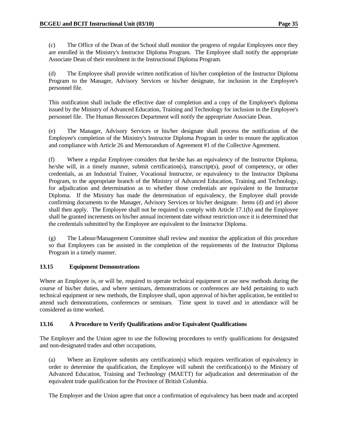(c) The Office of the Dean of the School shall monitor the progress of regular Employees once they are enrolled in the Ministry's Instructor Diploma Program. The Employee shall notify the appropriate Associate Dean of their enrolment in the Instructional Diploma Program.

 (d) The Employee shall provide written notification of his/her completion of the Instructor Diploma Program to the Manager, Advisory Services or his/her designate, for inclusion in the Employee's personnel file.

 This notification shall include the effective date of completion and a copy of the Employee's diploma issued by the Ministry of Advanced Education, Training and Technology for inclusion in the Employee's personnel file. The Human Resources Department will notify the appropriate Associate Dean.

(e) The Manager, Advisory Services or his/her designate shall process the notification of the Employee's completion of the Ministry's Instructor Diploma Program in order to ensure the application and compliance with Article 26 and Memorandum of Agreement #1 of the Collective Agreement.

 (f) Where a regular Employee considers that he/she has an equivalency of the Instructor Diploma, he/she will, in a timely manner, submit certification(s), transcript(s), proof of competency, or other credentials, as an Industrial Trainer, Vocational Instructor, or equivalency to the Instructor Diploma Program, to the appropriate branch of the Ministry of Advanced Education, Training and Technology, for adjudication and determination as to whether those credentials are equivalent to the Instructor Diploma. If the Ministry has made the determination of equivalency, the Employee shall provide confirming documents to the Manager, Advisory Services or his/her designate. Items (d) and (e) above shall then apply. The Employee shall not be required to comply with Article 17.1(b) and the Employee shall be granted increments on his/her annual increment date without restriction once it is determined that the credentials submitted by the Employee are equivalent to the Instructor Diploma.

 (g) The Labour/Management Committee shall review and monitor the application of this procedure so that Employees can be assisted in the completion of the requirements of the Instructor Diploma Program in a timely manner.

## **13.15 Equipment Demonstrations**

Where an Employee is, or will be, required to operate technical equipment or use new methods during the course of his/her duties, and where seminars, demonstrations or conferences are held pertaining to such technical equipment or new methods, the Employee shall, upon approval of his/her application, be entitled to attend such demonstrations, conferences or seminars. Time spent in travel and in attendance will be considered as time worked.

### **13.16 A Procedure to Verify Qualifications and/or Equivalent Qualifications**

The Employer and the Union agree to use the following procedures to verify qualifications for designated and non-designated trades and other occupations.

 (a) Where an Employee submits any certification(s) which requires verification of equivalency in order to determine the qualification, the Employee will submit the certification(s) to the Ministry of Advanced Education, Training and Technology (MAETT) for adjudication and determination of the equivalent trade qualification for the Province of British Columbia.

The Employer and the Union agree that once a confirmation of equivalency has been made and accepted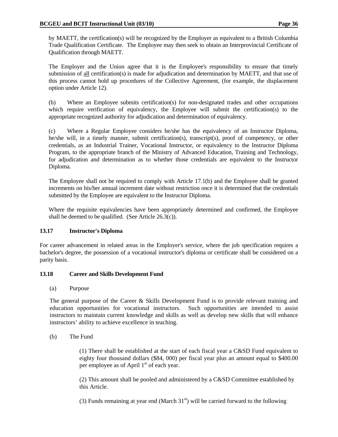by MAETT, the certification(s) will be recognized by the Employer as equivalent to a British Columbia Trade Qualification Certificate. The Employee may then seek to obtain an Interprovincial Certificate of Qualification through MAETT.

 The Employer and the Union agree that it is the Employee's responsibility to ensure that timely submission of all certification(s) is made for adjudication and determination by MAETT, and that use of this process cannot hold up procedures of the Collective Agreement, (for example, the displacement option under Article 12).

(b) Where an Employee submits certification(s) for non-designated trades and other occupations which require verification of equivalency, the Employee will submit the certification(s) to the appropriate recognized authority for adjudication and determination of equivalency.

 (c) Where a Regular Employee considers he/she has the equivalency of an Instructor Diploma, he/she will, in a timely manner, submit certification(s), transcript(s), proof of competency, or other credentials, as an Industrial Trainer, Vocational Instructor, or equivalency to the Instructor Diploma Program, to the appropriate branch of the Ministry of Advanced Education, Training and Technology, for adjudication and determination as to whether those credentials are equivalent to the Instructor Diploma.

 The Employee shall not be required to comply with Article 17.1(b) and the Employee shall be granted increments on his/her annual increment date without restriction once it is determined that the credentials submitted by the Employee are equivalent to the Instructor Diploma.

 Where the requisite equivalencies have been appropriately determined and confirmed, the Employee shall be deemed to be qualified. (See Article 26.3(c)).

## **13.17 Instructor's Diploma**

For career advancement in related areas in the Employer's service, where the job specification requires a bachelor's degree, the possession of a vocational instructor's diploma or certificate shall be considered on a parity basis.

### **13.18 Career and Skills Development Fund**

(a) Purpose

The general purpose of the Career & Skills Development Fund is to provide relevant training and education opportunities for vocational instructors. Such opportunities are intended to assist instructors to maintain current knowledge and skills as well as develop new skills that will enhance instructors' ability to achieve excellence in teaching.

(b) The Fund

(1) There shall be established at the start of each fiscal year a C&SD Fund equivalent to eighty four thousand dollars (\$84, 000) per fiscal year plus an amount equal to \$400.00 per employee as of April  $1<sup>st</sup>$  of each year.

(2) This amount shall be pooled and administered by a C&SD Committee established by this Article.

(3) Funds remaining at year end (March  $31<sup>st</sup>$ ) will be carried forward to the following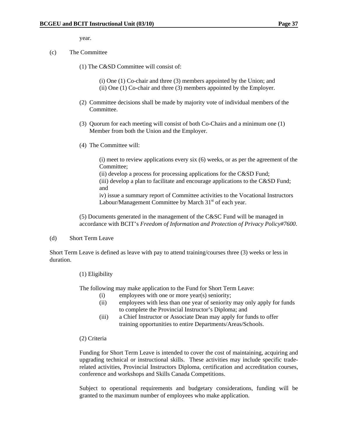year.

- (c) The Committee
	- (1) The C&SD Committee will consist of:
		- (i) One (1) Co-chair and three (3) members appointed by the Union; and (ii) One (1) Co-chair and three (3) members appointed by the Employer.
	- (2) Committee decisions shall be made by majority vote of individual members of the Committee.
	- (3) Quorum for each meeting will consist of both Co-Chairs and a minimum one (1) Member from both the Union and the Employer.
	- (4) The Committee will:

(i) meet to review applications every six (6) weeks, or as per the agreement of the Committee;

(ii) develop a process for processing applications for the C&SD Fund; (iii) develop a plan to facilitate and encourage applications to the C&SD Fund; and

iv) issue a summary report of Committee activities to the Vocational Instructors Labour/Management Committee by March  $31<sup>st</sup>$  of each year.

 (5) Documents generated in the management of the C&SC Fund will be managed in accordance with BCIT's *Freedom of Information and Protection of Privacy Policy#7600*.

(d) Short Term Leave

Short Term Leave is defined as leave with pay to attend training/courses three (3) weeks or less in duration.

(1) Eligibility

The following may make application to the Fund for Short Term Leave:

- (i) employees with one or more year(s) seniority;
- (ii) employees with less than one year of seniority may only apply for funds to complete the Provincial Instructor's Diploma; and
- (iii) a Chief Instructor or Associate Dean may apply for funds to offer training opportunities to entire Departments/Areas/Schools.
- (2) Criteria

Funding for Short Term Leave is intended to cover the cost of maintaining, acquiring and upgrading technical or instructional skills. These activities may include specific traderelated activities, Provincial Instructors Diploma, certification and accreditation courses, conference and workshops and Skills Canada Competitions.

Subject to operational requirements and budgetary considerations, funding will be granted to the maximum number of employees who make application.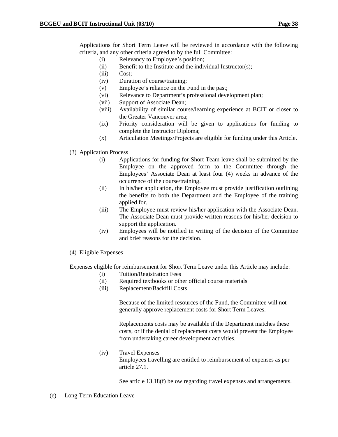Applications for Short Term Leave will be reviewed in accordance with the following criteria, and any other criteria agreed to by the full Committee:

- (i) Relevancy to Employee's position;
- (ii) Benefit to the Institute and the individual Instructor(s);
- (iii) Cost;
- (iv) Duration of course/training;
- (v) Employee's reliance on the Fund in the past;
- (vi) Relevance to Department's professional development plan;
- (vii) Support of Associate Dean;
- (viii) Availability of similar course/learning experience at BCIT or closer to the Greater Vancouver area;
- (ix) Priority consideration will be given to applications for funding to complete the Instructor Diploma;
- (x) Articulation Meetings/Projects are eligible for funding under this Article.

### (3) Application Process

- (i) Applications for funding for Short Team leave shall be submitted by the Employee on the approved form to the Committee through the Employees' Associate Dean at least four (4) weeks in advance of the occurrence of the course/training.
- (ii) In his/her application, the Employee must provide justification outlining the benefits to both the Department and the Employee of the training applied for.
- (iii) The Employee must review his/her application with the Associate Dean. The Associate Dean must provide written reasons for his/her decision to support the application.
- (iv) Employees will be notified in writing of the decision of the Committee and brief reasons for the decision.
- (4) Eligible Expenses

Expenses eligible for reimbursement for Short Term Leave under this Article may include:

- (i) Tuition/Registration Fees
- (ii) Required textbooks or other official course materials
- (iii) Replacement/Backfill Costs

Because of the limited resources of the Fund, the Committee will not generally approve replacement costs for Short Term Leaves.

Replacements costs may be available if the Department matches these costs, or if the denial of replacement costs would prevent the Employee from undertaking career development activities.

(iv) Travel Expenses Employees travelling are entitled to reimbursement of expenses as per article 27.1.

See article 13.18(f) below regarding travel expenses and arrangements.

(e) Long Term Education Leave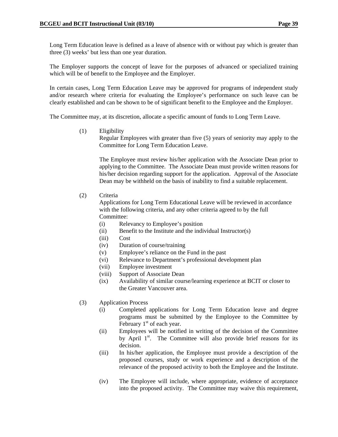Long Term Education leave is defined as a leave of absence with or without pay which is greater than three (3) weeks' but less than one year duration.

The Employer supports the concept of leave for the purposes of advanced or specialized training which will be of benefit to the Employee and the Employer.

In certain cases, Long Term Education Leave may be approved for programs of independent study and/or research where criteria for evaluating the Employee's performance on such leave can be clearly established and can be shown to be of significant benefit to the Employee and the Employer.

The Committee may, at its discretion, allocate a specific amount of funds to Long Term Leave.

(1) Eligibility

Regular Employees with greater than five (5) years of seniority may apply to the Committee for Long Term Education Leave.

The Employee must review his/her application with the Associate Dean prior to applying to the Committee. The Associate Dean must provide written reasons for his/her decision regarding support for the application. Approval of the Associate Dean may be withheld on the basis of inability to find a suitable replacement.

(2) Criteria

Applications for Long Term Educational Leave will be reviewed in accordance with the following criteria, and any other criteria agreed to by the full Committee:

- (i) Relevancy to Employee's position
- (ii) Benefit to the Institute and the individual Instructor(s)
- (iii) Cost
- (iv) Duration of course/training
- (v) Employee's reliance on the Fund in the past
- (vi) Relevance to Department's professional development plan
- (vii) Employee investment
- (viii) Support of Associate Dean
- (ix) Availability of similar course/learning experience at BCIT or closer to the Greater Vancouver area.
- (3) Application Process
	- (i) Completed applications for Long Term Education leave and degree programs must be submitted by the Employee to the Committee by February  $1<sup>st</sup>$  of each year.
	- (ii) Employees will be notified in writing of the decision of the Committee by April  $1<sup>st</sup>$ . The Committee will also provide brief reasons for its decision.
	- (iii) In his/her application, the Employee must provide a description of the proposed courses, study or work experience and a description of the relevance of the proposed activity to both the Employee and the Institute.
	- (iv) The Employee will include, where appropriate, evidence of acceptance into the proposed activity. The Committee may waive this requirement,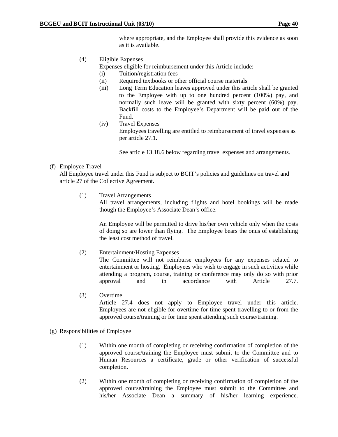where appropriate, and the Employee shall provide this evidence as soon as it is available.

(4) Eligible Expenses

Expenses eligible for reimbursement under this Article include:

- (i) Tuition/registration fees
- (ii) Required textbooks or other official course materials
- (iii) Long Term Education leaves approved under this article shall be granted to the Employee with up to one hundred percent (100%) pay, and normally such leave will be granted with sixty percent (60%) pay. Backfill costs to the Employee's Department will be paid out of the Fund.
- (iv) Travel Expenses Employees travelling are entitled to reimbursement of travel expenses as per article 27.1.

See article 13.18.6 below regarding travel expenses and arrangements.

(f) Employee Travel

All Employee travel under this Fund is subject to BCIT's policies and guidelines on travel and article 27 of the Collective Agreement.

(1) Travel Arrangements

 All travel arrangements, including flights and hotel bookings will be made though the Employee's Associate Dean's office.

An Employee will be permitted to drive his/her own vehicle only when the costs of doing so are lower than flying. The Employee bears the onus of establishing the least cost method of travel.

(2) Entertainment/Hosting Expenses

 The Committee will not reimburse employees for any expenses related to entertainment or hosting. Employees who wish to engage in such activities while attending a program, course, training or conference may only do so with prior approval and in accordance with Article 27.7.

(3) Overtime

Article 27.4 does not apply to Employee travel under this article. Employees are not eligible for overtime for time spent travelling to or from the approved course/training or for time spent attending such course/training.

- (g) Responsibilities of Employee
	- (1)Within one month of completing or receiving confirmation of completion of the approved course/training the Employee must submit to the Committee and to Human Resources a certificate, grade or other verification of successful completion.
	- (2) Within one month of completing or receiving confirmation of completion of the approved course/training the Employee must submit to the Committee and his/her Associate Dean a summary of his/her learning experience.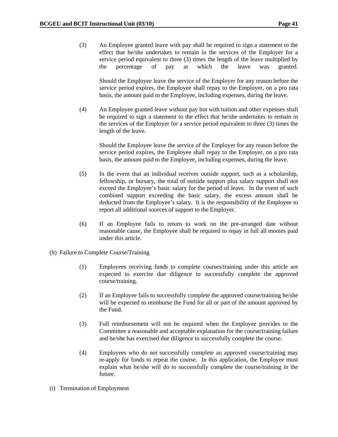(3) An Employee granted leave with pay shall be required to sign a statement to the effect that he/she undertakes to remain in the services of the Employer for a service period equivalent to three (3) times the length of the leave multiplied by the percentage of pay at which the leave was granted.

Should the Employee leave the service of the Employer for any reason before the service period expires, the Employee shall repay to the Employer, on a pro rata basis, the amount paid to the Employee, including expenses, during the leave.

(4) An Employee granted leave without pay but with tuition and other expenses shall be required to sign a statement to the effect that he/she undertakes to remain in the services of the Employer for a service period equivalent to three (3) times the length of the leave.

Should the Employee leave the service of the Employer for any reason before the service period expires, the Employee shall repay to the Employer, on a pro rata basis, the amount paid to the Employee, including expenses, during the leave.

- (5) In the event that an individual receives outside support, such as a scholarship, fellowship, or bursary, the total of outside support plus salary support shall not exceed the Employee's basic salary for the period of leave. In the event of such combined support exceeding the basic salary, the excess amount shall be deducted from the Employee's salary. It is the responsibility of the Employee to report all additional sources of support to the Employer.
- (6) If an Employee fails to return to work on the pre-arranged date without reasonable cause, the Employee shall be required to repay in full all monies paid under this article.
- (h) Failure to Complete Course/Training
	- (1) Employees receiving funds to complete courses/training under this article are expected to exercise due diligence to successfully complete the approved course/training.
	- (2) If an Employee fails to successfully complete the approved course/training he/she will be expected to reimburse the Fund for all or part of the amount approved by the Fund.
	- (3) Full reimbursement will not be required when the Employee provides to the Committee a reasonable and acceptable explanation for the course/training failure and he/she has exercised due diligence to successfully complete the course.
	- (4) Employees who do not successfully complete an approved course/training may re-apply for funds to repeat the course. In this application, the Employee must explain what he/she will do to successfully complete the course/training in the future.
- (i) Termination of Employment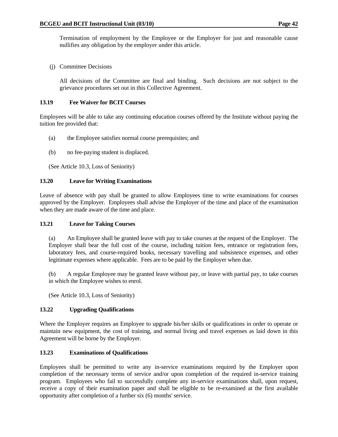Termination of employment by the Employee or the Employer for just and reasonable cause nullifies any obligation by the employer under this article.

(j) Committee Decisions

All decisions of the Committee are final and binding. Such decisions are not subject to the grievance procedures set out in this Collective Agreement.

### **13.19 Fee Waiver for BCIT Courses**

Employees will be able to take any continuing education courses offered by the Institute without paying the tuition fee provided that:

- (a) the Employee satisfies normal course prerequisites; and
- (b) no fee-paying student is displaced.

(See Article 10.3, Loss of Seniority)

### **13.20 Leave for Writing Examinations**

Leave of absence with pay shall be granted to allow Employees time to write examinations for courses approved by the Employer. Employees shall advise the Employer of the time and place of the examination when they are made aware of the time and place.

### **13.21 Leave for Taking Courses**

 (a) An Employee shall be granted leave with pay to take courses at the request of the Employer. The Employer shall bear the full cost of the course, including tuition fees, entrance or registration fees, laboratory fees, and course-required books, necessary travelling and subsistence expenses, and other legitimate expenses where applicable. Fees are to be paid by the Employer when due.

 (b) A regular Employee may be granted leave without pay, or leave with partial pay, to take courses in which the Employee wishes to enrol.

(See Article 10.3, Loss of Seniority)

## **13.22 Upgrading Qualifications**

Where the Employer requires an Employee to upgrade his/her skills or qualifications in order to operate or maintain new equipment, the cost of training, and normal living and travel expenses as laid down in this Agreement will be borne by the Employer.

## **13.23 Examinations of Qualifications**

Employees shall be permitted to write any in-service examinations required by the Employer upon completion of the necessary terms of service and/or upon completion of the required in-service training program. Employees who fail to successfully complete any in-service examinations shall, upon request, receive a copy of their examination paper and shall be eligible to be re-examined at the first available opportunity after completion of a further six (6) months' service.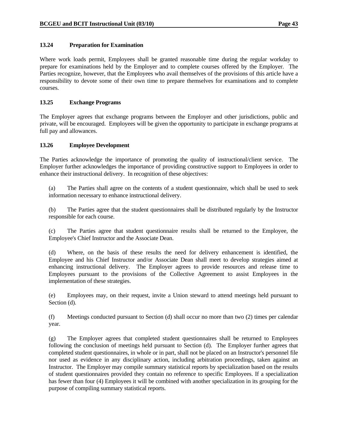### **13.24 Preparation for Examination**

Where work loads permit, Employees shall be granted reasonable time during the regular workday to prepare for examinations held by the Employer and to complete courses offered by the Employer. The Parties recognize, however, that the Employees who avail themselves of the provisions of this article have a responsibility to devote some of their own time to prepare themselves for examinations and to complete courses.

### **13.25 Exchange Programs**

The Employer agrees that exchange programs between the Employer and other jurisdictions, public and private, will be encouraged. Employees will be given the opportunity to participate in exchange programs at full pay and allowances.

### **13.26 Employee Development**

The Parties acknowledge the importance of promoting the quality of instructional/client service. The Employer further acknowledges the importance of providing constructive support to Employees in order to enhance their instructional delivery. In recognition of these objectives:

 (a) The Parties shall agree on the contents of a student questionnaire, which shall be used to seek information necessary to enhance instructional delivery.

 (b) The Parties agree that the student questionnaires shall be distributed regularly by the Instructor responsible for each course.

 (c) The Parties agree that student questionnaire results shall be returned to the Employee, the Employee's Chief Instructor and the Associate Dean.

 (d) Where, on the basis of these results the need for delivery enhancement is identified, the Employee and his Chief Instructor and/or Associate Dean shall meet to develop strategies aimed at enhancing instructional delivery. The Employer agrees to provide resources and release time to Employees pursuant to the provisions of the Collective Agreement to assist Employees in the implementation of these strategies.

 (e) Employees may, on their request, invite a Union steward to attend meetings held pursuant to Section (d).

 (f) Meetings conducted pursuant to Section (d) shall occur no more than two (2) times per calendar year.

 (g) The Employer agrees that completed student questionnaires shall be returned to Employees following the conclusion of meetings held pursuant to Section (d). The Employer further agrees that completed student questionnaires, in whole or in part, shall not be placed on an Instructor's personnel file nor used as evidence in any disciplinary action, including arbitration proceedings, taken against an Instructor. The Employer may compile summary statistical reports by specialization based on the results of student questionnaires provided they contain no reference to specific Employees. If a specialization has fewer than four (4) Employees it will be combined with another specialization in its grouping for the purpose of compiling summary statistical reports.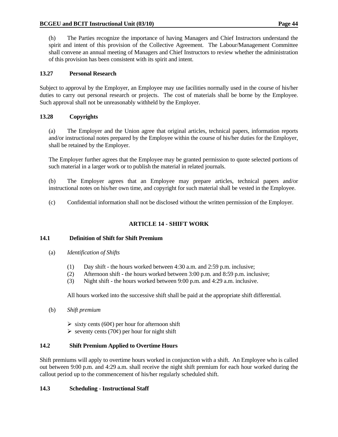(h) The Parties recognize the importance of having Managers and Chief Instructors understand the spirit and intent of this provision of the Collective Agreement. The Labour/Management Committee shall convene an annual meeting of Managers and Chief Instructors to review whether the administration of this provision has been consistent with its spirit and intent.

## **13.27 Personal Research**

Subject to approval by the Employer, an Employee may use facilities normally used in the course of his/her duties to carry out personal research or projects. The cost of materials shall be borne by the Employee. Such approval shall not be unreasonably withheld by the Employer.

# **13.28 Copyrights**

 (a) The Employer and the Union agree that original articles, technical papers, information reports and/or instructional notes prepared by the Employee within the course of his/her duties for the Employer, shall be retained by the Employer.

 The Employer further agrees that the Employee may be granted permission to quote selected portions of such material in a larger work or to publish the material in related journals.

 (b) The Employer agrees that an Employee may prepare articles, technical papers and/or instructional notes on his/her own time, and copyright for such material shall be vested in the Employee.

(c) Confidential information shall not be disclosed without the written permission of the Employer.

# **ARTICLE 14 - SHIFT WORK**

## **14.1 Definition of Shift for Shift Premium**

- (a) *Identification of Shifts*
	- (1) Day shift the hours worked between 4:30 a.m. and 2:59 p.m. inclusive;
	- (2) Afternoon shift the hours worked between 3:00 p.m. and 8:59 p.m. inclusive;
	- (3) Night shift the hours worked between 9:00 p.m. and 4:29 a.m. inclusive.

All hours worked into the successive shift shall be paid at the appropriate shift differential.

- (b) *Shift premium* 
	- $\triangleright$  sixty cents (60¢) per hour for afternoon shift
	- $\triangleright$  seventy cents (70 $\varphi$ ) per hour for night shift

## **14.2 Shift Premium Applied to Overtime Hours**

Shift premiums will apply to overtime hours worked in conjunction with a shift. An Employee who is called out between 9:00 p.m. and 4:29 a.m. shall receive the night shift premium for each hour worked during the callout period up to the commencement of his/her regularly scheduled shift.

## **14.3 Scheduling - Instructional Staff**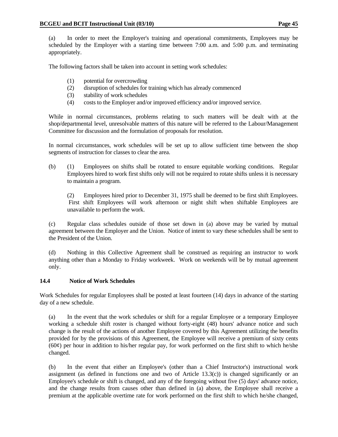(a) In order to meet the Employer's training and operational commitments, Employees may be scheduled by the Employer with a starting time between 7:00 a.m. and 5:00 p.m. and terminating appropriately.

The following factors shall be taken into account in setting work schedules:

- (1) potential for overcrowding
- (2) disruption of schedules for training which has already commenced
- (3) stability of work schedules
- (4) costs to the Employer and/or improved efficiency and/or improved service.

 While in normal circumstances, problems relating to such matters will be dealt with at the shop/departmental level, unresolvable matters of this nature will be referred to the Labour/Management Committee for discussion and the formulation of proposals for resolution.

 In normal circumstances, work schedules will be set up to allow sufficient time between the shop segments of instruction for classes to clear the area.

 (b) (1) Employees on shifts shall be rotated to ensure equitable working conditions. Regular Employees hired to work first shifts only will not be required to rotate shifts unless it is necessary to maintain a program.

 (2) Employees hired prior to December 31, 1975 shall be deemed to be first shift Employees. First shift Employees will work afternoon or night shift when shiftable Employees are unavailable to perform the work.

 (c) Regular class schedules outside of those set down in (a) above may be varied by mutual agreement between the Employer and the Union. Notice of intent to vary these schedules shall be sent to the President of the Union.

 (d) Nothing in this Collective Agreement shall be construed as requiring an instructor to work anything other than a Monday to Friday workweek. Work on weekends will be by mutual agreement only.

## **14.4 Notice of Work Schedules**

Work Schedules for regular Employees shall be posted at least fourteen (14) days in advance of the starting day of a new schedule.

 (a) In the event that the work schedules or shift for a regular Employee or a temporary Employee working a schedule shift roster is changed without forty-eight (48) hours' advance notice and such change is the result of the actions of another Employee covered by this Agreement utilizing the benefits provided for by the provisions of this Agreement, the Employee will receive a premium of sixty cents  $(60¢)$  per hour in addition to his/her regular pay, for work performed on the first shift to which he/she changed.

 (b) In the event that either an Employee's (other than a Chief Instructor's) instructional work assignment (as defined in functions one and two of Article  $13.3(c)$ ) is changed significantly or an Employee's schedule or shift is changed, and any of the foregoing without five (5) days' advance notice, and the change results from causes other than defined in (a) above, the Employee shall receive a premium at the applicable overtime rate for work performed on the first shift to which he/she changed,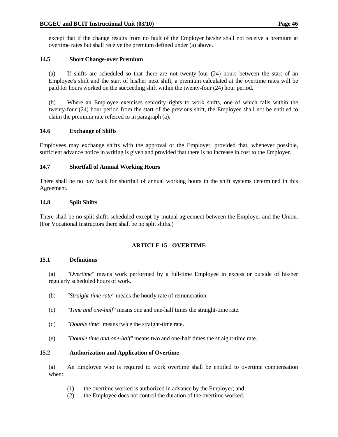except that if the change results from no fault of the Employer he/she shall not receive a premium at overtime rates but shall receive the premium defined under (a) above.

## **14.5 Short Change-over Premium**

 (a) If shifts are scheduled so that there are not twenty-four (24) hours between the start of an Employee's shift and the start of his/her next shift, a premium calculated at the overtime rates will be paid for hours worked on the succeeding shift within the twenty-four (24) hour period.

 (b) Where an Employee exercises seniority rights to work shifts, one of which falls within the twenty-four (24) hour period from the start of the previous shift, the Employee shall not be entitled to claim the premium rate referred to in paragraph (a).

## **14.6 Exchange of Shifts**

Employees may exchange shifts with the approval of the Employer, provided that, whenever possible, sufficient advance notice in writing is given and provided that there is no increase in cost to the Employer.

# **14.7 Shortfall of Annual Working Hours**

There shall be no pay back for shortfall of annual working hours in the shift systems determined in this Agreement.

## **14.8 Split Shifts**

There shall be no split shifts scheduled except by mutual agreement between the Employer and the Union. (For Vocational Instructors there shall be no split shifts.)

# **ARTICLE 15 - OVERTIME**

## **15.1 Definitions**

 (a) *"Overtime"* means work performed by a full-time Employee in excess or outside of his/her regularly scheduled hours of work.

- (b) *"Straight-time rate"* means the hourly rate of remuneration.
- (c) *"Time and one-half"* means one and one-half times the straight-time rate.
- (d) *"Double time"* means twice the straight-time rate.
- (e) *"Double time and one-half"* means two and one-half times the straight-time rate.

## **15.2 Authorization and Application of Overtime**

 (a) An Employee who is required to work overtime shall be entitled to overtime compensation when:

- (1) the overtime worked is authorized in advance by the Employer; and
- (2) the Employee does not control the duration of the overtime worked.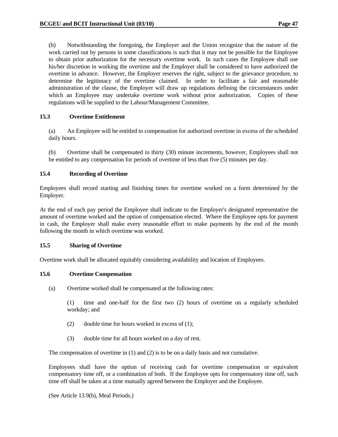(b) Notwithstanding the foregoing, the Employer and the Union recognize that the nature of the work carried out by persons in some classifications is such that it may not be possible for the Employee to obtain prior authorization for the necessary overtime work. In such cases the Employee shall use his/her discretion in working the overtime and the Employer shall be considered to have authorized the overtime in advance. However, the Employer reserves the right, subject to the grievance procedure, to determine the legitimacy of the overtime claimed. In order to facilitate a fair and reasonable administration of the clause, the Employer will draw up regulations defining the circumstances under which an Employee may undertake overtime work without prior authorization. Copies of these regulations will be supplied to the Labour/Management Committee.

### **15.3 Overtime Entitlement**

 (a) An Employee will be entitled to compensation for authorized overtime in excess of the scheduled daily hours.

 (b) Overtime shall be compensated in thirty (30) minute increments, however, Employees shall not be entitled to any compensation for periods of overtime of less than five (5) minutes per day.

### **15.4 Recording of Overtime**

Employees shall record starting and finishing times for overtime worked on a form determined by the Employer.

At the end of each pay period the Employee shall indicate to the Employer's designated representative the amount of overtime worked and the option of compensation elected. Where the Employee opts for payment in cash, the Employer shall make every reasonable effort to make payments by the end of the month following the month in which overtime was worked.

### **15.5 Sharing of Overtime**

Overtime work shall be allocated equitably considering availability and location of Employees.

### **15.6 Overtime Compensation**

(a) Overtime worked shall be compensated at the following rates:

 (1) time and one-half for the first two (2) hours of overtime on a regularly scheduled workday; and

- (2) double time for hours worked in excess of (1);
- (3) double time for all hours worked on a day of rest.

The compensation of overtime in (1) and (2) is to be on a daily basis and not cumulative.

 Employees shall have the option of receiving cash for overtime compensation or equivalent compensatory time off, or a combination of both. If the Employee opts for compensatory time off, such time off shall be taken at a time mutually agreed between the Employer and the Employee.

(See Article 13.9(b), Meal Periods.)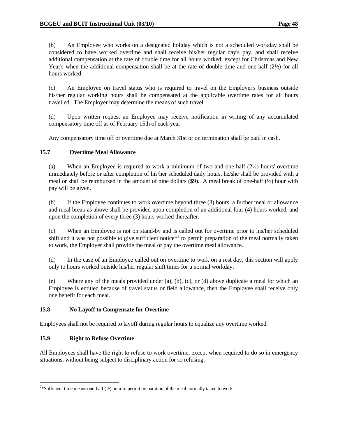(b) An Employee who works on a designated holiday which is not a scheduled workday shall be considered to have worked overtime and shall receive his/her regular day's pay, and shall receive additional compensation at the rate of double time for all hours worked; except for Christmas and New Year's when the additional compensation shall be at the rate of double time and one-half  $(2\frac{1}{2})$  for all hours worked.

 (c) An Employee on travel status who is required to travel on the Employer's business outside his/her regular working hours shall be compensated at the applicable overtime rates for all hours travelled. The Employer may determine the means of such travel.

 (d) Upon written request an Employee may receive notification in writing of any accumulated compensatory time off as of February 15th of each year.

Any compensatory time off or overtime due at March 31st or on termination shall be paid in cash.

### **15.7 Overtime Meal Allowance**

 (a) When an Employee is required to work a minimum of two and one-half (2½) hours' overtime immediately before or after completion of his/her scheduled daily hours, he/she shall be provided with a meal or shall be reimbursed in the amount of nine dollars  $(\frac{69}{12})$ . A meal break of one-half ( $\frac{1}{2}$ ) hour with pay will be given.

 (b) If the Employee continues to work overtime beyond three (3) hours, a further meal or allowance and meal break as above shall be provided upon completion of an additional four (4) hours worked, and upon the completion of every three (3) hours worked thereafter.

 (c) When an Employee is not on stand-by and is called out for overtime prior to his/her scheduled shift and it was not possible to give sufficient notice<sup> $*$ 2</sup> to permit preparation of the meal normally taken to work, the Employer shall provide the meal or pay the overtime meal allowance.

 (d) In the case of an Employee called out on overtime to work on a rest day, this section will apply only to hours worked outside his/her regular shift times for a normal workday.

 (e) Where any of the meals provided under (a), (b), (c), or (d) above duplicate a meal for which an Employee is entitled because of travel status or field allowance, then the Employee shall receive only one benefit for each meal.

### **15.8 No Layoff to Compensate for Overtime**

Employees shall not be required to layoff during regular hours to equalize any overtime worked.

## **15.9 Right to Refuse Overtime**

 $\overline{a}$ 

All Employees shall have the right to refuse to work overtime, except when required to do so in emergency situations, without being subject to disciplinary action for so refusing.

<sup>&</sup>lt;sup>2\*</sup>Sufficient time means one-half ( $\frac{1}{2}$ ) hour to permit preparation of the meal normally taken to work.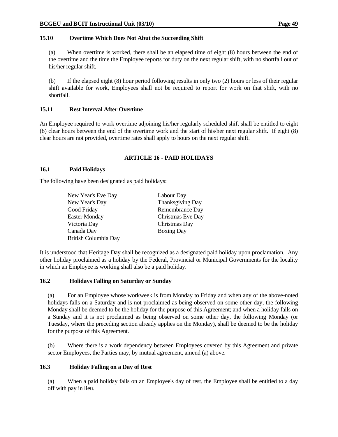### **15.10 Overtime Which Does Not Abut the Succeeding Shift**

 (a) When overtime is worked, there shall be an elapsed time of eight (8) hours between the end of the overtime and the time the Employee reports for duty on the next regular shift, with no shortfall out of his/her regular shift.

 (b) If the elapsed eight (8) hour period following results in only two (2) hours or less of their regular shift available for work, Employees shall not be required to report for work on that shift, with no shortfall.

### **15.11 Rest Interval After Overtime**

An Employee required to work overtime adjoining his/her regularly scheduled shift shall be entitled to eight (8) clear hours between the end of the overtime work and the start of his/her next regular shift. If eight (8) clear hours are not provided, overtime rates shall apply to hours on the next regular shift.

## **ARTICLE 16 - PAID HOLIDAYS**

### **16.1 Paid Holidays**

The following have been designated as paid holidays:

| New Year's Eve Day   | Labour Day        |
|----------------------|-------------------|
| New Year's Day       | Thanksgiving Day  |
| Good Friday          | Remembrance Day   |
| <b>Easter Monday</b> | Christmas Eve Day |
| Victoria Day         | Christmas Day     |
| Canada Day           | <b>Boxing Day</b> |
| British Columbia Day |                   |
|                      |                   |

It is understood that Heritage Day shall be recognized as a designated paid holiday upon proclamation. Any other holiday proclaimed as a holiday by the Federal, Provincial or Municipal Governments for the locality in which an Employee is working shall also be a paid holiday.

### **16.2 Holidays Falling on Saturday or Sunday**

 (a) For an Employee whose workweek is from Monday to Friday and when any of the above-noted holidays falls on a Saturday and is not proclaimed as being observed on some other day, the following Monday shall be deemed to be the holiday for the purpose of this Agreement; and when a holiday falls on a Sunday and it is not proclaimed as being observed on some other day, the following Monday (or Tuesday, where the preceding section already applies on the Monday), shall be deemed to be the holiday for the purpose of this Agreement.

 (b) Where there is a work dependency between Employees covered by this Agreement and private sector Employees, the Parties may, by mutual agreement, amend (a) above.

## **16.3 Holiday Falling on a Day of Rest**

 (a) When a paid holiday falls on an Employee's day of rest, the Employee shall be entitled to a day off with pay in lieu.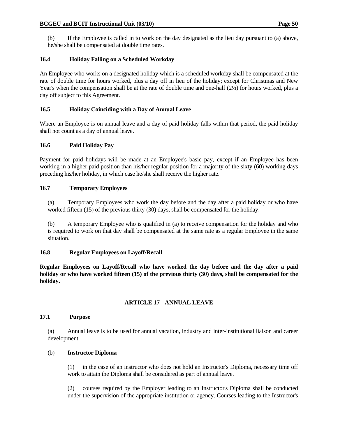(b) If the Employee is called in to work on the day designated as the lieu day pursuant to (a) above, he/she shall be compensated at double time rates.

# **16.4 Holiday Falling on a Scheduled Workday**

An Employee who works on a designated holiday which is a scheduled workday shall be compensated at the rate of double time for hours worked, plus a day off in lieu of the holiday; except for Christmas and New Year's when the compensation shall be at the rate of double time and one-half (2½) for hours worked, plus a day off subject to this Agreement.

## **16.5 Holiday Coinciding with a Day of Annual Leave**

Where an Employee is on annual leave and a day of paid holiday falls within that period, the paid holiday shall not count as a day of annual leave.

## **16.6 Paid Holiday Pay**

Payment for paid holidays will be made at an Employee's basic pay, except if an Employee has been working in a higher paid position than his/her regular position for a majority of the sixty (60) working days preceding his/her holiday, in which case he/she shall receive the higher rate.

## **16.7 Temporary Employees**

 (a) Temporary Employees who work the day before and the day after a paid holiday or who have worked fifteen (15) of the previous thirty (30) days, shall be compensated for the holiday.

 (b) A temporary Employee who is qualified in (a) to receive compensation for the holiday and who is required to work on that day shall be compensated at the same rate as a regular Employee in the same situation.

## **16.8 Regular Employees on Layoff/Recall**

**Regular Employees on Layoff/Recall who have worked the day before and the day after a paid holiday or who have worked fifteen (15) of the previous thirty (30) days, shall be compensated for the holiday.** 

## **ARTICLE 17 - ANNUAL LEAVE**

### **17.1 Purpose**

 (a) Annual leave is to be used for annual vacation, industry and inter-institutional liaison and career development.

## (b) **Instructor Diploma**

 (1) in the case of an instructor who does not hold an Instructor's Diploma, necessary time off work to attain the Diploma shall be considered as part of annual leave.

 (2) courses required by the Employer leading to an Instructor's Diploma shall be conducted under the supervision of the appropriate institution or agency. Courses leading to the Instructor's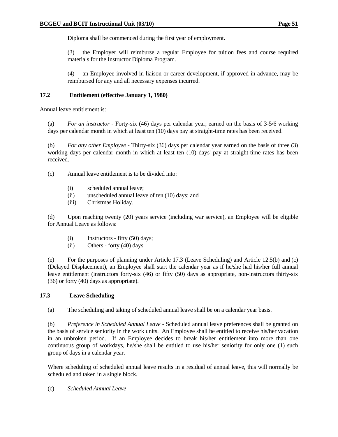Diploma shall be commenced during the first year of employment.

 (3) the Employer will reimburse a regular Employee for tuition fees and course required materials for the Instructor Diploma Program.

 (4) an Employee involved in liaison or career development, if approved in advance, may be reimbursed for any and all necessary expenses incurred.

### **17.2 Entitlement (effective January 1, 1980)**

Annual leave entitlement is:

 (a) *For an instructor* - Forty-six (46) days per calendar year, earned on the basis of 3-5/6 working days per calendar month in which at least ten (10) days pay at straight-time rates has been received.

 (b) *For any other Employee* - Thirty-six (36) days per calendar year earned on the basis of three (3) working days per calendar month in which at least ten (10) days' pay at straight-time rates has been received.

(c) Annual leave entitlement is to be divided into:

- (i) scheduled annual leave;
- (ii) unscheduled annual leave of ten (10) days; and
- (iii) Christmas Holiday.

 (d) Upon reaching twenty (20) years service (including war service), an Employee will be eligible for Annual Leave as follows:

- (i) Instructors fifty (50) days;
- (ii) Others forty (40) days.

 (e) For the purposes of planning under Article 17.3 (Leave Scheduling) and Article 12.5(b) and (c) (Delayed Displacement), an Employee shall start the calendar year as if he/she had his/her full annual leave entitlement (instructors forty-six (46) or fifty (50) days as appropriate, non-instructors thirty-six (36) or forty (40) days as appropriate).

## **17.3 Leave Scheduling**

(a) The scheduling and taking of scheduled annual leave shall be on a calendar year basis.

 (b) *Preference in Scheduled Annual Leave* - Scheduled annual leave preferences shall be granted on the basis of service seniority in the work units. An Employee shall be entitled to receive his/her vacation in an unbroken period. If an Employee decides to break his/her entitlement into more than one continuous group of workdays, he/she shall be entitled to use his/her seniority for only one (1) such group of days in a calendar year.

 Where scheduling of scheduled annual leave results in a residual of annual leave, this will normally be scheduled and taken in a single block.

(c) *Scheduled Annual Leave*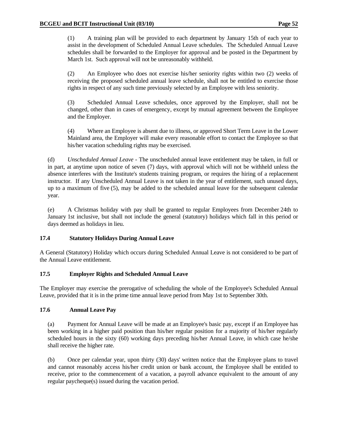(1) A training plan will be provided to each department by January 15th of each year to assist in the development of Scheduled Annual Leave schedules. The Scheduled Annual Leave schedules shall be forwarded to the Employer for approval and be posted in the Department by March 1st. Such approval will not be unreasonably withheld.

 (2) An Employee who does not exercise his/her seniority rights within two (2) weeks of receiving the proposed scheduled annual leave schedule, shall not be entitled to exercise those rights in respect of any such time previously selected by an Employee with less seniority.

 (3) Scheduled Annual Leave schedules, once approved by the Employer, shall not be changed, other than in cases of emergency, except by mutual agreement between the Employee and the Employer.

 (4) Where an Employee is absent due to illness, or approved Short Term Leave in the Lower Mainland area, the Employer will make every reasonable effort to contact the Employee so that his/her vacation scheduling rights may be exercised.

 (d) *Unscheduled Annual Leave* - The unscheduled annual leave entitlement may be taken, in full or in part, at anytime upon notice of seven (7) days, with approval which will not be withheld unless the absence interferes with the Institute's students training program, or requires the hiring of a replacement instructor. If any Unscheduled Annual Leave is not taken in the year of entitlement, such unused days, up to a maximum of five (5), may be added to the scheduled annual leave for the subsequent calendar year.

 (e) A Christmas holiday with pay shall be granted to regular Employees from December 24th to January 1st inclusive, but shall not include the general (statutory) holidays which fall in this period or days deemed as holidays in lieu.

## **17.4 Statutory Holidays During Annual Leave**

A General (Statutory) Holiday which occurs during Scheduled Annual Leave is not considered to be part of the Annual Leave entitlement.

### **17.5 Employer Rights and Scheduled Annual Leave**

The Employer may exercise the prerogative of scheduling the whole of the Employee's Scheduled Annual Leave, provided that it is in the prime time annual leave period from May 1st to September 30th.

### **17.6 Annual Leave Pay**

 (a) Payment for Annual Leave will be made at an Employee's basic pay, except if an Employee has been working in a higher paid position than his/her regular position for a majority of his/her regularly scheduled hours in the sixty (60) working days preceding his/her Annual Leave, in which case he/she shall receive the higher rate.

 (b) Once per calendar year, upon thirty (30) days' written notice that the Employee plans to travel and cannot reasonably access his/her credit union or bank account, the Employee shall be entitled to receive, prior to the commencement of a vacation, a payroll advance equivalent to the amount of any regular paycheque(s) issued during the vacation period.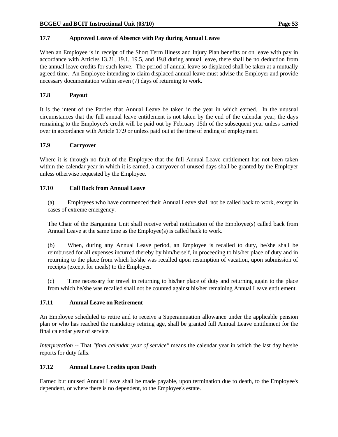### **17.7 Approved Leave of Absence with Pay during Annual Leave**

When an Employee is in receipt of the Short Term Illness and Injury Plan benefits or on leave with pay in accordance with Articles 13.21, 19.1, 19.5, and 19.8 during annual leave, there shall be no deduction from the annual leave credits for such leave. The period of annual leave so displaced shall be taken at a mutually agreed time. An Employee intending to claim displaced annual leave must advise the Employer and provide necessary documentation within seven (7) days of returning to work.

### **17.8 Payout**

It is the intent of the Parties that Annual Leave be taken in the year in which earned. In the unusual circumstances that the full annual leave entitlement is not taken by the end of the calendar year, the days remaining to the Employee's credit will be paid out by February 15th of the subsequent year unless carried over in accordance with Article 17.9 or unless paid out at the time of ending of employment.

### **17.9 Carryover**

Where it is through no fault of the Employee that the full Annual Leave entitlement has not been taken within the calendar year in which it is earned, a carryover of unused days shall be granted by the Employer unless otherwise requested by the Employee.

### **17.10 Call Back from Annual Leave**

 (a) Employees who have commenced their Annual Leave shall not be called back to work, except in cases of extreme emergency.

 The Chair of the Bargaining Unit shall receive verbal notification of the Employee(s) called back from Annual Leave at the same time as the Employee(s) is called back to work.

 (b) When, during any Annual Leave period, an Employee is recalled to duty, he/she shall be reimbursed for all expenses incurred thereby by him/herself, in proceeding to his/her place of duty and in returning to the place from which he/she was recalled upon resumption of vacation, upon submission of receipts (except for meals) to the Employer.

 (c) Time necessary for travel in returning to his/her place of duty and returning again to the place from which he/she was recalled shall not be counted against his/her remaining Annual Leave entitlement.

### **17.11 Annual Leave on Retirement**

An Employee scheduled to retire and to receive a Superannuation allowance under the applicable pension plan or who has reached the mandatory retiring age, shall be granted full Annual Leave entitlement for the final calendar year of service.

*Interpretation* -- That *"final calendar year of service"* means the calendar year in which the last day he/she reports for duty falls.

## **17.12 Annual Leave Credits upon Death**

Earned but unused Annual Leave shall be made payable, upon termination due to death, to the Employee's dependent, or where there is no dependent, to the Employee's estate.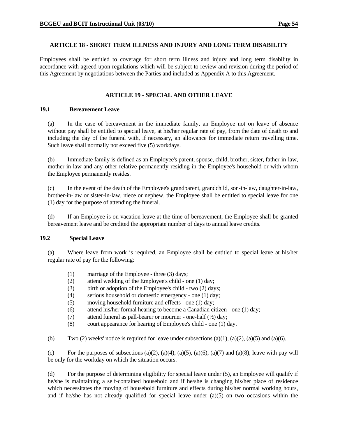#### **ARTICLE 18 - SHORT TERM ILLNESS AND INJURY AND LONG TERM DISABILITY**

Employees shall be entitled to coverage for short term illness and injury and long term disability in accordance with agreed upon regulations which will be subject to review and revision during the period of this Agreement by negotiations between the Parties and included as Appendix A to this Agreement.

### **ARTICLE 19 - SPECIAL AND OTHER LEAVE**

#### **19.1 Bereavement Leave**

 (a) In the case of bereavement in the immediate family, an Employee not on leave of absence without pay shall be entitled to special leave, at his/her regular rate of pay, from the date of death to and including the day of the funeral with, if necessary, an allowance for immediate return travelling time. Such leave shall normally not exceed five (5) workdays.

 (b) Immediate family is defined as an Employee's parent, spouse, child, brother, sister, father-in-law, mother-in-law and any other relative permanently residing in the Employee's household or with whom the Employee permanently resides.

 (c) In the event of the death of the Employee's grandparent, grandchild, son-in-law, daughter-in-law, brother-in-law or sister-in-law, niece or nephew, the Employee shall be entitled to special leave for one (1) day for the purpose of attending the funeral.

 (d) If an Employee is on vacation leave at the time of bereavement, the Employee shall be granted bereavement leave and be credited the appropriate number of days to annual leave credits.

### **19.2 Special Leave**

 (a) Where leave from work is required, an Employee shall be entitled to special leave at his/her regular rate of pay for the following:

- (1) marriage of the Employee three (3) days;
- (2) attend wedding of the Employee's child one (1) day;
- (3) birth or adoption of the Employee's child two (2) days;
- (4) serious household or domestic emergency one (1) day;
- (5) moving household furniture and effects one (1) day;
- (6) attend his/her formal hearing to become a Canadian citizen one (1) day;
- (7) attend funeral as pall-bearer or mourner one-half  $(\frac{1}{2})$  day;
- (8) court appearance for hearing of Employee's child one (1) day.

(b) Two (2) weeks' notice is required for leave under subsections (a)(1), (a)(2), (a)(5) and (a)(6).

(c) For the purposes of subsections (a)(2), (a)(4), (a)(5), (a)(6), (a)(7) and (a)(8), leave with pay will be only for the workday on which the situation occurs.

 (d) For the purpose of determining eligibility for special leave under (5), an Employee will qualify if he/she is maintaining a self-contained household and if he/she is changing his/her place of residence which necessitates the moving of household furniture and effects during his/her normal working hours, and if he/she has not already qualified for special leave under  $(a)(5)$  on two occasions within the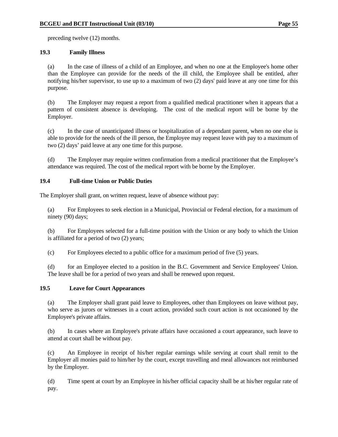preceding twelve (12) months.

### **19.3 Family Illness**

 (a) In the case of illness of a child of an Employee, and when no one at the Employee's home other than the Employee can provide for the needs of the ill child, the Employee shall be entitled, after notifying his/her supervisor, to use up to a maximum of two (2) days' paid leave at any one time for this purpose.

 (b) The Employer may request a report from a qualified medical practitioner when it appears that a pattern of consistent absence is developing. The cost of the medical report will be borne by the Employer.

 (c) In the case of unanticipated illness or hospitalization of a dependant parent, when no one else is able to provide for the needs of the ill person, the Employee may request leave with pay to a maximum of two (2) days' paid leave at any one time for this purpose.

 (d) The Employer may require written confirmation from a medical practitioner that the Employee's attendance was required. The cost of the medical report with be borne by the Employer.

### **19.4 Full-time Union or Public Duties**

The Employer shall grant, on written request, leave of absence without pay:

 (a) For Employees to seek election in a Municipal, Provincial or Federal election, for a maximum of ninety (90) days;

 (b) For Employees selected for a full-time position with the Union or any body to which the Union is affiliated for a period of two (2) years;

(c) For Employees elected to a public office for a maximum period of five (5) years.

 (d) for an Employee elected to a position in the B.C. Government and Service Employees' Union. The leave shall be for a period of two years and shall be renewed upon request.

### **19.5 Leave for Court Appearances**

 (a) The Employer shall grant paid leave to Employees, other than Employees on leave without pay, who serve as jurors or witnesses in a court action, provided such court action is not occasioned by the Employee's private affairs.

 (b) In cases where an Employee's private affairs have occasioned a court appearance, such leave to attend at court shall be without pay.

 (c) An Employee in receipt of his/her regular earnings while serving at court shall remit to the Employer all monies paid to him/her by the court, except travelling and meal allowances not reimbursed by the Employer.

 (d) Time spent at court by an Employee in his/her official capacity shall be at his/her regular rate of pay.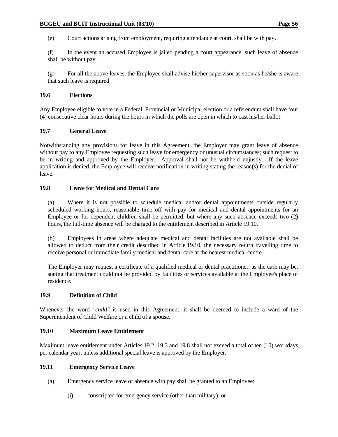(e) Court actions arising from employment, requiring attendance at court, shall be with pay.

 (f) In the event an accused Employee is jailed pending a court appearance, such leave of absence shall be without pay.

 (g) For all the above leaves, the Employee shall advise his/her supervisor as soon as he/she is aware that such leave is required.

#### **19.6 Elections**

Any Employee eligible to vote in a Federal, Provincial or Municipal election or a referendum shall have four (4) consecutive clear hours during the hours in which the polls are open in which to cast his/her ballot.

#### **19.7 General Leave**

Notwithstanding any provisions for leave in this Agreement, the Employer may grant leave of absence without pay to any Employee requesting such leave for emergency or unusual circumstances; such request to be in writing and approved by the Employer. Approval shall not be withheld unjustly. If the leave application is denied, the Employee will receive notification in writing stating the reason(s) for the denial of leave.

### **19.8 Leave for Medical and Dental Care**

 (a) Where it is not possible to schedule medical and/or dental appointments outside regularly scheduled working hours, reasonable time off with pay for medical and dental appointments for an Employee or for dependent children shall be permitted, but where any such absence exceeds two (2) hours, the full-time absence will be charged to the entitlement described in Article 19.10.

 (b) Employees in areas where adequate medical and dental facilities are not available shall be allowed to deduct from their credit described in Article 19.10, the necessary return travelling time to receive personal or immediate family medical and dental care at the nearest medical centre.

 The Employer may request a certificate of a qualified medical or dental practitioner, as the case may be, stating that treatment could not be provided by facilities or services available at the Employee's place of residence.

#### **19.9 Definition of Child**

Whenever the word *"child"* is used in this Agreement, it shall be deemed to include a ward of the Superintendent of Child Welfare or a child of a spouse.

### **19.10 Maximum Leave Entitlement**

Maximum leave entitlement under Articles 19.2, 19.3 and 19.8 shall not exceed a total of ten (10) workdays per calendar year, unless additional special leave is approved by the Employer.

### **19.11 Emergency Service Leave**

- (a) Emergency service leave of absence with pay shall be granted to an Employee:
	- (i) conscripted for emergency service (other than military); or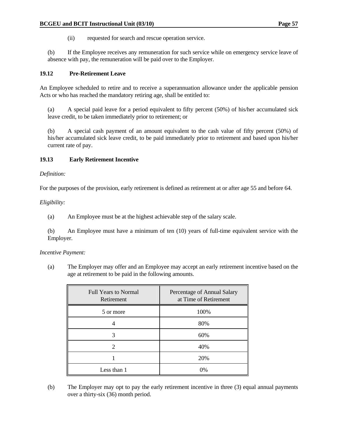(ii) requested for search and rescue operation service.

 (b) If the Employee receives any remuneration for such service while on emergency service leave of absence with pay, the remuneration will be paid over to the Employer.

### **19.12 Pre-Retirement Leave**

An Employee scheduled to retire and to receive a superannuation allowance under the applicable pension Acts or who has reached the mandatory retiring age, shall be entitled to:

 (a) A special paid leave for a period equivalent to fifty percent (50%) of his/her accumulated sick leave credit, to be taken immediately prior to retirement; or

 (b) A special cash payment of an amount equivalent to the cash value of fifty percent (50%) of his/her accumulated sick leave credit, to be paid immediately prior to retirement and based upon his/her current rate of pay.

### **19.13 Early Retirement Incentive**

*Definition:*

For the purposes of the provision, early retirement is defined as retirement at or after age 55 and before 64.

*Eligibility:*

(a) An Employee must be at the highest achievable step of the salary scale.

 (b) An Employee must have a minimum of ten (10) years of full-time equivalent service with the Employer.

#### *Incentive Payment:*

 (a) The Employer may offer and an Employee may accept an early retirement incentive based on the age at retirement to be paid in the following amounts.

| <b>Full Years to Normal</b><br>Retirement | Percentage of Annual Salary<br>at Time of Retirement |
|-------------------------------------------|------------------------------------------------------|
| 5 or more                                 | 100%                                                 |
|                                           | 80%                                                  |
| 3                                         | 60%                                                  |
| 2                                         | 40%                                                  |
|                                           | 20%                                                  |
| Less than 1                               | 0%                                                   |

 (b) The Employer may opt to pay the early retirement incentive in three (3) equal annual payments over a thirty-six (36) month period.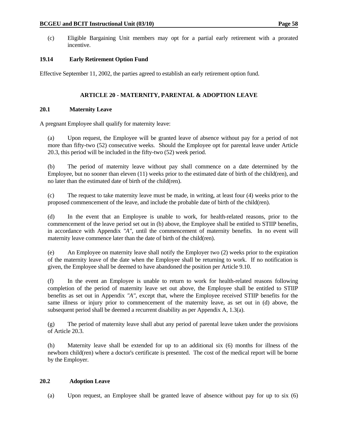(c) Eligible Bargaining Unit members may opt for a partial early retirement with a prorated incentive.

## **19.14 Early Retirement Option Fund**

Effective September 11, 2002, the parties agreed to establish an early retirement option fund.

# **ARTICLE 20 - MATERNITY, PARENTAL & ADOPTION LEAVE**

### **20.1 Maternity Leave**

A pregnant Employee shall qualify for maternity leave:

 (a) Upon request, the Employee will be granted leave of absence without pay for a period of not more than fifty-two (52) consecutive weeks. Should the Employee opt for parental leave under Article 20.3, this period will be included in the fifty-two (52) week period.

 (b) The period of maternity leave without pay shall commence on a date determined by the Employee, but no sooner than eleven (11) weeks prior to the estimated date of birth of the child(ren), and no later than the estimated date of birth of the child(ren).

 (c) The request to take maternity leave must be made, in writing, at least four (4) weeks prior to the proposed commencement of the leave, and include the probable date of birth of the child(ren).

 (d) In the event that an Employee is unable to work, for health-related reasons, prior to the commencement of the leave period set out in (b) above, the Employee shall be entitled to STIIP benefits, in accordance with Appendix *"A"*, until the commencement of maternity benefits. In no event will maternity leave commence later than the date of birth of the child(ren).

 (e) An Employee on maternity leave shall notify the Employer two (2) weeks prior to the expiration of the maternity leave of the date when the Employee shall be returning to work. If no notification is given, the Employee shall be deemed to have abandoned the position per Article 9.10.

 (f) In the event an Employee is unable to return to work for health-related reasons following completion of the period of maternity leave set out above, the Employee shall be entitled to STIIP benefits as set out in Appendix *"A"*, except that, where the Employee received STIIP benefits for the same illness or injury prior to commencement of the maternity leave, as set out in (d) above, the subsequent period shall be deemed a recurrent disability as per Appendix A, 1.3(a).

 (g) The period of maternity leave shall abut any period of parental leave taken under the provisions of Article 20.3.

 (h) Maternity leave shall be extended for up to an additional six (6) months for illness of the newborn child(ren) where a doctor's certificate is presented. The cost of the medical report will be borne by the Employer.

## **20.2 Adoption Leave**

(a) Upon request, an Employee shall be granted leave of absence without pay for up to six (6)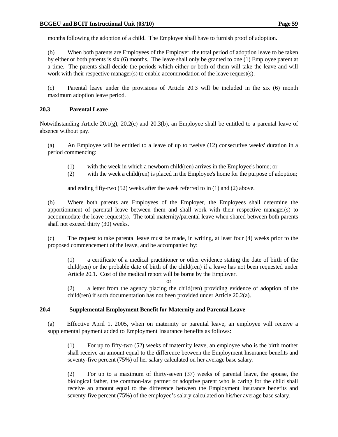months following the adoption of a child. The Employee shall have to furnish proof of adoption.

 (b) When both parents are Employees of the Employer, the total period of adoption leave to be taken by either or both parents is six (6) months. The leave shall only be granted to one (1) Employee parent at a time. The parents shall decide the periods which either or both of them will take the leave and will work with their respective manager(s) to enable accommodation of the leave request(s).

 (c) Parental leave under the provisions of Article 20.3 will be included in the six (6) month maximum adoption leave period.

### **20.3 Parental Leave**

Notwithstanding Article 20.1(g), 20.2(c) and 20.3(b), an Employee shall be entitled to a parental leave of absence without pay.

 (a) An Employee will be entitled to a leave of up to twelve (12) consecutive weeks' duration in a period commencing:

- (1) with the week in which a newborn child(ren) arrives in the Employee's home; or
- (2) with the week a child(ren) is placed in the Employee's home for the purpose of adoption;

and ending fifty-two (52) weeks after the week referred to in (1) and (2) above.

 (b) Where both parents are Employees of the Employer, the Employees shall determine the apportionment of parental leave between them and shall work with their respective manager(s) to accommodate the leave request(s). The total maternity/parental leave when shared between both parents shall not exceed thirty (30) weeks.

 (c) The request to take parental leave must be made, in writing, at least four (4) weeks prior to the proposed commencement of the leave, and be accompanied by:

 (1) a certificate of a medical practitioner or other evidence stating the date of birth of the child(ren) or the probable date of birth of the child(ren) if a leave has not been requested under Article 20.1. Cost of the medical report will be borne by the Employer.

or

 (2) a letter from the agency placing the child(ren) providing evidence of adoption of the child(ren) if such documentation has not been provided under Article 20.2(a).

### **20.4 Supplemental Employment Benefit for Maternity and Parental Leave**

(a) Effective April 1, 2005, when on maternity or parental leave, an employee will receive a supplemental payment added to Employment Insurance benefits as follows:

 (1) For up to fifty-two (52) weeks of maternity leave, an employee who is the birth mother shall receive an amount equal to the difference between the Employment Insurance benefits and seventy-five percent (75%) of her salary calculated on her average base salary.

 (2) For up to a maximum of thirty-seven (37) weeks of parental leave, the spouse, the biological father, the common-law partner or adoptive parent who is caring for the child shall receive an amount equal to the difference between the Employment Insurance benefits and seventy-five percent (75%) of the employee's salary calculated on his/her average base salary.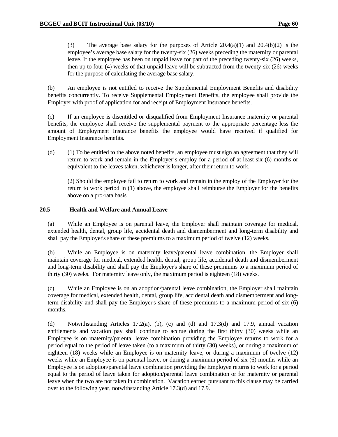(3) The average base salary for the purposes of Article  $20.4(a)(1)$  and  $20.4(b)(2)$  is the employee's average base salary for the twenty-six (26) weeks preceding the maternity or parental leave. If the employee has been on unpaid leave for part of the preceding twenty-six (26) weeks, then up to four (4) weeks of that unpaid leave will be subtracted from the twenty-six (26) weeks for the purpose of calculating the average base salary.

 (b) An employee is not entitled to receive the Supplemental Employment Benefits and disability benefits concurrently. To receive Supplemental Employment Benefits, the employee shall provide the Employer with proof of application for and receipt of Employment Insurance benefits.

 (c) If an employee is disentitled or disqualified from Employment Insurance maternity or parental benefits, the employee shall receive the supplemental payment to the appropriate percentage less the amount of Employment Insurance benefits the employee would have received if qualified for Employment Insurance benefits.

 (d) (1) To be entitled to the above noted benefits, an employee must sign an agreement that they will return to work and remain in the Employer's employ for a period of at least six (6) months or equivalent to the leaves taken, whichever is longer, after their return to work.

 (2) Should the employee fail to return to work and remain in the employ of the Employer for the return to work period in (1) above, the employee shall reimburse the Employer for the benefits above on a pro-rata basis.

### **20.5 Health and Welfare and Annual Leave**

 (a) While an Employee is on parental leave, the Employer shall maintain coverage for medical, extended health, dental, group life, accidental death and dismemberment and long-term disability and shall pay the Employer's share of these premiums to a maximum period of twelve (12) weeks.

 (b) While an Employee is on maternity leave/parental leave combination, the Employer shall maintain coverage for medical, extended health, dental, group life, accidental death and dismemberment and long-term disability and shall pay the Employer's share of these premiums to a maximum period of thirty (30) weeks. For maternity leave only, the maximum period is eighteen (18) weeks.

 (c) While an Employee is on an adoption/parental leave combination, the Employer shall maintain coverage for medical, extended health, dental, group life, accidental death and dismemberment and longterm disability and shall pay the Employer's share of these premiums to a maximum period of six (6) months.

(d) Notwithstanding Articles 17.2(a), (b), (c) and (d) and 17.3(d) and 17.9, annual vacation entitlements and vacation pay shall continue to accrue during the first thirty (30) weeks while an Employee is on maternity/parental leave combination providing the Employee returns to work for a period equal to the period of leave taken (to a maximum of thirty (30) weeks), or during a maximum of eighteen (18) weeks while an Employee is on maternity leave, or during a maximum of twelve (12) weeks while an Employee is on parental leave, or during a maximum period of six (6) months while an Employee is on adoption/parental leave combination providing the Employee returns to work for a period equal to the period of leave taken for adoption/parental leave combination or for maternity or parental leave when the two are not taken in combination. Vacation earned pursuant to this clause may be carried over to the following year, notwithstanding Article 17.3(d) and 17.9.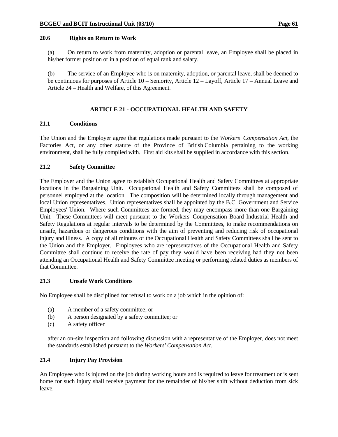#### **20.6 Rights on Return to Work**

 (a) On return to work from maternity, adoption or parental leave, an Employee shall be placed in his/her former position or in a position of equal rank and salary.

 (b) The service of an Employee who is on maternity, adoption, or parental leave, shall be deemed to be continuous for purposes of Article 10 – Seniority, Article 12 – Layoff, Article 17 – Annual Leave and Article 24 – Health and Welfare, of this Agreement.

## **ARTICLE 21 - OCCUPATIONAL HEALTH AND SAFETY**

### **21.1 Conditions**

The Union and the Employer agree that regulations made pursuant to the *Workers' Compensation Act*, the Factories Act, or any other statute of the Province of British Columbia pertaining to the working environment, shall be fully complied with. First aid kits shall be supplied in accordance with this section.

### **21.2 Safety Committee**

The Employer and the Union agree to establish Occupational Health and Safety Committees at appropriate locations in the Bargaining Unit. Occupational Health and Safety Committees shall be composed of personnel employed at the location. The composition will be determined locally through management and local Union representatives. Union representatives shall be appointed by the B.C. Government and Service Employees' Union. Where such Committees are formed, they may encompass more than one Bargaining Unit. These Committees will meet pursuant to the Workers' Compensation Board Industrial Health and Safety Regulations at regular intervals to be determined by the Committees, to make recommendations on unsafe, hazardous or dangerous conditions with the aim of preventing and reducing risk of occupational injury and illness. A copy of all minutes of the Occupational Health and Safety Committees shall be sent to the Union and the Employer. Employees who are representatives of the Occupational Health and Safety Committee shall continue to receive the rate of pay they would have been receiving had they not been attending an Occupational Health and Safety Committee meeting or performing related duties as members of that Committee.

#### **21.3 Unsafe Work Conditions**

No Employee shall be disciplined for refusal to work on a job which in the opinion of:

- (a) A member of a safety committee; or
- (b) A person designated by a safety committee; or
- (c) A safety officer

 after an on-site inspection and following discussion with a representative of the Employer, does not meet the standards established pursuant to the *Workers' Compensation Act*.

### **21.4 Injury Pay Provision**

An Employee who is injured on the job during working hours and is required to leave for treatment or is sent home for such injury shall receive payment for the remainder of his/her shift without deduction from sick leave.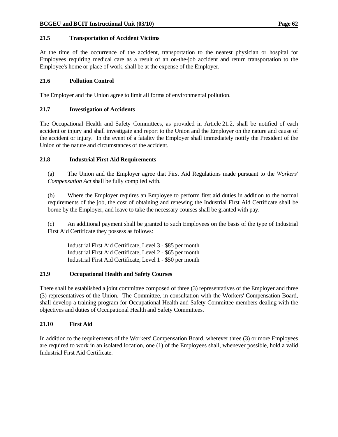### **21.5 Transportation of Accident Victims**

At the time of the occurrence of the accident, transportation to the nearest physician or hospital for Employees requiring medical care as a result of an on-the-job accident and return transportation to the Employee's home or place of work, shall be at the expense of the Employer.

### **21.6 Pollution Control**

The Employer and the Union agree to limit all forms of environmental pollution.

### **21.7 Investigation of Accidents**

The Occupational Health and Safety Committees, as provided in Article 21.2, shall be notified of each accident or injury and shall investigate and report to the Union and the Employer on the nature and cause of the accident or injury. In the event of a fatality the Employer shall immediately notify the President of the Union of the nature and circumstances of the accident.

### **21.8 Industrial First Aid Requirements**

 (a) The Union and the Employer agree that First Aid Regulations made pursuant to the *Workers' Compensation Act* shall be fully complied with.

 (b) Where the Employer requires an Employee to perform first aid duties in addition to the normal requirements of the job, the cost of obtaining and renewing the Industrial First Aid Certificate shall be borne by the Employer, and leave to take the necessary courses shall be granted with pay.

 (c) An additional payment shall be granted to such Employees on the basis of the type of Industrial First Aid Certificate they possess as follows:

 Industrial First Aid Certificate, Level 3 - \$85 per month Industrial First Aid Certificate, Level 2 - \$65 per month Industrial First Aid Certificate, Level 1 - \$50 per month

### **21.9 Occupational Health and Safety Courses**

There shall be established a joint committee composed of three (3) representatives of the Employer and three (3) representatives of the Union. The Committee, in consultation with the Workers' Compensation Board, shall develop a training program for Occupational Health and Safety Committee members dealing with the objectives and duties of Occupational Health and Safety Committees.

### **21.10 First Aid**

In addition to the requirements of the Workers' Compensation Board, wherever three (3) or more Employees are required to work in an isolated location, one (1) of the Employees shall, whenever possible, hold a valid Industrial First Aid Certificate.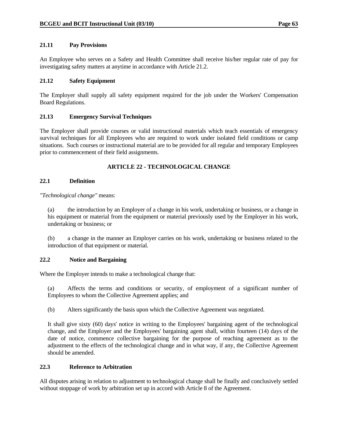### **21.11 Pay Provisions**

An Employee who serves on a Safety and Health Committee shall receive his/her regular rate of pay for investigating safety matters at anytime in accordance with Article 21.2.

### **21.12 Safety Equipment**

The Employer shall supply all safety equipment required for the job under the Workers' Compensation Board Regulations.

### **21.13 Emergency Survival Techniques**

The Employer shall provide courses or valid instructional materials which teach essentials of emergency survival techniques for all Employees who are required to work under isolated field conditions or camp situations. Such courses or instructional material are to be provided for all regular and temporary Employees prior to commencement of their field assignments.

## **ARTICLE 22 - TECHNOLOGICAL CHANGE**

### **22.1 Definition**

*"Technological change"* means:

 (a) the introduction by an Employer of a change in his work, undertaking or business, or a change in his equipment or material from the equipment or material previously used by the Employer in his work, undertaking or business; or

 (b) a change in the manner an Employer carries on his work, undertaking or business related to the introduction of that equipment or material.

### **22.2 Notice and Bargaining**

Where the Employer intends to make a technological change that:

 (a) Affects the terms and conditions or security, of employment of a significant number of Employees to whom the Collective Agreement applies; and

(b) Alters significantly the basis upon which the Collective Agreement was negotiated.

 It shall give sixty (60) days' notice in writing to the Employees' bargaining agent of the technological change, and the Employer and the Employees' bargaining agent shall, within fourteen (14) days of the date of notice, commence collective bargaining for the purpose of reaching agreement as to the adjustment to the effects of the technological change and in what way, if any, the Collective Agreement should be amended.

## **22.3 Reference to Arbitration**

All disputes arising in relation to adjustment to technological change shall be finally and conclusively settled without stoppage of work by arbitration set up in accord with Article 8 of the Agreement.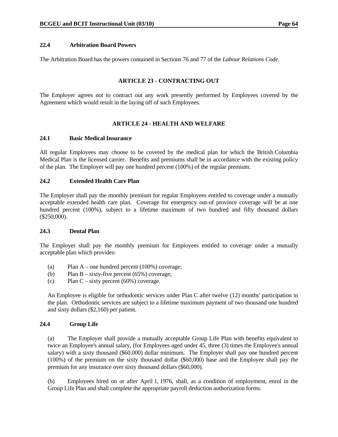### **22.4 Arbitration Board Powers**

The Arbitration Board has the powers contained in Sections 76 and 77 of the *Labour Relations Code*.

### **ARTICLE 23 - CONTRACTING OUT**

The Employer agrees not to contract out any work presently performed by Employees covered by the Agreement which would result in the laying off of such Employees.

### **ARTICLE 24 - HEALTH AND WELFARE**

#### **24.1 Basic Medical Insurance**

All regular Employees may choose to be covered by the medical plan for which the British Columbia Medical Plan is the licensed carrier. Benefits and premiums shall be in accordance with the existing policy of the plan. The Employer will pay one hundred percent (100%) of the regular premium.

### **24.2 Extended Health Care Plan**

The Employer shall pay the monthly premium for regular Employees entitled to coverage under a mutually acceptable extended health care plan. Coverage for emergency out-of province coverage will be at one hundred percent (100%), subject to a lifetime maximum of two hundred and fifty thousand dollars (\$250,000).

#### **24.3 Dental Plan**

The Employer shall pay the monthly premium for Employees entitled to coverage under a mutually acceptable plan which provides:

- (a) Plan A one hundred percent (100%) coverage;
- (b) Plan B sixty-five percent  $(65\%)$  coverage;
- (c) Plan C sixty percent (60%) coverage.

 An Employee is eligible for orthodontic services under Plan C after twelve (12) months' participation in the plan. Orthodontic services are subject to a lifetime maximum payment of two thousand one hundred and sixty dollars (\$2,160) per patient.

#### **24.4 Group Life**

 (a) The Employer shall provide a mutually acceptable Group Life Plan with benefits equivalent to twice an Employee's annual salary, (for Employees aged under 45, three (3) times the Employee's annual salary) with a sixty thousand (\$60,000) dollar minimum. The Employer shall pay one hundred percent (100%) of the premium on the sixty thousand dollar (\$60,000) base and the Employee shall pay the premium for any insurance over sixty thousand dollars (\$60,000).

 (b) Employees hired on or after April 1, 1976, shall, as a condition of employment, enrol in the Group Life Plan and shall complete the appropriate payroll deduction authorization forms.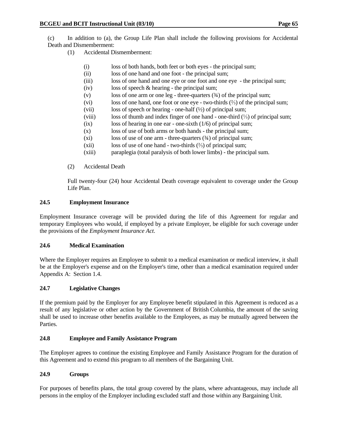(c) In addition to (a), the Group Life Plan shall include the following provisions for Accidental Death and Dismemberment:

- (1) Accidental Dismemberment:
	- (i) loss of both hands, both feet or both eyes the principal sum;
	- (ii) loss of one hand and one foot the principal sum;
	- (iii) loss of one hand and one eye or one foot and one eye the principal sum;
	- (iv) loss of speech & hearing the principal sum;
	- (v) loss of one arm or one leg three-quarters  $(3/4)$  of the principal sum;
	- (vi) loss of one hand, one foot or one eye two-thirds (⅔) of the principal sum;
	- (vii) loss of speech or hearing one-half (½) of principal sum;
	- (viii) loss of thumb and index finger of one hand one-third (⅓) of principal sum;
	- (ix) loss of hearing in one ear one-sixth (1/6) of principal sum;
	- (x) loss of use of both arms or both hands the principal sum;
	- $(xi)$  loss of use of one arm three-quarters  $(34)$  of principal sum;
	- (xii) loss of use of one hand two-thirds  $(\frac{2}{3})$  of principal sum;
	- (xiii) paraplegia (total paralysis of both lower limbs) the principal sum.
- (2) Accidental Death

 Full twenty-four (24) hour Accidental Death coverage equivalent to coverage under the Group Life Plan.

### **24.5 Employment Insurance**

Employment Insurance coverage will be provided during the life of this Agreement for regular and temporary Employees who would, if employed by a private Employer, be eligible for such coverage under the provisions of the *Employment Insurance Act*.

### **24.6 Medical Examination**

Where the Employer requires an Employee to submit to a medical examination or medical interview, it shall be at the Employer's expense and on the Employer's time, other than a medical examination required under Appendix A: Section 1.4.

### **24.7 Legislative Changes**

If the premium paid by the Employer for any Employee benefit stipulated in this Agreement is reduced as a result of any legislative or other action by the Government of British Columbia, the amount of the saving shall be used to increase other benefits available to the Employees, as may be mutually agreed between the Parties.

# **24.8 Employee and Family Assistance Program**

The Employer agrees to continue the existing Employee and Family Assistance Program for the duration of this Agreement and to extend this program to all members of the Bargaining Unit.

### **24.9 Groups**

For purposes of benefits plans, the total group covered by the plans, where advantageous, may include all persons in the employ of the Employer including excluded staff and those within any Bargaining Unit.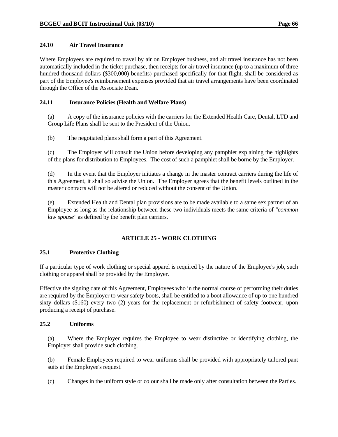### **24.10 Air Travel Insurance**

Where Employees are required to travel by air on Employer business, and air travel insurance has not been automatically included in the ticket purchase, then receipts for air travel insurance (up to a maximum of three hundred thousand dollars (\$300,000) benefits) purchased specifically for that flight, shall be considered as part of the Employee's reimbursement expenses provided that air travel arrangements have been coordinated through the Office of the Associate Dean.

### **24.11 Insurance Policies (Health and Welfare Plans)**

 (a) A copy of the insurance policies with the carriers for the Extended Health Care, Dental, LTD and Group Life Plans shall be sent to the President of the Union.

(b) The negotiated plans shall form a part of this Agreement.

 (c) The Employer will consult the Union before developing any pamphlet explaining the highlights of the plans for distribution to Employees. The cost of such a pamphlet shall be borne by the Employer.

 (d) In the event that the Employer initiates a change in the master contract carriers during the life of this Agreement, it shall so advise the Union. The Employer agrees that the benefit levels outlined in the master contracts will not be altered or reduced without the consent of the Union.

 (e) Extended Health and Dental plan provisions are to be made available to a same sex partner of an Employee as long as the relationship between these two individuals meets the same criteria of *"common law spouse"* as defined by the benefit plan carriers.

# **ARTICLE 25 - WORK CLOTHING**

### **25.1 Protective Clothing**

If a particular type of work clothing or special apparel is required by the nature of the Employee's job, such clothing or apparel shall be provided by the Employer.

Effective the signing date of this Agreement, Employees who in the normal course of performing their duties are required by the Employer to wear safety boots, shall be entitled to a boot allowance of up to one hundred sixty dollars (\$160) every two (2) years for the replacement or refurbishment of safety footwear, upon producing a receipt of purchase.

### **25.2 Uniforms**

 (a) Where the Employer requires the Employee to wear distinctive or identifying clothing, the Employer shall provide such clothing.

 (b) Female Employees required to wear uniforms shall be provided with appropriately tailored pant suits at the Employee's request.

(c) Changes in the uniform style or colour shall be made only after consultation between the Parties.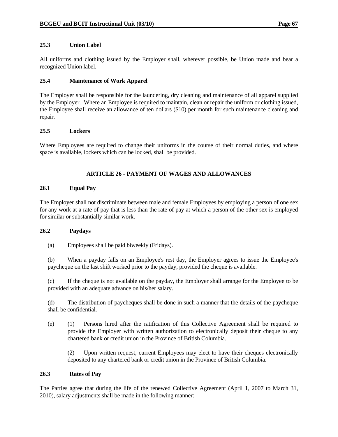### **25.3 Union Label**

All uniforms and clothing issued by the Employer shall, wherever possible, be Union made and bear a recognized Union label.

### **25.4 Maintenance of Work Apparel**

The Employer shall be responsible for the laundering, dry cleaning and maintenance of all apparel supplied by the Employer. Where an Employee is required to maintain, clean or repair the uniform or clothing issued, the Employee shall receive an allowance of ten dollars (\$10) per month for such maintenance cleaning and repair.

### **25.5 Lockers**

Where Employees are required to change their uniforms in the course of their normal duties, and where space is available, lockers which can be locked, shall be provided.

# **ARTICLE 26 - PAYMENT OF WAGES AND ALLOWANCES**

### **26.1 Equal Pay**

The Employer shall not discriminate between male and female Employees by employing a person of one sex for any work at a rate of pay that is less than the rate of pay at which a person of the other sex is employed for similar or substantially similar work.

### **26.2 Paydays**

(a) Employees shall be paid biweekly (Fridays).

 (b) When a payday falls on an Employee's rest day, the Employer agrees to issue the Employee's paycheque on the last shift worked prior to the payday, provided the cheque is available.

 (c) If the cheque is not available on the payday, the Employer shall arrange for the Employee to be provided with an adequate advance on his/her salary.

 (d) The distribution of paycheques shall be done in such a manner that the details of the paycheque shall be confidential.

 (e) (1) Persons hired after the ratification of this Collective Agreement shall be required to provide the Employer with written authorization to electronically deposit their cheque to any chartered bank or credit union in the Province of British Columbia.

 (2) Upon written request, current Employees may elect to have their cheques electronically deposited to any chartered bank or credit union in the Province of British Columbia.

### **26.3 Rates of Pay**

The Parties agree that during the life of the renewed Collective Agreement (April 1, 2007 to March 31, 2010), salary adjustments shall be made in the following manner: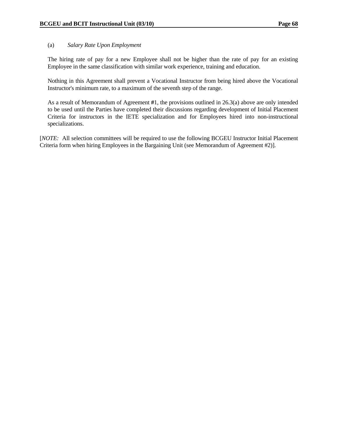### (a) *Salary Rate Upon Employment*

 The hiring rate of pay for a new Employee shall not be higher than the rate of pay for an existing Employee in the same classification with similar work experience, training and education.

 Nothing in this Agreement shall prevent a Vocational Instructor from being hired above the Vocational Instructor's minimum rate, to a maximum of the seventh step of the range.

 As a result of Memorandum of Agreement **#**1, the provisions outlined in 26.3(a) above are only intended to be used until the Parties have completed their discussions regarding development of Initial Placement Criteria for instructors in the IETE specialization and for Employees hired into non-instructional specializations.

[*NOTE:* All selection committees will be required to use the following BCGEU Instructor Initial Placement Criteria form when hiring Employees in the Bargaining Unit (see Memorandum of Agreement #2)].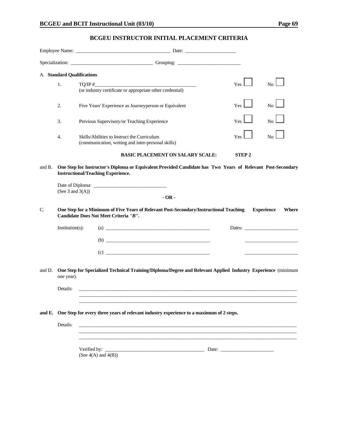# **BCGEU INSTRUCTOR INITIAL PLACEMENT CRITERIA**

|        |                     | Specialization: Changes and Company Company Company Company Company Company Company Company Company Company Company Company Company Company Company Company Company Company Company Company Company Company Company Company Co |              |                            |
|--------|---------------------|--------------------------------------------------------------------------------------------------------------------------------------------------------------------------------------------------------------------------------|--------------|----------------------------|
|        |                     | A. Standard Qualifications                                                                                                                                                                                                     |              |                            |
|        | 1.                  | TO/IP #<br>(or industry certificate or appropriate other credential)                                                                                                                                                           | <b>Yes</b>   | N <sub>0</sub>             |
|        | 2.                  | Five Years' Experience as Journeyperson or Equivalent                                                                                                                                                                          | Yes          | N <sub>0</sub>             |
|        | 3.                  | Previous Supervisory/or Teaching Experience                                                                                                                                                                                    | Yes          | N <sub>0</sub>             |
|        | 4.                  | Skills/Abilities to Instruct the Curriculum<br>(communication, writing and inter-personal skills)                                                                                                                              | Yes          | N <sub>0</sub>             |
|        |                     | <b>BASIC PLACEMENT ON SALARY SCALE:</b>                                                                                                                                                                                        | <b>STEP2</b> |                            |
| and B. | (See 3 and $3(A)$ ) | One Step for Instructor's Diploma or Equivalent Provided Candidate has Two Years of Relevant Post-Secondary<br><b>Instructional/Teaching Experience.</b><br>$-OR -$                                                            |              |                            |
| C.     |                     | One Step for a Minimum of Five Years of Relevant Post-Secondary/Instructional Teaching<br>Candidate Does Not Meet Criteria "B".                                                                                                |              | <b>Experience</b><br>Where |
|        | $Institution(s)$ :  | $\left( \text{a} \right)$                                                                                                                                                                                                      |              | Dates:                     |
|        |                     | $\begin{array}{c}\n\text{(b)}\end{array}$                                                                                                                                                                                      |              |                            |
|        |                     |                                                                                                                                                                                                                                |              |                            |
| and D. | one year).          | One Step for Specialized Technical Training/Diploma/Degree and Relevant Applied Industry Experience (minimum                                                                                                                   |              |                            |
|        | Details:            |                                                                                                                                                                                                                                |              |                            |
|        |                     | and E. One Step for every three years of relevant industry experience to a maximum of 2 steps.                                                                                                                                 |              |                            |
|        | Details:            | <u> 1989 - Johann Stoff, amerikansk politiker (* 1908)</u><br>,我们也不能在这里的时候,我们也不能在这里的时候,我们也不能会在这里的时候,我们也不能会在这里的时候,我们也不能会在这里的时候,我们也不能会在这里的时候,我们也                                                                                 |              |                            |
|        |                     | (See $4(A)$ and $4(B)$ )                                                                                                                                                                                                       |              |                            |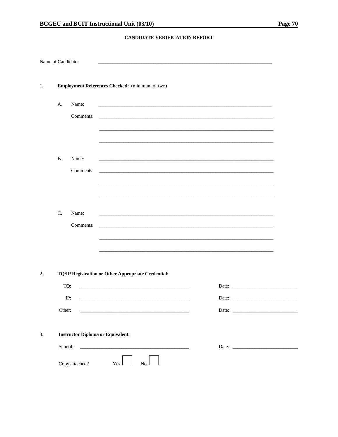#### CANDIDATE VERIFICATION REPORT

| Name of Candidate: |           |                |                                                                                                                     |  |
|--------------------|-----------|----------------|---------------------------------------------------------------------------------------------------------------------|--|
| 1.                 |           |                | Employment References Checked: (minimum of two)                                                                     |  |
|                    | A.        | Name:          |                                                                                                                     |  |
|                    |           | Comments:      |                                                                                                                     |  |
|                    |           |                |                                                                                                                     |  |
|                    |           |                |                                                                                                                     |  |
|                    | <b>B.</b> | Name:          | <u> 1989 - Johann Stoff, amerikansk politiker (* 1908)</u>                                                          |  |
|                    |           | Comments:      | <u> 1989 - Johann Stoff, amerikansk politiker (* 1908)</u>                                                          |  |
|                    |           |                |                                                                                                                     |  |
|                    |           |                |                                                                                                                     |  |
|                    | C.        | Name:          |                                                                                                                     |  |
|                    |           | Comments:      |                                                                                                                     |  |
|                    |           |                |                                                                                                                     |  |
|                    |           |                |                                                                                                                     |  |
| 2.                 |           |                | TQ/IP Registration or Other Appropriate Credential:                                                                 |  |
|                    | TQ:       |                | <u> 1989 - Johann John Stone, mars eta bainar eta baina eta erromania eta erromania eta erromania eta erromania</u> |  |
|                    |           | IP:            | Date:                                                                                                               |  |
|                    | Other:    |                |                                                                                                                     |  |
|                    |           |                |                                                                                                                     |  |
| 3.                 |           |                | <b>Instructor Diploma or Equivalent:</b>                                                                            |  |
|                    | School:   |                | <u> 1989 - Johann John Stoff, amerikansk politiker (</u>                                                            |  |
|                    |           | Copy attached? | Yes  <br>No                                                                                                         |  |
|                    |           |                |                                                                                                                     |  |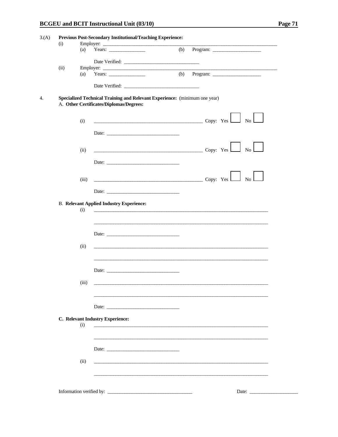| (i)  |       |                                                                                                                  |     |                                                                                                                                                                                                                                                                                                                                                                                                                                                                                       |
|------|-------|------------------------------------------------------------------------------------------------------------------|-----|---------------------------------------------------------------------------------------------------------------------------------------------------------------------------------------------------------------------------------------------------------------------------------------------------------------------------------------------------------------------------------------------------------------------------------------------------------------------------------------|
|      | (a)   |                                                                                                                  | (b) |                                                                                                                                                                                                                                                                                                                                                                                                                                                                                       |
|      |       |                                                                                                                  |     |                                                                                                                                                                                                                                                                                                                                                                                                                                                                                       |
| (ii) |       | Employer:                                                                                                        |     |                                                                                                                                                                                                                                                                                                                                                                                                                                                                                       |
|      | (a)   | Years: $\qquad \qquad$                                                                                           | (b) |                                                                                                                                                                                                                                                                                                                                                                                                                                                                                       |
|      |       |                                                                                                                  |     |                                                                                                                                                                                                                                                                                                                                                                                                                                                                                       |
|      |       | Date Verified:                                                                                                   |     |                                                                                                                                                                                                                                                                                                                                                                                                                                                                                       |
|      |       | Specialized Technical Training and Relevant Experience: (minimum one year)                                       |     |                                                                                                                                                                                                                                                                                                                                                                                                                                                                                       |
|      |       | A. Other Certificates/Diplomas/Degrees:                                                                          |     |                                                                                                                                                                                                                                                                                                                                                                                                                                                                                       |
|      |       |                                                                                                                  |     |                                                                                                                                                                                                                                                                                                                                                                                                                                                                                       |
|      | (i)   |                                                                                                                  |     | $Copy: Yes \t\t No \t\t$                                                                                                                                                                                                                                                                                                                                                                                                                                                              |
|      |       | Date:                                                                                                            |     |                                                                                                                                                                                                                                                                                                                                                                                                                                                                                       |
|      |       |                                                                                                                  |     |                                                                                                                                                                                                                                                                                                                                                                                                                                                                                       |
|      |       |                                                                                                                  |     |                                                                                                                                                                                                                                                                                                                                                                                                                                                                                       |
|      | (ii)  |                                                                                                                  |     | $\overline{\phantom{a}}$ $\overline{\phantom{a}}$ $\overline{\phantom{a}}$ $\overline{\phantom{a}}$ $\overline{\phantom{a}}$ $\overline{\phantom{a}}$ $\overline{\phantom{a}}$ $\overline{\phantom{a}}$ $\overline{\phantom{a}}$ $\overline{\phantom{a}}$ $\overline{\phantom{a}}$ $\overline{\phantom{a}}$ $\overline{\phantom{a}}$ $\overline{\phantom{a}}$ $\overline{\phantom{a}}$ $\overline{\phantom{a}}$ $\overline{\phantom{a}}$ $\overline{\phantom{a}}$ $\overline{\$<br>No |
|      |       | Date: $\qquad \qquad$                                                                                            |     |                                                                                                                                                                                                                                                                                                                                                                                                                                                                                       |
|      |       |                                                                                                                  |     |                                                                                                                                                                                                                                                                                                                                                                                                                                                                                       |
|      | (iii) |                                                                                                                  |     | $\overline{\phantom{a}}$ $\overline{\phantom{a}}$ $\overline{\phantom{a}}$ $\overline{\phantom{a}}$ $\overline{\phantom{a}}$ $\overline{\phantom{a}}$ $\overline{\phantom{a}}$ $\overline{\phantom{a}}$ $\overline{\phantom{a}}$ $\overline{\phantom{a}}$ $\overline{\phantom{a}}$ $\overline{\phantom{a}}$ $\overline{\phantom{a}}$ $\overline{\phantom{a}}$ $\overline{\phantom{a}}$ $\overline{\phantom{a}}$ $\overline{\phantom{a}}$ $\overline{\phantom{a}}$ $\overline{\$       |
|      |       |                                                                                                                  |     |                                                                                                                                                                                                                                                                                                                                                                                                                                                                                       |
|      |       |                                                                                                                  |     |                                                                                                                                                                                                                                                                                                                                                                                                                                                                                       |
|      |       | <b>B. Relevant Applied Industry Experience:</b>                                                                  |     |                                                                                                                                                                                                                                                                                                                                                                                                                                                                                       |
|      | (i)   |                                                                                                                  |     |                                                                                                                                                                                                                                                                                                                                                                                                                                                                                       |
|      |       |                                                                                                                  |     |                                                                                                                                                                                                                                                                                                                                                                                                                                                                                       |
|      |       |                                                                                                                  |     |                                                                                                                                                                                                                                                                                                                                                                                                                                                                                       |
|      |       | Date:                                                                                                            |     |                                                                                                                                                                                                                                                                                                                                                                                                                                                                                       |
|      | (ii)  |                                                                                                                  |     |                                                                                                                                                                                                                                                                                                                                                                                                                                                                                       |
|      |       |                                                                                                                  |     |                                                                                                                                                                                                                                                                                                                                                                                                                                                                                       |
|      |       |                                                                                                                  |     |                                                                                                                                                                                                                                                                                                                                                                                                                                                                                       |
|      |       | Date:                                                                                                            |     |                                                                                                                                                                                                                                                                                                                                                                                                                                                                                       |
|      |       |                                                                                                                  |     |                                                                                                                                                                                                                                                                                                                                                                                                                                                                                       |
|      | (iii) |                                                                                                                  |     |                                                                                                                                                                                                                                                                                                                                                                                                                                                                                       |
|      |       |                                                                                                                  |     |                                                                                                                                                                                                                                                                                                                                                                                                                                                                                       |
|      |       |                                                                                                                  |     |                                                                                                                                                                                                                                                                                                                                                                                                                                                                                       |
|      |       | Date:                                                                                                            |     |                                                                                                                                                                                                                                                                                                                                                                                                                                                                                       |
|      |       | C. Relevant Industry Experience:                                                                                 |     |                                                                                                                                                                                                                                                                                                                                                                                                                                                                                       |
|      | (i)   | and the control of the control of the control of the control of the control of the control of the control of the |     |                                                                                                                                                                                                                                                                                                                                                                                                                                                                                       |
|      |       |                                                                                                                  |     |                                                                                                                                                                                                                                                                                                                                                                                                                                                                                       |
|      |       |                                                                                                                  |     |                                                                                                                                                                                                                                                                                                                                                                                                                                                                                       |
|      |       |                                                                                                                  |     |                                                                                                                                                                                                                                                                                                                                                                                                                                                                                       |
|      |       |                                                                                                                  |     |                                                                                                                                                                                                                                                                                                                                                                                                                                                                                       |
|      | (ii)  |                                                                                                                  |     |                                                                                                                                                                                                                                                                                                                                                                                                                                                                                       |
|      |       |                                                                                                                  |     |                                                                                                                                                                                                                                                                                                                                                                                                                                                                                       |
|      |       |                                                                                                                  |     |                                                                                                                                                                                                                                                                                                                                                                                                                                                                                       |
|      |       | Information verified by:                                                                                         |     | Date:                                                                                                                                                                                                                                                                                                                                                                                                                                                                                 |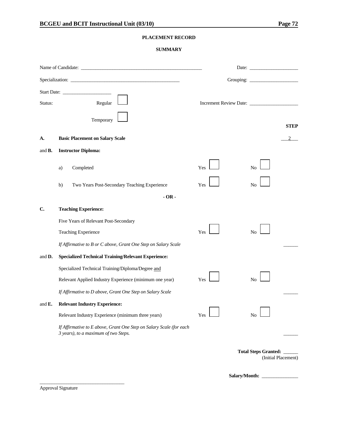### **PLACEMENT RECORD**

#### **SUMMARY**

|                    |    |                                                                                                             |     | Date: $\qquad \qquad$                            |
|--------------------|----|-------------------------------------------------------------------------------------------------------------|-----|--------------------------------------------------|
|                    |    |                                                                                                             |     |                                                  |
|                    |    |                                                                                                             |     |                                                  |
| Status:            |    | Regular                                                                                                     |     |                                                  |
|                    |    | Temporary                                                                                                   |     | <b>STEP</b>                                      |
| А.                 |    | <b>Basic Placement on Salary Scale</b>                                                                      |     |                                                  |
| and <b>B.</b>      |    | <b>Instructor Diploma:</b>                                                                                  |     |                                                  |
|                    | a) | Completed                                                                                                   | Yes | No                                               |
|                    | b) | Two Years Post-Secondary Teaching Experience                                                                | Yes | No                                               |
|                    |    | $-OR -$                                                                                                     |     |                                                  |
| C.                 |    | <b>Teaching Experience:</b>                                                                                 |     |                                                  |
|                    |    | Five Years of Relevant Post-Secondary                                                                       |     |                                                  |
|                    |    | Teaching Experience                                                                                         | Yes | No                                               |
|                    |    | If Affirmative to B or C above, Grant One Step on Salary Scale                                              |     |                                                  |
| and D.             |    | <b>Specialized Technical Training/Relevant Experience:</b>                                                  |     |                                                  |
|                    |    | Specialized Technical Training/Diploma/Degree and                                                           |     |                                                  |
|                    |    | Relevant Applied Industry Experience (minimum one year)                                                     | Yes | No                                               |
|                    |    | If Affirmative to D above, Grant One Step on Salary Scale                                                   |     |                                                  |
| and $\mathbf{E}$ . |    | <b>Relevant Industry Experience:</b>                                                                        |     |                                                  |
|                    |    | Relevant Industry Experience (minimum three years)                                                          | Yes | No                                               |
|                    |    | If Affirmative to E above, Grant One Step on Salary Scale (for each<br>3 years), to a maximum of two Steps. |     |                                                  |
|                    |    |                                                                                                             |     | Total Steps Granted: ____<br>(Initial Placement) |

Salary/Month:

Approval Signature

\_\_\_\_\_\_\_\_\_\_\_\_\_\_\_\_\_\_\_\_\_\_\_\_\_\_\_\_\_\_\_\_\_\_\_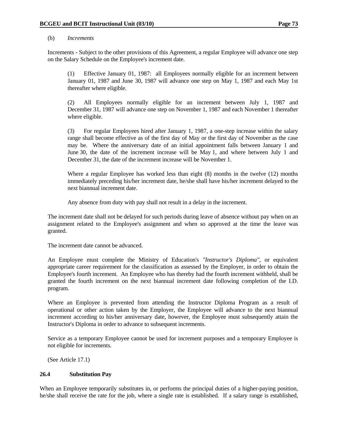#### (b) *Increments*

 Increments - Subject to the other provisions of this Agreement, a regular Employee will advance one step on the Salary Schedule on the Employee's increment date.

 (1) Effective January 01, 1987: all Employees normally eligible for an increment between January 01, 1987 and June 30, 1987 will advance one step on May 1, 1987 and each May 1st thereafter where eligible.

 (2) All Employees normally eligible for an increment between July 1, 1987 and December 31, 1987 will advance one step on November 1, 1987 and each November 1 thereafter where eligible.

 (3) For regular Employees hired after January 1, 1987, a one-step increase within the salary range shall become effective as of the first day of May or the first day of November as the case may be. Where the anniversary date of an initial appointment falls between January 1 and June 30, the date of the increment increase will be May 1, and where between July 1 and December 31, the date of the increment increase will be November 1.

 Where a regular Employee has worked less than eight (8) months in the twelve (12) months immediately preceding his/her increment date, he/she shall have his/her increment delayed to the next biannual increment date.

Any absence from duty with pay shall not result in a delay in the increment.

 The increment date shall not be delayed for such periods during leave of absence without pay when on an assignment related to the Employee's assignment and when so approved at the time the leave was granted.

The increment date cannot be advanced.

 An Employee must complete the Ministry of Education's *"Instructor's Diploma"*, or equivalent appropriate career requirement for the classification as assessed by the Employer, in order to obtain the Employee's fourth increment. An Employee who has thereby had the fourth increment withheld, shall be granted the fourth increment on the next biannual increment date following completion of the I.D. program.

 Where an Employee is prevented from attending the Instructor Diploma Program as a result of operational or other action taken by the Employer, the Employee will advance to the next biannual increment according to his/her anniversary date, however, the Employee must subsequently attain the Instructor's Diploma in order to advance to subsequent increments.

 Service as a temporary Employee cannot be used for increment purposes and a temporary Employee is not eligible for increments.

(See Article 17.1)

### **26.4 Substitution Pay**

When an Employee temporarily substitutes in, or performs the principal duties of a higher-paying position, he/she shall receive the rate for the job, where a single rate is established. If a salary range is established,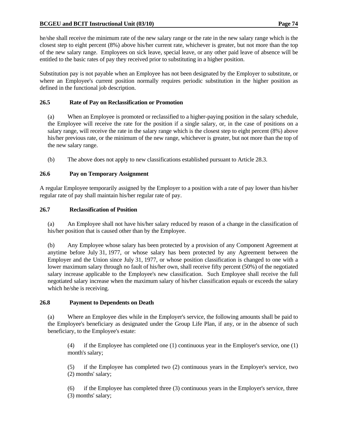### **BCGEU and BCIT Instructional Unit (03/10) Page 74**

he/she shall receive the minimum rate of the new salary range or the rate in the new salary range which is the closest step to eight percent (8%) above his/her current rate, whichever is greater, but not more than the top of the new salary range. Employees on sick leave, special leave, or any other paid leave of absence will be entitled to the basic rates of pay they received prior to substituting in a higher position.

Substitution pay is not payable when an Employee has not been designated by the Employer to substitute, or where an Employee's current position normally requires periodic substitution in the higher position as defined in the functional job description.

### **26.5 Rate of Pay on Reclassification or Promotion**

 (a) When an Employee is promoted or reclassified to a higher-paying position in the salary schedule, the Employee will receive the rate for the position if a single salary, or, in the case of positions on a salary range, will receive the rate in the salary range which is the closest step to eight percent (8%) above his/her previous rate, or the minimum of the new range, whichever is greater, but not more than the top of the new salary range.

(b) The above does not apply to new classifications established pursuant to Article 28.3.

### **26.6 Pay on Temporary Assignment**

A regular Employee temporarily assigned by the Employer to a position with a rate of pay lower than his/her regular rate of pay shall maintain his/her regular rate of pay.

### **26.7 Reclassification of Position**

 (a) An Employee shall not have his/her salary reduced by reason of a change in the classification of his/her position that is caused other than by the Employee.

 (b) Any Employee whose salary has been protected by a provision of any Component Agreement at anytime before July 31, 1977, or whose salary has been protected by any Agreement between the Employer and the Union since July 31, 1977, or whose position classification is changed to one with a lower maximum salary through no fault of his/her own, shall receive fifty percent (50%) of the negotiated salary increase applicable to the Employee's new classification. Such Employee shall receive the full negotiated salary increase when the maximum salary of his/her classification equals or exceeds the salary which he/she is receiving.

### **26.8 Payment to Dependents on Death**

 (a) Where an Employee dies while in the Employer's service, the following amounts shall be paid to the Employee's beneficiary as designated under the Group Life Plan, if any, or in the absence of such beneficiary, to the Employee's estate:

 (4) if the Employee has completed one (1) continuous year in the Employer's service, one (1) month's salary;

 (5) if the Employee has completed two (2) continuous years in the Employer's service, two (2) months' salary;

 (6) if the Employee has completed three (3) continuous years in the Employer's service, three (3) months' salary;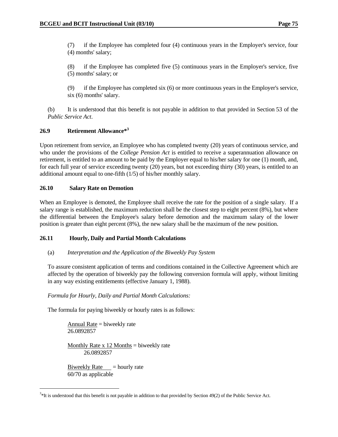(7) if the Employee has completed four (4) continuous years in the Employer's service, four (4) months' salary;

 (8) if the Employee has completed five (5) continuous years in the Employer's service, five (5) months' salary; or

 (9) if the Employee has completed six (6) or more continuous years in the Employer's service, six (6) months' salary.

 (b) It is understood that this benefit is not payable in addition to that provided in Section 53 of the *Public Service Act*.

### **26.9 Retirement Allowance\*3**

Upon retirement from service, an Employee who has completed twenty (20) years of continuous service, and who under the provisions of the *College Pension Act* is entitled to receive a superannuation allowance on retirement, is entitled to an amount to be paid by the Employer equal to his/her salary for one (1) month, and, for each full year of service exceeding twenty (20) years, but not exceeding thirty (30) years, is entitled to an additional amount equal to one-fifth (1/5) of his/her monthly salary.

### **26.10 Salary Rate on Demotion**

When an Employee is demoted, the Employee shall receive the rate for the position of a single salary. If a salary range is established, the maximum reduction shall be the closest step to eight percent (8%), but where the differential between the Employee's salary before demotion and the maximum salary of the lower position is greater than eight percent (8%), the new salary shall be the maximum of the new position.

# **26.11 Hourly, Daily and Partial Month Calculations**

### (a) *Interpretation and the Application of the Biweekly Pay System*

 To assure consistent application of terms and conditions contained in the Collective Agreement which are affected by the operation of biweekly pay the following conversion formula will apply, without limiting in any way existing entitlements (effective January 1, 1988).

### *Formula for Hourly, Daily and Partial Month Calculations:*

The formula for paying biweekly or hourly rates is as follows:

Annual Rate  $=$  biweekly rate 26.0892857

Monthly Rate  $x$  12 Months = biweekly rate 26.0892857

Biweekly Rate  $=$  hourly rate 60/70 as applicable

 $\overline{a}$ 

 $3*$ It is understood that this benefit is not payable in addition to that provided by Section 49(2) of the Public Service Act.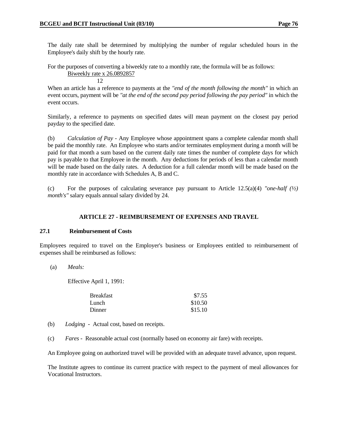The daily rate shall be determined by multiplying the number of regular scheduled hours in the Employee's daily shift by the hourly rate.

For the purposes of converting a biweekly rate to a monthly rate, the formula will be as follows:

Biweekly rate x 26.0892857

12

 When an article has a reference to payments at the *"end of the month following the month"* in which an event occurs, payment will be *"at the end of the second pay period following the pay period"* in which the event occurs.

 Similarly, a reference to payments on specified dates will mean payment on the closest pay period payday to the specified date.

 (b) *Calculation of Pay* - Any Employee whose appointment spans a complete calendar month shall be paid the monthly rate. An Employee who starts and/or terminates employment during a month will be paid for that month a sum based on the current daily rate times the number of complete days for which pay is payable to that Employee in the month. Any deductions for periods of less than a calendar month will be made based on the daily rates. A deduction for a full calendar month will be made based on the monthly rate in accordance with Schedules A, B and C.

 (c) For the purposes of calculating severance pay pursuant to Article 12.5(a)(4) *"one-half (½) month's"* salary equals annual salary divided by 24.

### **ARTICLE 27 - REIMBURSEMENT OF EXPENSES AND TRAVEL**

#### **27.1 Reimbursement of Costs**

Employees required to travel on the Employer's business or Employees entitled to reimbursement of expenses shall be reimbursed as follows:

(a) *Meals:*

Effective April 1, 1991:

| <b>Breakfast</b> | \$7.55  |
|------------------|---------|
| Lunch            | \$10.50 |
| Dinner           | \$15.10 |

- (b) *Lodging* Actual cost, based on receipts.
- (c) *Fares* Reasonable actual cost (normally based on economy air fare) with receipts.

An Employee going on authorized travel will be provided with an adequate travel advance, upon request.

 The Institute agrees to continue its current practice with respect to the payment of meal allowances for Vocational Instructors.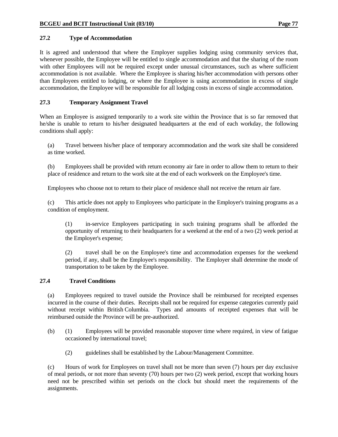### **27.2 Type of Accommodation**

It is agreed and understood that where the Employer supplies lodging using community services that, whenever possible, the Employee will be entitled to single accommodation and that the sharing of the room with other Employees will not be required except under unusual circumstances, such as where sufficient accommodation is not available. Where the Employee is sharing his/her accommodation with persons other than Employees entitled to lodging, or where the Employee is using accommodation in excess of single accommodation, the Employee will be responsible for all lodging costs in excess of single accommodation.

### **27.3 Temporary Assignment Travel**

When an Employee is assigned temporarily to a work site within the Province that is so far removed that he/she is unable to return to his/her designated headquarters at the end of each workday, the following conditions shall apply:

 (a) Travel between his/her place of temporary accommodation and the work site shall be considered as time worked.

 (b) Employees shall be provided with return economy air fare in order to allow them to return to their place of residence and return to the work site at the end of each workweek on the Employee's time.

Employees who choose not to return to their place of residence shall not receive the return air fare.

 (c) This article does not apply to Employees who participate in the Employer's training programs as a condition of employment.

 (1) in-service Employees participating in such training programs shall be afforded the opportunity of returning to their headquarters for a weekend at the end of a two (2) week period at the Employer's expense;

 (2) travel shall be on the Employee's time and accommodation expenses for the weekend period, if any, shall be the Employee's responsibility. The Employer shall determine the mode of transportation to be taken by the Employee.

### **27.4 Travel Conditions**

 (a) Employees required to travel outside the Province shall be reimbursed for receipted expenses incurred in the course of their duties. Receipts shall not be required for expense categories currently paid without receipt within British Columbia. Types and amounts of receipted expenses that will be reimbursed outside the Province will be pre-authorized.

- (b) (1) Employees will be provided reasonable stopover time where required, in view of fatigue occasioned by international travel;
	- (2) guidelines shall be established by the Labour/Management Committee.

 (c) Hours of work for Employees on travel shall not be more than seven (7) hours per day exclusive of meal periods, or not more than seventy (70) hours per two (2) week period, except that working hours need not be prescribed within set periods on the clock but should meet the requirements of the assignments.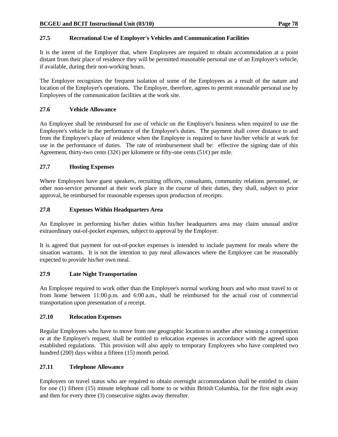# **27.5 Recreational Use of Employer's Vehicles and Communication Facilities**

It is the intent of the Employer that, where Employees are required to obtain accommodation at a point distant from their place of residence they will be permitted reasonable personal use of an Employer's vehicle, if available, during their non-working hours.

The Employer recognizes the frequent isolation of some of the Employees as a result of the nature and location of the Employer's operations. The Employer, therefore, agrees to permit reasonable personal use by Employees of the communication facilities at the work site.

# **27.6 Vehicle Allowance**

An Employee shall be reimbursed for use of vehicle on the Employer's business when required to use the Employee's vehicle in the performance of the Employee's duties. The payment shall cover distance to and from the Employee's place of residence when the Employee is required to have his/her vehicle at work for use in the performance of duties. The rate of reimbursement shall be: effective the signing date of this Agreement, thirty-two cents (32 $\varphi$ ) per kilometre or fifty-one cents (51 $\varphi$ ) per mile.

# **27.7 Hosting Expenses**

Where Employees have guest speakers, recruiting officers, consultants, community relations personnel, or other non-service personnel at their work place in the course of their duties, they shall, subject to prior approval, be reimbursed for reasonable expenses upon production of receipts.

# **27.8 Expenses Within Headquarters Area**

An Employee in performing his/her duties within his/her headquarters area may claim unusual and/or extraordinary out-of-pocket expenses, subject to approval by the Employer.

It is agreed that payment for out-of-pocket expenses is intended to include payment for meals where the situation warrants. It is not the intention to pay meal allowances where the Employee can be reasonably expected to provide his/her own meal.

# **27.9 Late Night Transportation**

An Employee required to work other than the Employee's normal working hours and who must travel to or from home between 11:00 p.m. and 6:00 a.m., shall be reimbursed for the actual cost of commercial transportation upon presentation of a receipt.

# **27.10 Relocation Expenses**

Regular Employees who have to move from one geographic location to another after winning a competition or at the Employer's request, shall be entitled to relocation expenses in accordance with the agreed upon established regulations. This provision will also apply to temporary Employees who have completed two hundred (200) days within a fifteen (15) month period.

# **27.11 Telephone Allowance**

Employees on travel status who are required to obtain overnight accommodation shall be entitled to claim for one (1) fifteen (15) minute telephone call home to or within British Columbia, for the first night away and then for every three (3) consecutive nights away thereafter.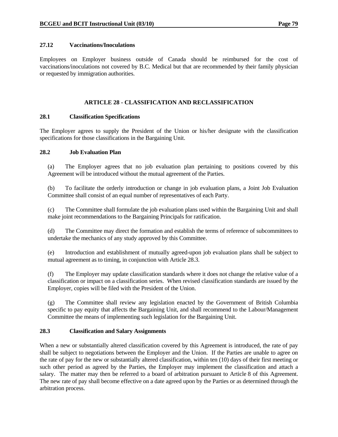### **27.12 Vaccinations/Inoculations**

Employees on Employer business outside of Canada should be reimbursed for the cost of vaccinations/inoculations not covered by B.C. Medical but that are recommended by their family physician or requested by immigration authorities.

### **ARTICLE 28 - CLASSIFICATION AND RECLASSIFICATION**

### **28.1 Classification Specifications**

The Employer agrees to supply the President of the Union or his/her designate with the classification specifications for those classifications in the Bargaining Unit.

### **28.2 Job Evaluation Plan**

 (a) The Employer agrees that no job evaluation plan pertaining to positions covered by this Agreement will be introduced without the mutual agreement of the Parties.

 (b) To facilitate the orderly introduction or change in job evaluation plans, a Joint Job Evaluation Committee shall consist of an equal number of representatives of each Party.

 (c) The Committee shall formulate the job evaluation plans used within the Bargaining Unit and shall make joint recommendations to the Bargaining Principals for ratification.

 (d) The Committee may direct the formation and establish the terms of reference of subcommittees to undertake the mechanics of any study approved by this Committee.

 (e) Introduction and establishment of mutually agreed-upon job evaluation plans shall be subject to mutual agreement as to timing, in conjunction with Article 28.3.

 (f) The Employer may update classification standards where it does not change the relative value of a classification or impact on a classification series. When revised classification standards are issued by the Employer, copies will be filed with the President of the Union.

 (g) The Committee shall review any legislation enacted by the Government of British Columbia specific to pay equity that affects the Bargaining Unit, and shall recommend to the Labour/Management Committee the means of implementing such legislation for the Bargaining Unit.

### **28.3 Classification and Salary Assignments**

When a new or substantially altered classification covered by this Agreement is introduced, the rate of pay shall be subject to negotiations between the Employer and the Union. If the Parties are unable to agree on the rate of pay for the new or substantially altered classification, within ten (10) days of their first meeting or such other period as agreed by the Parties, the Employer may implement the classification and attach a salary. The matter may then be referred to a board of arbitration pursuant to Article 8 of this Agreement. The new rate of pay shall become effective on a date agreed upon by the Parties or as determined through the arbitration process.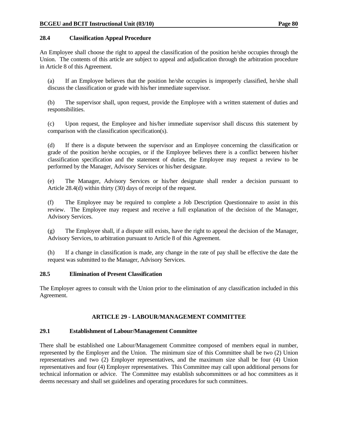### **28.4 Classification Appeal Procedure**

An Employee shall choose the right to appeal the classification of the position he/she occupies through the Union. The contents of this article are subject to appeal and adjudication through the arbitration procedure in Article 8 of this Agreement.

 (a) If an Employee believes that the position he/she occupies is improperly classified, he/she shall discuss the classification or grade with his/her immediate supervisor.

 (b) The supervisor shall, upon request, provide the Employee with a written statement of duties and responsibilities.

 (c) Upon request, the Employee and his/her immediate supervisor shall discuss this statement by comparison with the classification specification(s).

 (d) If there is a dispute between the supervisor and an Employee concerning the classification or grade of the position he/she occupies, or if the Employee believes there is a conflict between his/her classification specification and the statement of duties, the Employee may request a review to be performed by the Manager, Advisory Services or his/her designate.

 (e) The Manager, Advisory Services or his/her designate shall render a decision pursuant to Article 28.4(d) within thirty (30) days of receipt of the request.

 (f) The Employee may be required to complete a Job Description Questionnaire to assist in this review. The Employee may request and receive a full explanation of the decision of the Manager, Advisory Services.

 (g) The Employee shall, if a dispute still exists, have the right to appeal the decision of the Manager, Advisory Services, to arbitration pursuant to Article 8 of this Agreement.

 (h) If a change in classification is made, any change in the rate of pay shall be effective the date the request was submitted to the Manager, Advisory Services.

### **28.5 Elimination of Present Classification**

The Employer agrees to consult with the Union prior to the elimination of any classification included in this Agreement.

# **ARTICLE 29 - LABOUR/MANAGEMENT COMMITTEE**

### **29.1 Establishment of Labour/Management Committee**

There shall be established one Labour/Management Committee composed of members equal in number, represented by the Employer and the Union. The minimum size of this Committee shall be two (2) Union representatives and two (2) Employer representatives, and the maximum size shall be four (4) Union representatives and four (4) Employer representatives. This Committee may call upon additional persons for technical information or advice. The Committee may establish subcommittees or ad hoc committees as it deems necessary and shall set guidelines and operating procedures for such committees.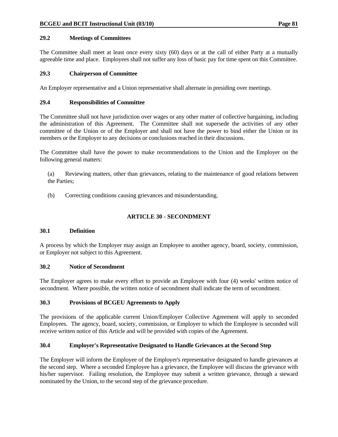### **29.2 Meetings of Committees**

The Committee shall meet at least once every sixty (60) days or at the call of either Party at a mutually agreeable time and place. Employees shall not suffer any loss of basic pay for time spent on this Committee.

### **29.3 Chairperson of Committee**

An Employer representative and a Union representative shall alternate in presiding over meetings.

### **29.4 Responsibilities of Committee**

The Committee shall not have jurisdiction over wages or any other matter of collective bargaining, including the administration of this Agreement. The Committee shall not supersede the activities of any other committee of the Union or of the Employer and shall not have the power to bind either the Union or its members or the Employer to any decisions or conclusions reached in their discussions.

The Committee shall have the power to make recommendations to the Union and the Employer on the following general matters:

 (a) Reviewing matters, other than grievances, relating to the maintenance of good relations between the Parties;

(b) Correcting conditions causing grievances and misunderstanding.

# **ARTICLE 30 - SECONDMENT**

### **30.1 Definition**

A process by which the Employer may assign an Employee to another agency, board, society, commission, or Employer not subject to this Agreement.

### **30.2 Notice of Secondment**

The Employer agrees to make every effort to provide an Employee with four (4) weeks' written notice of secondment. Where possible, the written notice of secondment shall indicate the term of secondment.

### **30.3 Provisions of BCGEU Agreements to Apply**

The provisions of the applicable current Union/Employer Collective Agreement will apply to seconded Employees. The agency, board, society, commission, or Employer to which the Employee is seconded will receive written notice of this Article and will be provided with copies of the Agreement.

# **30.4 Employer's Representative Designated to Handle Grievances at the Second Step**

The Employer will inform the Employee of the Employer's representative designated to handle grievances at the second step. Where a seconded Employee has a grievance, the Employee will discuss the grievance with his/her supervisor. Failing resolution, the Employee may submit a written grievance, through a steward nominated by the Union, to the second step of the grievance procedure.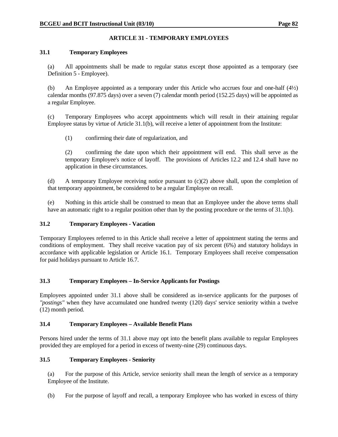# **ARTICLE 31 - TEMPORARY EMPLOYEES**

### **31.1 Temporary Employees**

 (a) All appointments shall be made to regular status except those appointed as a temporary (see Definition 5 - Employee).

 (b) An Employee appointed as a temporary under this Article who accrues four and one-half (4½) calendar months (97.875 days) over a seven (7) calendar month period (152.25 days) will be appointed as a regular Employee.

 (c) Temporary Employees who accept appointments which will result in their attaining regular Employee status by virtue of Article 31.1(b), will receive a letter of appointment from the Institute:

(1) confirming their date of regularization, and

 (2) confirming the date upon which their appointment will end. This shall serve as the temporary Employee's notice of layoff. The provisions of Articles 12.2 and 12.4 shall have no application in these circumstances.

(d) A temporary Employee receiving notice pursuant to  $(c)(2)$  above shall, upon the completion of that temporary appointment, be considered to be a regular Employee on recall.

 (e) Nothing in this article shall be construed to mean that an Employee under the above terms shall have an automatic right to a regular position other than by the posting procedure or the terms of 31.1(b).

### **31.2 Temporary Employees - Vacation**

Temporary Employees referred to in this Article shall receive a letter of appointment stating the terms and conditions of employment. They shall receive vacation pay of six percent (6%) and statutory holidays in accordance with applicable legislation or Article 16.1. Temporary Employees shall receive compensation for paid holidays pursuant to Article 16.7.

# **31.3 Temporary Employees – In-Service Applicants for Postings**

Employees appointed under 31.1 above shall be considered as in-service applicants for the purposes of *"postings"* when they have accumulated one hundred twenty (120) days' service seniority within a twelve (12) month period.

### **31.4 Temporary Employees – Available Benefit Plans**

Persons hired under the terms of 31.1 above may opt into the benefit plans available to regular Employees provided they are employed for a period in excess of twenty-nine (29) continuous days.

# **31.5 Temporary Employees - Seniority**

 (a) For the purpose of this Article, service seniority shall mean the length of service as a temporary Employee of the Institute.

(b) For the purpose of layoff and recall, a temporary Employee who has worked in excess of thirty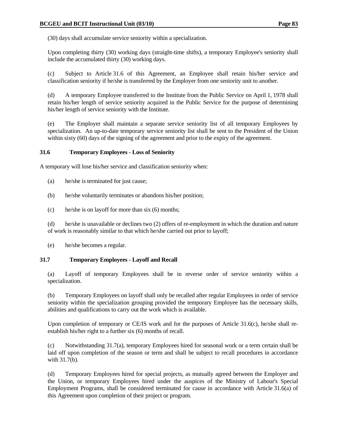(30) days shall accumulate service seniority within a specialization.

 Upon completing thirty (30) working days (straight-time shifts), a temporary Employee's seniority shall include the accumulated thirty (30) working days.

 (c) Subject to Article 31.6 of this Agreement, an Employee shall retain his/her service and classification seniority if he/she is transferred by the Employer from one seniority unit to another.

 (d) A temporary Employee transferred to the Institute from the Public Service on April 1, 1978 shall retain his/her length of service seniority acquired in the Public Service for the purpose of determining his/her length of service seniority with the Institute.

 (e) The Employer shall maintain a separate service seniority list of all temporary Employees by specialization. An up-to-date temporary service seniority list shall be sent to the President of the Union within sixty (60) days of the signing of the agreement and prior to the expiry of the agreement.

### **31.6 Temporary Employees - Loss of Seniority**

A temporary will lose his/her service and classification seniority when:

- (a) he/she is terminated for just cause;
- (b) he/she voluntarily terminates or abandons his/her position;
- (c) he/she is on layoff for more than six (6) months;

 (d) he/she is unavailable or declines two (2) offers of re-employment in which the duration and nature of work is reasonably similar to that which he/she carried out prior to layoff;

(e) he/she becomes a regular.

### **31.7 Temporary Employees - Layoff and Recall**

 (a) Layoff of temporary Employees shall be in reverse order of service seniority within a specialization.

 (b) Temporary Employees on layoff shall only be recalled after regular Employees in order of service seniority within the specialization grouping provided the temporary Employee has the necessary skills, abilities and qualifications to carry out the work which is available.

Upon completion of temporary or CE/IS work and for the purposes of Article 31.6(c), he/she shall reestablish his/her right to a further six (6) months of recall.

 (c) Notwithstanding 31.7(a), temporary Employees hired for seasonal work or a term certain shall be laid off upon completion of the season or term and shall be subject to recall procedures in accordance with 31.7(b).

 (d) Temporary Employees hired for special projects, as mutually agreed between the Employer and the Union, or temporary Employees hired under the auspices of the Ministry of Labour's Special Employment Programs, shall be considered terminated for cause in accordance with Article 31.6(a) of this Agreement upon completion of their project or program.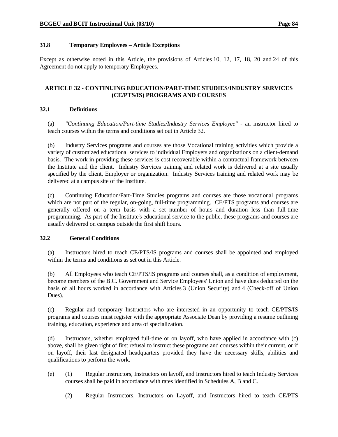### **31.8 Temporary Employees – Article Exceptions**

Except as otherwise noted in this Article, the provisions of Articles 10, 12, 17, 18, 20 and 24 of this Agreement do not apply to temporary Employees.

### **ARTICLE 32 - CONTINUING EDUCATION/PART-TIME STUDIES/INDUSTRY SERVICES (CE/PTS/IS) PROGRAMS AND COURSES**

### **32.1 Definitions**

 (a) *"Continuing Education/Part-time Studies/Industry Services Employee"* - an instructor hired to teach courses within the terms and conditions set out in Article 32.

 (b) Industry Services programs and courses are those Vocational training activities which provide a variety of customized educational services to individual Employers and organizations on a client-demand basis. The work in providing these services is cost recoverable within a contractual framework between the Institute and the client. Industry Services training and related work is delivered at a site usually specified by the client, Employer or organization. Industry Services training and related work may be delivered at a campus site of the Institute.

 (c) Continuing Education/Part-Time Studies programs and courses are those vocational programs which are not part of the regular, on-going, full-time programming. CE/PTS programs and courses are generally offered on a term basis with a set number of hours and duration less than full-time programming. As part of the Institute's educational service to the public, these programs and courses are usually delivered on campus outside the first shift hours.

### **32.2 General Conditions**

 (a) Instructors hired to teach CE/PTS/IS programs and courses shall be appointed and employed within the terms and conditions as set out in this Article.

 (b) All Employees who teach CE/PTS/IS programs and courses shall, as a condition of employment, become members of the B.C. Government and Service Employees' Union and have dues deducted on the basis of all hours worked in accordance with Articles 3 (Union Security) and 4 (Check-off of Union Dues).

 (c) Regular and temporary Instructors who are interested in an opportunity to teach CE/PTS/IS programs and courses must register with the appropriate Associate Dean by providing a resume outlining training, education, experience and area of specialization.

 (d) Instructors, whether employed full-time or on layoff, who have applied in accordance with (c) above, shall be given right of first refusal to instruct these programs and courses within their current, or if on layoff, their last designated headquarters provided they have the necessary skills, abilities and qualifications to perform the work.

- (e) (1) Regular Instructors, Instructors on layoff, and Instructors hired to teach Industry Services courses shall be paid in accordance with rates identified in Schedules A, B and C.
	- (2) Regular Instructors, Instructors on Layoff, and Instructors hired to teach CE/PTS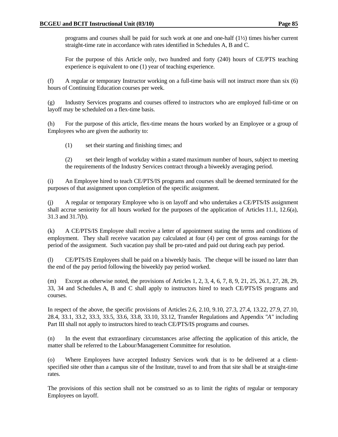programs and courses shall be paid for such work at one and one-half  $(1/2)$  times his/her current straight-time rate in accordance with rates identified in Schedules A, B and C.

 For the purpose of this Article only, two hundred and forty (240) hours of CE/PTS teaching experience is equivalent to one (1) year of teaching experience.

 (f) A regular or temporary Instructor working on a full-time basis will not instruct more than six (6) hours of Continuing Education courses per week.

 (g) Industry Services programs and courses offered to instructors who are employed full-time or on layoff may be scheduled on a flex-time basis.

 (h) For the purpose of this article, flex-time means the hours worked by an Employee or a group of Employees who are given the authority to:

(1) set their starting and finishing times; and

 (2) set their length of workday within a stated maximum number of hours, subject to meeting the requirements of the Industry Services contract through a biweekly averaging period.

 (i) An Employee hired to teach CE/PTS/IS programs and courses shall be deemed terminated for the purposes of that assignment upon completion of the specific assignment.

 (j) A regular or temporary Employee who is on layoff and who undertakes a CE/PTS/IS assignment shall accrue seniority for all hours worked for the purposes of the application of Articles 11.1, 12.6(a), 31.3 and 31.7(b).

 (k) A CE/PTS/IS Employee shall receive a letter of appointment stating the terms and conditions of employment. They shall receive vacation pay calculated at four (4) per cent of gross earnings for the period of the assignment. Such vacation pay shall be pro-rated and paid out during each pay period.

 (l) CE/PTS/IS Employees shall be paid on a biweekly basis. The cheque will be issued no later than the end of the pay period following the biweekly pay period worked.

 (m) Except as otherwise noted, the provisions of Articles 1, 2, 3, 4, 6, 7, 8, 9, 21, 25, 26.1, 27, 28, 29, 33, 34 and Schedules A, B and C shall apply to instructors hired to teach CE/PTS/IS programs and courses.

 In respect of the above, the specific provisions of Articles 2.6, 2.10, 9.10, 27.3, 27.4, 13.22, 27.9, 27.10, 28.4, 33.1, 33.2, 33.3, 33.5, 33.6, 33.8, 33.10, 33.12, Transfer Regulations and Appendix *"A"* including Part III shall not apply to instructors hired to teach CE/PTS/IS programs and courses.

 (n) In the event that extraordinary circumstances arise affecting the application of this article, the matter shall be referred to the Labour/Management Committee for resolution.

 (o) Where Employees have accepted Industry Services work that is to be delivered at a clientspecified site other than a campus site of the Institute, travel to and from that site shall be at straight-time rates.

 The provisions of this section shall not be construed so as to limit the rights of regular or temporary Employees on layoff.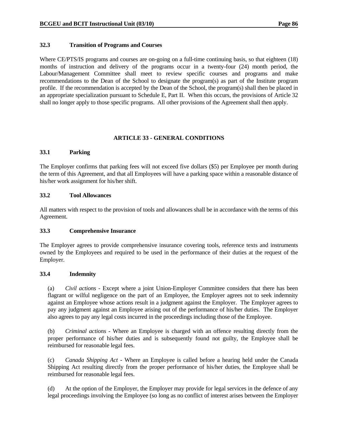### **32.3 Transition of Programs and Courses**

Where CE/PTS/IS programs and courses are on-going on a full-time continuing basis, so that eighteen (18) months of instruction and delivery of the programs occur in a twenty-four (24) month period, the Labour/Management Committee shall meet to review specific courses and programs and make recommendations to the Dean of the School to designate the program(s) as part of the Institute program profile. If the recommendation is accepted by the Dean of the School, the program(s) shall then be placed in an appropriate specialization pursuant to Schedule E, Part II. When this occurs, the provisions of Article 32 shall no longer apply to those specific programs. All other provisions of the Agreement shall then apply.

### **ARTICLE 33 - GENERAL CONDITIONS**

### **33.1 Parking**

The Employer confirms that parking fees will not exceed five dollars (\$5) per Employee per month during the term of this Agreement, and that all Employees will have a parking space within a reasonable distance of his/her work assignment for his/her shift.

### **33.2 Tool Allowances**

All matters with respect to the provision of tools and allowances shall be in accordance with the terms of this Agreement.

### **33.3 Comprehensive Insurance**

The Employer agrees to provide comprehensive insurance covering tools, reference texts and instruments owned by the Employees and required to be used in the performance of their duties at the request of the Employer.

### **33.4 Indemnity**

 (a) *Civil actions* - Except where a joint Union-Employer Committee considers that there has been flagrant or wilful negligence on the part of an Employee, the Employer agrees not to seek indemnity against an Employee whose actions result in a judgment against the Employer. The Employer agrees to pay any judgment against an Employee arising out of the performance of his/her duties. The Employer also agrees to pay any legal costs incurred in the proceedings including those of the Employee.

 (b) *Criminal actions* - Where an Employee is charged with an offence resulting directly from the proper performance of his/her duties and is subsequently found not guilty, the Employee shall be reimbursed for reasonable legal fees.

 (c) *Canada Shipping Act* - Where an Employee is called before a hearing held under the Canada Shipping Act resulting directly from the proper performance of his/her duties, the Employee shall be reimbursed for reasonable legal fees.

 (d) At the option of the Employer, the Employer may provide for legal services in the defence of any legal proceedings involving the Employee (so long as no conflict of interest arises between the Employer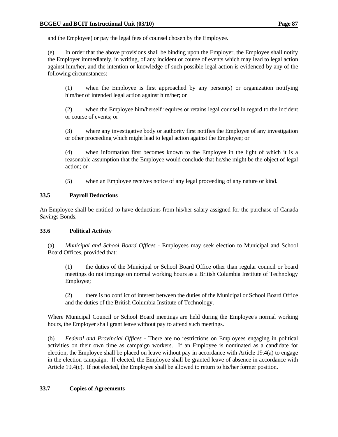and the Employee) or pay the legal fees of counsel chosen by the Employee.

 (e) In order that the above provisions shall be binding upon the Employer, the Employee shall notify the Employer immediately, in writing, of any incident or course of events which may lead to legal action against him/her, and the intention or knowledge of such possible legal action is evidenced by any of the following circumstances:

 (1) when the Employee is first approached by any person(s) or organization notifying him/her of intended legal action against him/her; or

 (2) when the Employee him/herself requires or retains legal counsel in regard to the incident or course of events; or

 (3) where any investigative body or authority first notifies the Employee of any investigation or other proceeding which might lead to legal action against the Employee; or

 (4) when information first becomes known to the Employee in the light of which it is a reasonable assumption that the Employee would conclude that he/she might be the object of legal action; or

(5) when an Employee receives notice of any legal proceeding of any nature or kind.

### **33.5 Payroll Deductions**

An Employee shall be entitled to have deductions from his/her salary assigned for the purchase of Canada Savings Bonds.

### **33.6 Political Activity**

 (a) *Municipal and School Board Offices* - Employees may seek election to Municipal and School Board Offices, provided that:

 (1) the duties of the Municipal or School Board Office other than regular council or board meetings do not impinge on normal working hours as a British Columbia Institute of Technology Employee;

 (2) there is no conflict of interest between the duties of the Municipal or School Board Office and the duties of the British Columbia Institute of Technology.

 Where Municipal Council or School Board meetings are held during the Employee's normal working hours, the Employer shall grant leave without pay to attend such meetings.

 (b) *Federal and Provincial Offices* - There are no restrictions on Employees engaging in political activities on their own time as campaign workers. If an Employee is nominated as a candidate for election, the Employee shall be placed on leave without pay in accordance with Article 19.4(a) to engage in the election campaign. If elected, the Employee shall be granted leave of absence in accordance with Article 19.4(c). If not elected, the Employee shall be allowed to return to his/her former position.

### **33.7 Copies of Agreements**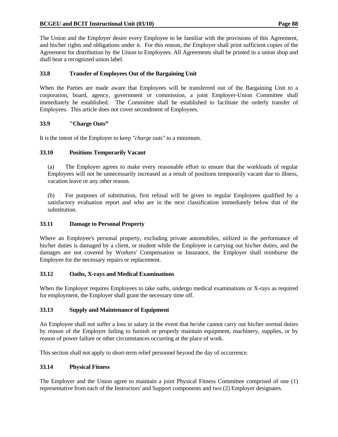The Union and the Employer desire every Employee to be familiar with the provisions of this Agreement, and his/her rights and obligations under it. For this reason, the Employer shall print sufficient copies of the Agreement for distribution by the Union to Employees. All Agreements shall be printed in a union shop and shall bear a recognized union label.

### **33.8 Transfer of Employees Out of the Bargaining Unit**

When the Parties are made aware that Employees will be transferred out of the Bargaining Unit to a corporation, board, agency, government or commission, a joint Employer-Union Committee shall immediately be established. The Committee shall be established to facilitate the orderly transfer of Employees. This article does not cover secondment of Employees.

### **33.9 "Charge Outs"**

It is the intent of the Employer to keep *"charge outs"* to a minimum.

### **33.10 Positions Temporarily Vacant**

 (a) The Employer agrees to make every reasonable effort to ensure that the workloads of regular Employees will not be unnecessarily increased as a result of positions temporarily vacant due to illness, vacation leave or any other reason.

 (b) For purposes of substitution, first refusal will be given to regular Employees qualified by a satisfactory evaluation report and who are in the next classification immediately below that of the substitution.

# **33.11 Damage to Personal Property**

Where an Employee's personal property, excluding private automobiles, utilized in the performance of his/her duties is damaged by a client, or student while the Employee is carrying out his/her duties, and the damages are not covered by Workers' Compensation or Insurance, the Employer shall reimburse the Employee for the necessary repairs or replacement.

### **33.12 Oaths, X-rays and Medical Examinations**

When the Employer requires Employees to take oaths, undergo medical examinations or X-rays as required for employment, the Employer shall grant the necessary time off.

# **33.13 Supply and Maintenance of Equipment**

An Employee shall not suffer a loss in salary in the event that he/she cannot carry out his/her normal duties by reason of the Employer failing to furnish or properly maintain equipment, machinery, supplies, or by reason of power failure or other circumstances occurring at the place of work.

This section shall not apply to short-term relief personnel beyond the day of occurrence.

# **33.14 Physical Fitness**

The Employer and the Union agree to maintain a joint Physical Fitness Committee comprised of one (1) representative from each of the Instructors' and Support components and two (2) Employer designates.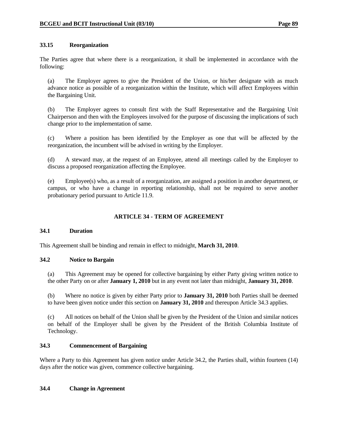### **33.15 Reorganization**

The Parties agree that where there is a reorganization, it shall be implemented in accordance with the following:

 (a) The Employer agrees to give the President of the Union, or his/her designate with as much advance notice as possible of a reorganization within the Institute, which will affect Employees within the Bargaining Unit.

 (b) The Employer agrees to consult first with the Staff Representative and the Bargaining Unit Chairperson and then with the Employees involved for the purpose of discussing the implications of such change prior to the implementation of same.

 (c) Where a position has been identified by the Employer as one that will be affected by the reorganization, the incumbent will be advised in writing by the Employer.

 (d) A steward may, at the request of an Employee, attend all meetings called by the Employer to discuss a proposed reorganization affecting the Employee.

(e) Employee(s) who, as a result of a reorganization, are assigned a position in another department, or campus, or who have a change in reporting relationship, shall not be required to serve another probationary period pursuant to Article 11.9.

# **ARTICLE 34 - TERM OF AGREEMENT**

### **34.1 Duration**

This Agreement shall be binding and remain in effect to midnight, **March 31, 2010**.

### **34.2 Notice to Bargain**

 (a) This Agreement may be opened for collective bargaining by either Party giving written notice to the other Party on or after **January 1, 2010** but in any event not later than midnight, **January 31, 2010**.

 (b) Where no notice is given by either Party prior to **January 31, 2010** both Parties shall be deemed to have been given notice under this section on **January 31, 2010** and thereupon Article 34.3 applies.

 (c) All notices on behalf of the Union shall be given by the President of the Union and similar notices on behalf of the Employer shall be given by the President of the British Columbia Institute of Technology.

### **34.3 Commencement of Bargaining**

Where a Party to this Agreement has given notice under Article 34.2, the Parties shall, within fourteen (14) days after the notice was given, commence collective bargaining.

### **34.4 Change in Agreement**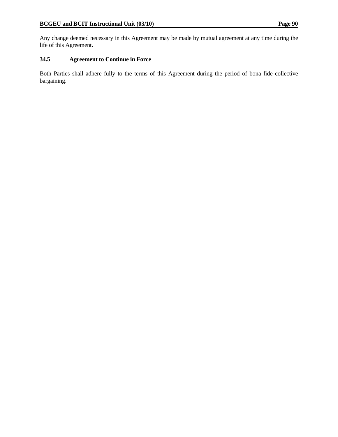Any change deemed necessary in this Agreement may be made by mutual agreement at any time during the life of this Agreement.

# **34.5 Agreement to Continue in Force**

Both Parties shall adhere fully to the terms of this Agreement during the period of bona fide collective bargaining.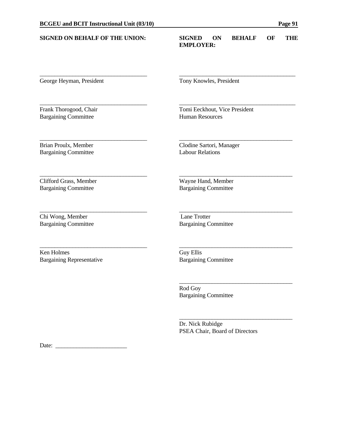# **SIGNED ON BEHALF OF THE UNION: SIGNED ON BEHALF OF THE EMPLOYER:** \_\_\_\_\_\_\_\_\_\_\_\_\_\_\_\_\_\_\_\_\_\_\_\_\_\_\_\_\_\_\_\_\_\_\_\_ \_\_\_\_\_\_\_\_\_\_\_\_\_\_\_\_\_\_\_\_\_\_\_\_\_\_\_\_\_\_\_\_\_\_\_\_\_\_\_ George Heyman, President Tony Knowles, President \_\_\_\_\_\_\_\_\_\_\_\_\_\_\_\_\_\_\_\_\_\_\_\_\_\_\_\_\_\_\_\_\_\_\_\_ \_\_\_\_\_\_\_\_\_\_\_\_\_\_\_\_\_\_\_\_\_\_\_\_\_\_\_\_\_\_\_\_\_\_\_\_\_\_\_ Frank Thorogood, Chair Tomi Eeckhout, Vice President Bargaining Committee Human Resources \_\_\_\_\_\_\_\_\_\_\_\_\_\_\_\_\_\_\_\_\_\_\_\_\_\_\_\_\_\_\_\_\_\_\_\_ \_\_\_\_\_\_\_\_\_\_\_\_\_\_\_\_\_\_\_\_\_\_\_\_\_\_\_\_\_\_\_\_\_\_\_\_\_\_ Brian Proulx, Member Clodine Sartori, Manager Bargaining Committee Labour Relations \_\_\_\_\_\_\_\_\_\_\_\_\_\_\_\_\_\_\_\_\_\_\_\_\_\_\_\_\_\_\_\_\_\_\_\_ \_\_\_\_\_\_\_\_\_\_\_\_\_\_\_\_\_\_\_\_\_\_\_\_\_\_\_\_\_\_\_\_\_\_\_\_\_\_ Clifford Grass, Member<br>
Bargaining Committee Bargaining Committee Bargaining Committee **Bargaining Committee** \_\_\_\_\_\_\_\_\_\_\_\_\_\_\_\_\_\_\_\_\_\_\_\_\_\_\_\_\_\_\_\_\_\_\_\_ \_\_\_\_\_\_\_\_\_\_\_\_\_\_\_\_\_\_\_\_\_\_\_\_\_\_\_\_\_\_\_\_\_\_\_\_\_\_ Chi Wong, Member Lane Trotter Bargaining Committee Bargaining Committee \_\_\_\_\_\_\_\_\_\_\_\_\_\_\_\_\_\_\_\_\_\_\_\_\_\_\_\_\_\_\_\_\_\_\_\_ \_\_\_\_\_\_\_\_\_\_\_\_\_\_\_\_\_\_\_\_\_\_\_\_\_\_\_\_\_\_\_\_\_\_\_\_\_\_ Ken Holmes Guy Ellis Bargaining Representative Bargaining Committee \_\_\_\_\_\_\_\_\_\_\_\_\_\_\_\_\_\_\_\_\_\_\_\_\_\_\_\_\_\_\_\_\_\_\_\_\_\_ Rod Goy Bargaining Committee

 $\frac{\alpha}{\alpha}$  , and the contract of the contract of the contract of the contract of the contract of the contract of the contract of the contract of the contract of the contract of the contract of the contract of the contract

 Dr. Nick Rubidge PSEA Chair, Board of Directors

Date: \_\_\_\_\_\_\_\_\_\_\_\_\_\_\_\_\_\_\_\_\_\_\_\_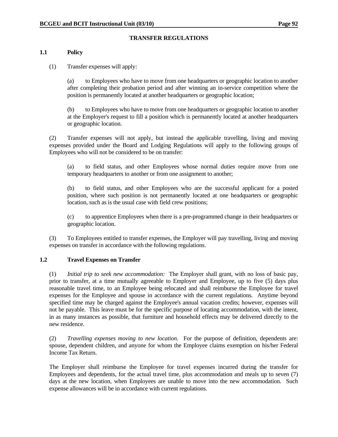### **TRANSFER REGULATIONS**

#### **1.1 Policy**

(1) Transfer expenses will apply:

 (a) to Employees who have to move from one headquarters or geographic location to another after completing their probation period and after winning an in-service competition where the position is permanently located at another headquarters or geographic location;

 (b) to Employees who have to move from one headquarters or geographic location to another at the Employer's request to fill a position which is permanently located at another headquarters or geographic location.

 (2) Transfer expenses will not apply, but instead the applicable travelling, living and moving expenses provided under the Board and Lodging Regulations will apply to the following groups of Employees who will not be considered to be on transfer:

 (a) to field status, and other Employees whose normal duties require move from one temporary headquarters to another or from one assignment to another;

 (b) to field status, and other Employees who are the successful applicant for a posted position, where such position is not permanently located at one headquarters or geographic location, such as is the usual case with field crew positions;

 (c) to apprentice Employees when there is a pre-programmed change in their headquarters or geographic location.

 (3) To Employees entitled to transfer expenses, the Employer will pay travelling, living and moving expenses on transfer in accordance with the following regulations.

### **1.2 Travel Expenses on Transfer**

 (1) *Initial trip to seek new accommodation:* The Employer shall grant, with no loss of basic pay, prior to transfer, at a time mutually agreeable to Employer and Employee, up to five (5) days plus reasonable travel time, to an Employee being relocated and shall reimburse the Employee for travel expenses for the Employee and spouse in accordance with the current regulations. Anytime beyond specified time may be charged against the Employee's annual vacation credits; however, expenses will not be payable. This leave must be for the specific purpose of locating accommodation, with the intent, in as many instances as possible, that furniture and household effects may be delivered directly to the new residence.

 (2) *Travelling expenses moving to new location*. For the purpose of definition, dependents are: spouse, dependent children, and anyone for whom the Employee claims exemption on his/her Federal Income Tax Return.

 The Employer shall reimburse the Employee for travel expenses incurred during the transfer for Employees and dependents, for the actual travel time, plus accommodation and meals up to seven (7) days at the new location, when Employees are unable to move into the new accommodation. Such expense allowances will be in accordance with current regulations.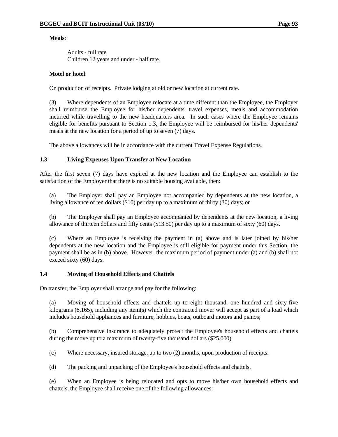### **Meals**:

 Adults - full rate Children 12 years and under - half rate.

### **Motel or hotel**:

On production of receipts. Private lodging at old or new location at current rate.

 (3) Where dependents of an Employee relocate at a time different than the Employee, the Employer shall reimburse the Employee for his/her dependents' travel expenses, meals and accommodation incurred while travelling to the new headquarters area. In such cases where the Employee remains eligible for benefits pursuant to Section 1.3, the Employee will be reimbursed for his/her dependents' meals at the new location for a period of up to seven (7) days.

The above allowances will be in accordance with the current Travel Expense Regulations.

# **1.3 Living Expenses Upon Transfer at New Location**

After the first seven (7) days have expired at the new location and the Employee can establish to the satisfaction of the Employer that there is no suitable housing available, then:

 (a) The Employer shall pay an Employee not accompanied by dependents at the new location, a living allowance of ten dollars (\$10) per day up to a maximum of thirty (30) days; or

 (b) The Employer shall pay an Employee accompanied by dependents at the new location, a living allowance of thirteen dollars and fifty cents (\$13.50) per day up to a maximum of sixty (60) days.

 (c) Where an Employee is receiving the payment in (a) above and is later joined by his/her dependents at the new location and the Employee is still eligible for payment under this Section, the payment shall be as in (b) above. However, the maximum period of payment under (a) and (b) shall not exceed sixty (60) days.

### **1.4 Moving of Household Effects and Chattels**

On transfer, the Employer shall arrange and pay for the following:

 (a) Moving of household effects and chattels up to eight thousand, one hundred and sixty-five kilograms (8,165), including any item(s) which the contracted mover will accept as part of a load which includes household appliances and furniture, hobbies, boats, outboard motors and pianos;

 (b) Comprehensive insurance to adequately protect the Employee's household effects and chattels during the move up to a maximum of twenty-five thousand dollars (\$25,000).

(c) Where necessary, insured storage, up to two (2) months, upon production of receipts.

(d) The packing and unpacking of the Employee's household effects and chattels.

 (e) When an Employee is being relocated and opts to move his/her own household effects and chattels, the Employee shall receive one of the following allowances: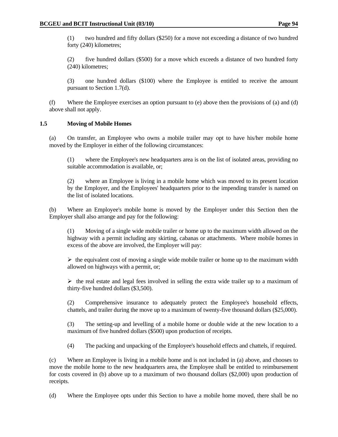(1) two hundred and fifty dollars (\$250) for a move not exceeding a distance of two hundred forty (240) kilometres;

 (2) five hundred dollars (\$500) for a move which exceeds a distance of two hundred forty (240) kilometres;

 (3) one hundred dollars (\$100) where the Employee is entitled to receive the amount pursuant to Section 1.7(d).

 (f) Where the Employee exercises an option pursuant to (e) above then the provisions of (a) and (d) above shall not apply.

### **1.5 Moving of Mobile Homes**

 (a) On transfer, an Employee who owns a mobile trailer may opt to have his/her mobile home moved by the Employer in either of the following circumstances:

 (1) where the Employee's new headquarters area is on the list of isolated areas, providing no suitable accommodation is available, or;

 (2) where an Employee is living in a mobile home which was moved to its present location by the Employer, and the Employees' headquarters prior to the impending transfer is named on the list of isolated locations.

 (b) Where an Employee's mobile home is moved by the Employer under this Section then the Employer shall also arrange and pay for the following:

 (1) Moving of a single wide mobile trailer or home up to the maximum width allowed on the highway with a permit including any skirting, cabanas or attachments. Where mobile homes in excess of the above are involved, the Employer will pay:

 $\triangleright$  the equivalent cost of moving a single wide mobile trailer or home up to the maximum width allowed on highways with a permit, or;

 $\triangleright$  the real estate and legal fees involved in selling the extra wide trailer up to a maximum of thirty-five hundred dollars (\$3,500).

 (2) Comprehensive insurance to adequately protect the Employee's household effects, chattels, and trailer during the move up to a maximum of twenty-five thousand dollars (\$25,000).

 (3) The setting-up and levelling of a mobile home or double wide at the new location to a maximum of five hundred dollars (\$500) upon production of receipts.

(4) The packing and unpacking of the Employee's household effects and chattels, if required.

 (c) Where an Employee is living in a mobile home and is not included in (a) above, and chooses to move the mobile home to the new headquarters area, the Employee shall be entitled to reimbursement for costs covered in (b) above up to a maximum of two thousand dollars (\$2,000) upon production of receipts.

(d) Where the Employee opts under this Section to have a mobile home moved, there shall be no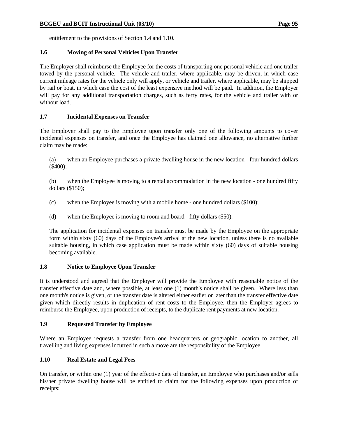entitlement to the provisions of Section 1.4 and 1.10.

### **1.6 Moving of Personal Vehicles Upon Transfer**

The Employer shall reimburse the Employee for the costs of transporting one personal vehicle and one trailer towed by the personal vehicle. The vehicle and trailer, where applicable, may be driven, in which case current mileage rates for the vehicle only will apply, or vehicle and trailer, where applicable, may be shipped by rail or boat, in which case the cost of the least expensive method will be paid. In addition, the Employer will pay for any additional transportation charges, such as ferry rates, for the vehicle and trailer with or without load.

# **1.7 Incidental Expenses on Transfer**

The Employer shall pay to the Employee upon transfer only one of the following amounts to cover incidental expenses on transfer, and once the Employee has claimed one allowance, no alternative further claim may be made:

 (a) when an Employee purchases a private dwelling house in the new location - four hundred dollars (\$400);

 (b) when the Employee is moving to a rental accommodation in the new location - one hundred fifty dollars (\$150);

- (c) when the Employee is moving with a mobile home one hundred dollars (\$100);
- (d) when the Employee is moving to room and board fifty dollars (\$50).

 The application for incidental expenses on transfer must be made by the Employee on the appropriate form within sixty (60) days of the Employee's arrival at the new location, unless there is no available suitable housing, in which case application must be made within sixty (60) days of suitable housing becoming available.

# **1.8 Notice to Employee Upon Transfer**

It is understood and agreed that the Employer will provide the Employee with reasonable notice of the transfer effective date and, where possible, at least one (1) month's notice shall be given. Where less than one month's notice is given, or the transfer date is altered either earlier or later than the transfer effective date given which directly results in duplication of rent costs to the Employee, then the Employer agrees to reimburse the Employee, upon production of receipts, to the duplicate rent payments at new location.

### **1.9 Requested Transfer by Employee**

Where an Employee requests a transfer from one headquarters or geographic location to another, all travelling and living expenses incurred in such a move are the responsibility of the Employee.

# **1.10 Real Estate and Legal Fees**

On transfer, or within one (1) year of the effective date of transfer, an Employee who purchases and/or sells his/her private dwelling house will be entitled to claim for the following expenses upon production of receipts: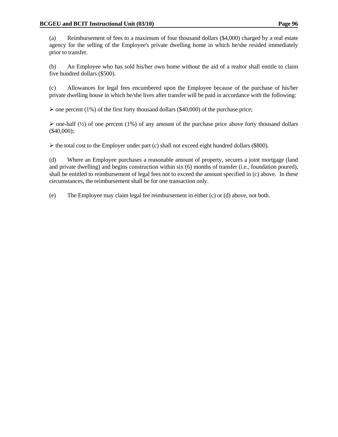(a) Reimbursement of fees to a maximum of four thousand dollars (\$4,000) charged by a real estate agency for the selling of the Employee's private dwelling home in which he/she resided immediately prior to transfer.

 (b) An Employee who has sold his/her own home without the aid of a realtor shall entitle to claim five hundred dollars (\$500).

 (c) Allowances for legal fees encumbered upon the Employee because of the purchase of his/her private dwelling house in which he/she lives after transfer will be paid in accordance with the following:

 $\triangleright$  one percent (1%) of the first forty thousand dollars (\$40,000) of the purchase price;

 $\triangleright$  one-half ( $\frac{1}{2}$ ) of one percent (1%) of any amount of the purchase price above forty thousand dollars (\$40,000);

 $\triangleright$  the total cost to the Employer under part (c) shall not exceed eight hundred dollars (\$800).

 (d) Where an Employee purchases a reasonable amount of property, secures a joint mortgage (land and private dwelling) and begins construction within six (6) months of transfer (i.e., foundation poured), shall be entitled to reimbursement of legal fees not to exceed the amount specified in (c) above. In these circumstances, the reimbursement shall be for one transaction only.

(e) The Employee may claim legal fee reimbursement in either (c) or (d) above, not both.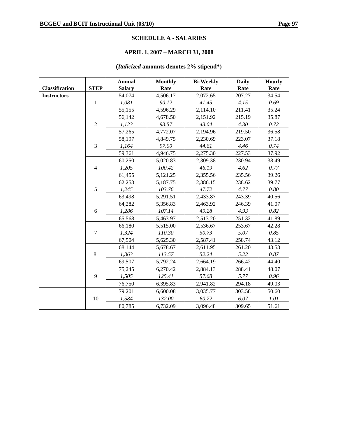### **SCHEDULE A - SALARIES**

# **APRIL 1, 2007 – MARCH 31, 2008**

# **(***Italicized* **amounts denotes 2% stipend\*)**

|                       |                | <b>Annual</b> | <b>Monthly</b> | <b>Bi-Weekly</b> | <b>Daily</b> | <b>Hourly</b> |
|-----------------------|----------------|---------------|----------------|------------------|--------------|---------------|
| <b>Classification</b> | <b>STEP</b>    | <b>Salary</b> | Rate           | Rate             | Rate         | Rate          |
| <b>Instructors</b>    |                | 54,074        | 4,506.17       | 2,072.65         | 207.27       | 34.54         |
|                       | $\mathbf{1}$   | 1,081         | 90.12          | 41.45            | 4.15         | 0.69          |
|                       |                | 55,155        | 4,596.29       | 2,114.10         | 211.41       | 35.24         |
|                       |                | 56,142        | 4,678.50       | 2,151.92         | 215.19       | 35.87         |
|                       | $\overline{2}$ | 1,123         | 93.57          | 43.04            | 4.30         | 0.72          |
|                       |                | 57,265        | 4,772.07       | 2,194.96         | 219.50       | 36.58         |
|                       |                | 58,197        | 4,849.75       | 2,230.69         | 223.07       | 37.18         |
|                       | 3              | 1,164         | 97.00          | 44.61            | 4.46         | 0.74          |
|                       |                | 59,361        | 4,946.75       | 2,275.30         | 227.53       | 37.92         |
|                       |                | 60,250        | 5,020.83       | 2,309.38         | 230.94       | 38.49         |
|                       | $\overline{4}$ | 1,205         | 100.42         | 46.19            | 4.62         | 0.77          |
|                       |                | 61,455        | 5,121.25       | 2,355.56         | 235.56       | 39.26         |
|                       |                | 62,253        | 5,187.75       | 2,386.15         | 238.62       | 39.77         |
|                       | 5              | 1,245         | 103.76         | 47.72            | 4.77         | 0.80          |
|                       |                | 63,498        | 5,291.51       | 2,433.87         | 243.39       | 40.56         |
|                       |                | 64,282        | 5,356.83       | 2,463.92         | 246.39       | 41.07         |
|                       | 6              | 1,286         | 107.14         | 49.28            | 4.93         | 0.82          |
|                       |                | 65,568        | 5,463.97       | 2,513.20         | 251.32       | 41.89         |
|                       |                | 66,180        | 5,515.00       | 2,536.67         | 253.67       | 42.28         |
|                       | $\overline{7}$ | 1,324         | 110.30         | 50.73            | 5.07         | 0.85          |
|                       |                | 67,504        | 5,625.30       | 2,587.41         | 258.74       | 43.12         |
|                       |                | 68,144        | 5,678.67       | 2,611.95         | 261.20       | 43.53         |
|                       | 8              | 1,363         | 113.57         | 52.24            | 5.22         | $0.87\,$      |
|                       |                | 69,507        | 5,792.24       | 2,664.19         | 266.42       | 44.40         |
|                       |                | 75,245        | 6,270.42       | 2,884.13         | 288.41       | 48.07         |
|                       | 9              | 1,505         | 125.41         | 57.68            | 5.77         | 0.96          |
|                       |                | 76,750        | 6,395.83       | 2,941.82         | 294.18       | 49.03         |
|                       |                | 79,201        | 6,600.08       | 3,035.77         | 303.58       | 50.60         |
|                       | 10             | 1,584         | 132.00         | 60.72            | 6.07         | 1.01          |
|                       |                | 80,785        | 6,732.09       | 3,096.48         | 309.65       | 51.61         |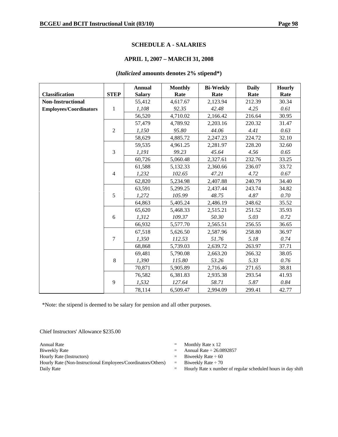#### **SCHEDULE A - SALARIES**

### **APRIL 1, 2007 – MARCH 31, 2008**

### **(***Italicized* **amounts denotes 2% stipend\*)**

|                               |                | <b>Annual</b> | <b>Monthly</b> | <b>Bi-Weekly</b> | <b>Daily</b> | <b>Hourly</b> |
|-------------------------------|----------------|---------------|----------------|------------------|--------------|---------------|
| <b>Classification</b>         | <b>STEP</b>    | <b>Salary</b> | Rate           | Rate             | Rate         | Rate          |
| <b>Non-Instructional</b>      |                | 55,412        | 4,617.67       | 2,123.94         | 212.39       | 30.34         |
| <b>Employees/Coordinators</b> | $\mathbf{1}$   | 1,108         | 92.35          | 42.48            | 4.25         | 0.61          |
|                               |                | 56,520        | 4,710.02       | 2,166.42         | 216.64       | 30.95         |
|                               |                | 57,479        | 4,789.92       | 2,203.16         | 220.32       | 31.47         |
|                               | $\overline{2}$ | 1,150         | 95.80          | 44.06            | 4.41         | 0.63          |
|                               |                | 58,629        | 4,885.72       | 2,247.23         | 224.72       | 32.10         |
|                               |                | 59,535        | 4,961.25       | 2,281.97         | 228.20       | 32.60         |
|                               | 3              | 1,191         | 99.23          | 45.64            | 4.56         | 0.65          |
|                               |                | 60,726        | 5,060.48       | 2,327.61         | 232.76       | 33.25         |
|                               |                | 61,588        | 5,132.33       | 2,360.66         | 236.07       | 33.72         |
|                               | $\overline{4}$ | 1,232         | 102.65         | 47.21            | 4.72         | 0.67          |
|                               |                | 62,820        | 5,234.98       | 2,407.88         | 240.79       | 34.40         |
|                               |                | 63,591        | 5,299.25       | 2,437.44         | 243.74       | 34.82         |
|                               | 5              | 1,272         | 105.99         | 48.75            | 4.87         | 0.70          |
|                               |                | 64,863        | 5,405.24       | 2,486.19         | 248.62       | 35.52         |
|                               |                | 65,620        | 5,468.33       | 2,515.21         | 251.52       | 35.93         |
|                               | 6              | 1,312         | 109.37         | 50.30            | 5.03         | 0.72          |
|                               |                | 66,932        | 5,577.70       | 2,565.51         | 256.55       | 36.65         |
|                               |                | 67,518        | 5,626.50       | 2,587.96         | 258.80       | 36.97         |
|                               | $\tau$         | 1,350         | 112.53         | 51.76            | 5.18         | 0.74          |
|                               |                | 68,868        | 5,739.03       | 2,639.72         | 263.97       | 37.71         |
|                               |                | 69,481        | 5,790.08       | 2,663.20         | 266.32       | 38.05         |
|                               | 8              | 1,390         | 115.80         | 53.26            | 5.33         | 0.76          |
|                               |                | 70,871        | 5,905.89       | 2,716.46         | 271.65       | 38.81         |
|                               |                | 76,582        | 6,381.83       | 2,935.38         | 293.54       | 41.93         |
|                               | 9              | 1,532         | 127.64         | 58.71            | 5.87         | 0.84          |
|                               |                | 78,114        | 6,509.47       | 2,994.09         | 299.41       | 42.77         |

\*Note: the stipend is deemed to be salary for pension and all other purposes.

Chief Instructors' Allowance \$235.00

Hourly Rate (Non-Instructional Employees/Coordinators/Others) = Biweekly Rate  $\div$  70 Daily Rate  $=$  Hourly Rate x number of regular scheduled hours in day shift

- Annual Rate  $\qquad \qquad = \qquad$  Monthly Rate x 12
- Biweekly Rate  $\qquad \qquad$  Annual Rate  $\div 26.0892857$
- Hourly Rate (Instructors)  $=$  Biweekly Rate  $\div$  60
	-
	-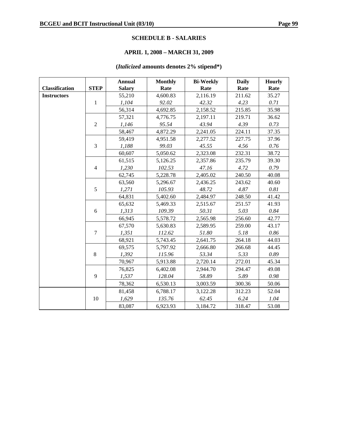### **SCHEDULE B - SALARIES**

# **APRIL 1, 2008 – MARCH 31, 2009**

# **(***Italicized* **amounts denotes 2% stipend\*)**

|                       |                | <b>Annual</b> | <b>Monthly</b> | <b>Bi-Weekly</b> | <b>Daily</b> | <b>Hourly</b> |
|-----------------------|----------------|---------------|----------------|------------------|--------------|---------------|
| <b>Classification</b> | <b>STEP</b>    | <b>Salary</b> | Rate           | Rate             | Rate         | Rate          |
| <b>Instructors</b>    |                | 55,210        | 4,600.83       | 2,116.19         | 211.62       | 35.27         |
|                       | $\mathbf{1}$   | 1,104         | 92.02          | 42.32            | 4.23         | 0.71          |
|                       |                | 56,314        | 4,692.85       | 2,158.52         | 215.85       | 35.98         |
|                       |                | 57,321        | 4,776.75       | 2,197.11         | 219.71       | 36.62         |
|                       | $\overline{2}$ | 1,146         | 95.54          | 43.94            | 4.39         | 0.73          |
|                       |                | 58,467        | 4,872.29       | 2,241.05         | 224.11       | 37.35         |
|                       |                | 59,419        | 4,951.58       | 2,277.52         | 227.75       | 37.96         |
|                       | 3              | 1,188         | 99.03          | 45.55            | 4.56         | $0.76\,$      |
|                       |                | 60,607        | 5,050.62       | 2,323.08         | 232.31       | 38.72         |
|                       |                | 61,515        | 5,126.25       | 2,357.86         | 235.79       | 39.30         |
|                       | $\overline{4}$ | 1,230         | 102.53         | 47.16            | 4.72         | 0.79          |
|                       |                | 62,745        | 5,228.78       | 2,405.02         | 240.50       | 40.08         |
|                       |                | 63,560        | 5,296.67       | 2,436.25         | 243.62       | 40.60         |
|                       | 5              | 1,271         | 105.93         | 48.72            | 4.87         | 0.81          |
|                       |                | 64,831        | 5,402.60       | 2,484.97         | 248.50       | 41.42         |
|                       |                | 65,632        | 5,469.33       | 2,515.67         | 251.57       | 41.93         |
|                       | 6              | 1,313         | 109.39         | 50.31            | 5.03         | $0.84\,$      |
|                       |                | 66,945        | 5,578.72       | 2,565.98         | 256.60       | 42.77         |
|                       |                | 67,570        | 5,630.83       | 2,589.95         | 259.00       | 43.17         |
|                       | $\overline{7}$ | 1,351         | 112.62         | 51.80            | 5.18         | 0.86          |
|                       |                | 68,921        | 5,743.45       | 2,641.75         | 264.18       | 44.03         |
|                       |                | 69,575        | 5,797.92       | 2,666.80         | 266.68       | 44.45         |
|                       | 8              | 1,392         | 115.96         | 53.34            | 5.33         | $0.89\,$      |
|                       |                | 70,967        | 5,913.88       | 2,720.14         | 272.01       | 45.34         |
|                       |                | 76,825        | 6,402.08       | 2,944.70         | 294.47       | 49.08         |
|                       | 9              | 1,537         | 128.04         | 58.89            | 5.89         | 0.98          |
|                       |                | 78,362        | 6,530.13       | 3,003.59         | 300.36       | 50.06         |
|                       |                | 81,458        | 6,788.17       | 3,122.28         | 312.23       | 52.04         |
|                       | 10             | 1,629         | 135.76         | 62.45            | 6.24         | 1.04          |
|                       |                | 83,087        | 6,923.93       | 3,184.72         | 318.47       | 53.08         |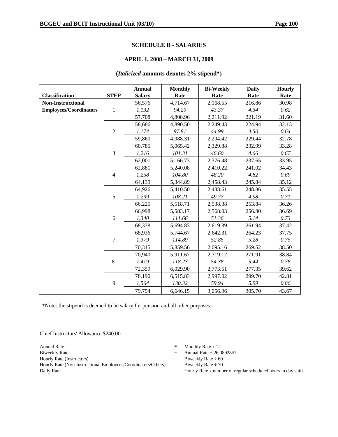### **SCHEDULE B - SALARIES**

### **APRIL 1, 2008 – MARCH 31, 2009**

### **(***Italicized* **amounts denotes 2% stipend\*)**

|                               |                | <b>Annual</b> | <b>Monthly</b> | <b>Bi-Weekly</b> | <b>Daily</b> | <b>Hourly</b> |
|-------------------------------|----------------|---------------|----------------|------------------|--------------|---------------|
| <b>Classification</b>         | <b>STEP</b>    | <b>Salary</b> | Rate           | Rate             | Rate         | Rate          |
| <b>Non-Instructional</b>      |                | 56,576        | 4,714.67       | 2,168.55         | 216.86       | 30.98         |
| <b>Employees/Coordinators</b> | $\mathbf{1}$   | 1,132         | 94.29          | 43.37            | 4.34         | 0.62          |
|                               |                | 57,708        | 4,808.96       | 2,211.92         | 221.19       | 31.60         |
|                               |                | 58,686        | 4,890.50       | 2,249.43         | 224.94       | 32.13         |
|                               | $\overline{2}$ | 1,174         | 97.81          | 44.99            | 4.50         | 0.64          |
|                               |                | 59,860        | 4,988.31       | 2,294.42         | 229.44       | 32.78         |
|                               |                | 60,785        | 5,065.42       | 2,329.88         | 232.99       | 33.28         |
|                               | 3              | 1,216         | 101.31         | 46.60            | 4.66         | 0.67          |
|                               |                | 62,001        | 5,166.73       | 2,376.48         | 237.65       | 33.95         |
|                               |                | 62,881        | 5,240.08       | 2,410.22         | 241.02       | 34.43         |
|                               | $\overline{4}$ | 1,258         | 104.80         | 48.20            | 4.82         | 0.69          |
|                               |                | 64,139        | 5,344.89       | 2,458.43         | 245.84       | 35.12         |
|                               |                | 64,926        | 5,410.50       | 2,488.61         | 248.86       | 35.55         |
|                               | 5              | 1,299         | 108.21         | 49.77            | 4.98         | 0.71          |
|                               |                | 66,225        | 5,518.71       | 2,538.38         | 253.84       | 36.26         |
|                               |                | 66,998        | 5,583.17       | 2,568.03         | 256.80       | 36.69         |
|                               | 6              | 1,340         | 111.66         | 51.36            | 5.14         | 0.73          |
|                               |                | 68,338        | 5,694.83       | 2,619.39         | 261.94       | 37.42         |
|                               |                | 68,936        | 5,744.67       | 2,642.31         | 264.23       | 37.75         |
|                               | $\overline{7}$ | 1,379         | 114.89         | 52.85            | 5.28         | 0.75          |
|                               |                | 70,315        | 5,859.56       | 2,695.16         | 269.52       | 38.50         |
|                               |                | 70,940        | 5,911.67       | 2,719.12         | 271.91       | 38.84         |
|                               | 8              | 1,419         | 118.23         | 54.38            | 5.44         | 0.78          |
|                               |                | 72,359        | 6,029.90       | 2,773.51         | 277.35       | 39.62         |
|                               |                | 78,190        | 6,515.83       | 2,997.02         | 299.70       | 42.81         |
|                               | 9              | 1,564         | 130.32         | 59.94            | 5.99         | 0.86          |
|                               |                | 79,754        | 6,646.15       | 3,056.96         | 305.70       | 43.67         |

\*Note: the stipend is deemed to be salary for pension and all other purposes.

Chief Instructors' Allowance \$240.00

Hourly Rate (Non-Instructional Employees/Coordinators/Others) = Biweekly Rate ÷ 70 Daily Rate  $=$  Hourly Rate x number of regular scheduled hours in day shift

- Annual Rate  $\qquad \qquad = \qquad$  Monthly Rate x 12
- Biweekly Rate  $\qquad \qquad$  Annual Rate  $\div 26.0892857$
- Hourly Rate (Instructors)  $=$  Biweekly Rate  $\div$  60
	-
	-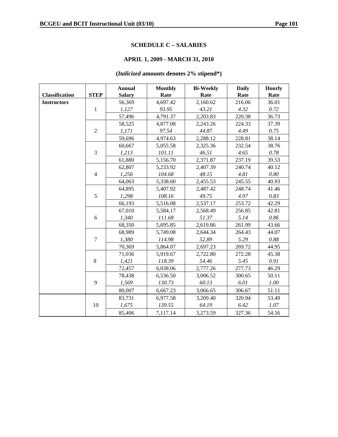# **SCHEDULE C – SALARIES**

# **APRIL 1, 2009 - MARCH 31, 2010**

# **(***Italicized* **amounts denotes 2% stipend\*)**

|                       |                | <b>Annual</b> | <b>Monthly</b> | <b>Bi-Weekly</b> | <b>Daily</b> | <b>Hourly</b> |
|-----------------------|----------------|---------------|----------------|------------------|--------------|---------------|
| <b>Classification</b> | <b>STEP</b>    | <b>Salary</b> | Rate           | Rate             | Rate         | Rate          |
| <b>Instructors</b>    |                | 56,369        | 4,697.42       | 2,160.62         | 216.06       | 36.01         |
|                       | $\mathbf{1}$   | 1,127         | 93.95          | 43.21            | 4.32         | 0.72          |
|                       |                | 57,496        | 4,791.37       | 2,203.83         | 220.38       | 36.73         |
|                       |                | 58,525        | 4,877.08       | 2,243.26         | 224.33       | 37.39         |
|                       | $\overline{2}$ | 1,171         | 97.54          | 44.87            | 4.49         | 0.75          |
|                       |                | 59,696        | 4,974.63       | 2,288.12         | 228.81       | 38.14         |
|                       |                | 60,667        | 5,055.58       | 2,325.36         | 232.54       | 38.76         |
|                       | 3              | 1,213         | 101.11         | 46.51            | 4.65         | 0.78          |
|                       |                | 61,880        | 5,156.70       | 2,371.87         | 237.19       | 39.53         |
|                       |                | 62,807        | 5,233.92       | 2,407.39         | 240.74       | 40.12         |
|                       | $\overline{4}$ | 1,256         | 104.68         | 48.15            | 4.81         | 0.80          |
|                       |                | 64,063        | 5,338.60       | 2,455.53         | 245.55       | 40.93         |
|                       |                | 64,895        | 5,407.92       | 2,487.42         | 248.74       | 41.46         |
|                       | 5              | 1,298         | 108.16         | 49.75            | 4.97         | 0.83          |
|                       |                | 66,193        | 5,516.08       | 2,537.17         | 253.72       | 42.29         |
|                       |                | 67,010        | 5,584.17       | 2,568.49         | 256.85       | 42.81         |
|                       | 6              | 1,340         | 111.68         | 51.37            | 5.14         | $0.86\,$      |
|                       |                | 68,350        | 5,695.85       | 2,619.86         | 261.99       | 43.66         |
|                       |                | 68,989        | 5,749.08       | 2,644.34         | 264.43       | 44.07         |
|                       | $\overline{7}$ | 1,380         | 114.98         | 52.89            | 5.29         | 0.88          |
|                       |                | 70,369        | 5,864.07       | 2,697.23         | 269.72       | 44.95         |
|                       |                | 71,036        | 5,919.67       | 2,722.80         | 272.28       | 45.38         |
|                       | 8              | 1,421         | 118.39         | 54.46            | 5.45         | 0.91          |
|                       |                | 72,457        | 6,038.06       | 2,777.26         | 277.73       | 46.29         |
|                       |                | 78,438        | 6,536.50       | 3,006.52         | 300.65       | 50.11         |
|                       | 9              | 1,569         | 130.73         | 60.13            | 6.01         | $1.00\,$      |
|                       |                | 80,007        | 6,667.23       | 3,066.65         | 306.67       | 51.11         |
|                       |                | 83,731        | 6,977.58       | 3,209.40         | 320.94       | 53.49         |
|                       | 10             | 1,675         | 139.55         | 64.19            | 6.42         | $1.07\,$      |
|                       |                | 85,406        | 7,117.14       | 3,273.59         | 327.36       | 54.56         |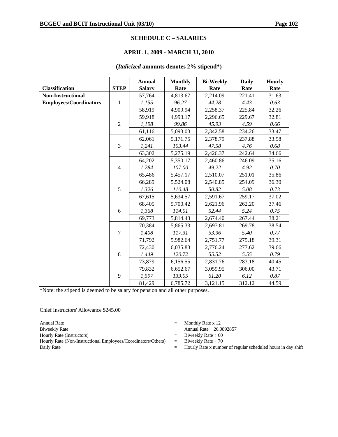### **SCHEDULE C – SALARIES**

### **APRIL 1, 2009 - MARCH 31, 2010**

### **(***Italicized* **amounts denotes 2% stipend\*)**

| <b>Classification</b>         | <b>STEP</b>    | <b>Annual</b><br><b>Salary</b> | <b>Monthly</b><br>Rate | <b>Bi-Weekly</b><br>Rate | <b>Daily</b><br>Rate | <b>Hourly</b><br>Rate |
|-------------------------------|----------------|--------------------------------|------------------------|--------------------------|----------------------|-----------------------|
| <b>Non-Instructional</b>      |                | 57,764                         | 4,813.67               | 2,214.09                 | 221.41               | 31.63                 |
| <b>Employees/Coordinators</b> | $\mathbf{1}$   | 1,155                          | 96.27                  | 44.28                    | 4.43                 | 0.63                  |
|                               |                | 58,919                         | 4,909.94               | 2,258.37                 | 225.84               | 32.26                 |
|                               |                | 59,918                         | 4,993.17               | 2,296.65                 | 229.67               | 32.81                 |
|                               | $\overline{2}$ | 1,198                          | 99.86                  | 45.93                    | 4.59                 | 0.66                  |
|                               |                | 61,116                         | 5,093.03               | 2,342.58                 | 234.26               | 33.47                 |
|                               |                | 62,061                         | 5,171.75               | 2,378.79                 | 237.88               | 33.98                 |
|                               | 3              | 1,241                          | 103.44                 | 47.58                    | 4.76                 | 0.68                  |
|                               |                | 63,302                         | 5,275.19               | 2,426.37                 | 242.64               | 34.66                 |
|                               |                | 64,202                         | 5,350.17               | 2,460.86                 | 246.09               | 35.16                 |
|                               | $\overline{4}$ | 1,284                          | 107.00                 | 49.22                    | 4.92                 | 0.70                  |
|                               |                |                                |                        |                          | 251.01               |                       |
|                               |                | 65,486                         | 5,457.17               | 2,510.07                 |                      | 35.86                 |
|                               |                | 66,289                         | 5,524.08               | 2,540.85                 | 254.09               | 36.30                 |
|                               | 5              | 1,326                          | 110.48                 | 50.82                    | 5.08                 | 0.73                  |
|                               |                | 67,615                         | 5,634.57               | 2,591.67                 | 259.17               | 37.02                 |
|                               |                | 68,405                         | 5,700.42               | 2,621.96                 | 262.20               | 37.46                 |
|                               | 6              | 1,368                          | 114.01                 | 52.44                    | 5.24                 | 0.75                  |
|                               |                | 69,773                         | 5,814.43               | 2,674.40                 | 267.44               | 38.21                 |
|                               |                | 70,384                         | 5,865.33               | 2,697.81                 | 269.78               | 38.54                 |
|                               | $\overline{7}$ | 1,408                          | 117.31                 | 53.96                    | 5.40                 | 0.77                  |
|                               |                | 71,792                         | 5,982.64               | 2,751.77                 | 275.18               | 39.31                 |
|                               |                | 72,430                         | 6,035.83               | 2,776.24                 | 277.62               | 39.66                 |
|                               | $\,8\,$        | 1,449                          | 120.72                 | 55.52                    | 5.55                 | 0.79                  |
|                               |                | 73,879                         | 6,156.55               | 2,831.76                 | 283.18               | 40.45                 |
|                               |                | 79,832                         | 6,652.67               | 3,059.95                 | 306.00               | 43.71                 |
|                               | 9              | 1,597                          | 133.05                 | 61.20                    | 6.12                 | 0.87                  |
|                               |                | 81,429                         | 6,785.72               | 3,121.15                 | 312.12               | 44.59                 |

\*Note: the stipend is deemed to be salary for pension and all other purposes.

Chief Instructors' Allowance \$245.00

Hourly Rate (Instructors)  $=$  Biweekly Rate  $\div$  60<br>Hourly Rate (Non-Instructional Employees/Coordinators/Others)  $=$  Biweekly Rate  $\div$  70 Hourly Rate (Non-Instructional Employees/Coordinators/Others) = Daily Rate  $=$  Hourly Rate x number of regular scheduled hours in day shift

- Annual Rate  $\qquad \qquad = \qquad$  Monthly Rate x 12
- Biweekly Rate  $\qquad \qquad$  Annual Rate  $\div 26.0892857$ 
	-
	-
	-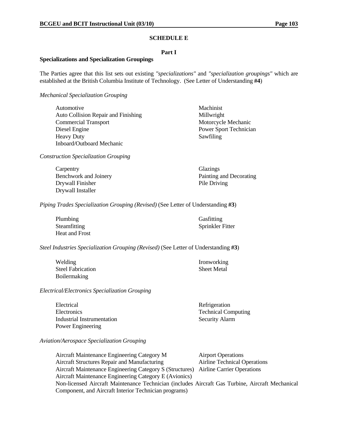### **SCHEDULE E**

### **Part I**

### **Specializations and Specialization Groupings**

The Parties agree that this list sets out existing *"specializations"* and *"specialization groupings"* which are established at the British Columbia Institute of Technology. (See Letter of Understanding **#4**)

*Mechanical Specialization Grouping*

Automotive Machinist Auto Collision Repair and Finishing Millwright Commercial Transport Motorcycle Mechanic Diesel EnginePower Sport Technician Heavy Duty Sawfiling Inboard/Outboard Mechanic

*Construction Specialization Grouping*

Carpentry Glazings Drywall Finisher Pile Driving Drywall Installer

Benchwork and Joinery Painting and Decorating

*Piping Trades Specialization Grouping (Revised)* (See Letter of Understanding **#3**)

| Plumbing       | Gasfitting       |
|----------------|------------------|
| Steamfitting   | Sprinkler Fitter |
| Heat and Frost |                  |

*Steel Industries Specialization Grouping (Revised)* (See Letter of Understanding **#3**)

Welding Ironworking Steel Fabrication Sheet Metal Boilermaking

*Electrical/Electronics Specialization Grouping*

Electrical Refrigeration Electronics Technical Computing Industrial Instrumentation Security Alarm Power Engineering

*Aviation/Aerospace Specialization Grouping*

Aircraft Maintenance Engineering Category M Airport Operations Aircraft Structures Repair and Manufacturing Airline Technical Operations Aircraft Maintenance Engineering Category S (Structures) Airline Carrier Operations Aircraft Maintenance Engineering Category E (Avionics) Non-licensed Aircraft Maintenance Technician (includes Aircraft Gas Turbine, Aircraft Mechanical Component, and Aircraft Interior Technician programs)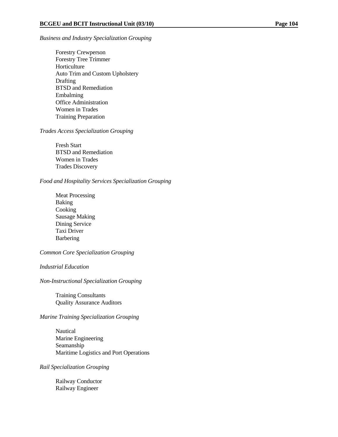### *Business and Industry Specialization Grouping*

 Forestry Crewperson Forestry Tree Trimmer Horticulture Auto Trim and Custom Upholstery **Drafting**  BTSD and Remediation Embalming Office Administration Women in Trades Training Preparation

# *Trades Access Specialization Grouping*

 Fresh Start BTSD and Remediation Women in Trades Trades Discovery

### *Food and Hospitality Services Specialization Grouping*

 Meat Processing Baking Cooking Sausage Making Dining Service Taxi Driver Barbering

# *Common Core Specialization Grouping*

### *Industrial Education*

*Non-Instructional Specialization Grouping*

 Training Consultants Quality Assurance Auditors

# *Marine Training Specialization Grouping*

 Nautical Marine Engineering Seamanship Maritime Logistics and Port Operations

# *Rail Specialization Grouping*

 Railway Conductor Railway Engineer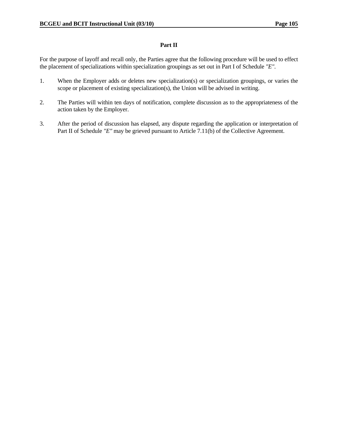# **Part II**

For the purpose of layoff and recall only, the Parties agree that the following procedure will be used to effect the placement of specializations within specialization groupings as set out in Part I of Schedule *"E"*.

- 1. When the Employer adds or deletes new specialization(s) or specialization groupings, or varies the scope or placement of existing specialization(s), the Union will be advised in writing.
- 2. The Parties will within ten days of notification, complete discussion as to the appropriateness of the action taken by the Employer.
- 3. After the period of discussion has elapsed, any dispute regarding the application or interpretation of Part II of Schedule *"E"* may be grieved pursuant to Article 7.11(b) of the Collective Agreement.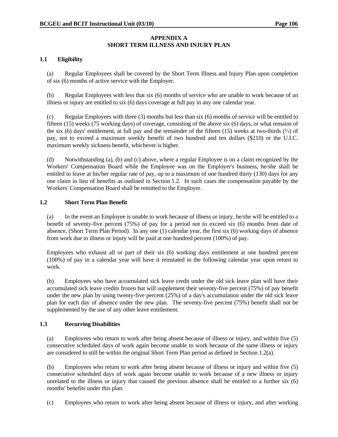# **APPENDIX A SHORT TERM ILLNESS AND INJURY PLAN**

# **1.1 Eligibility**

 (a) Regular Employees shall be covered by the Short Term Illness and Injury Plan upon completion of six (6) months of active service with the Employer.

 (b) Regular Employees with less that six (6) months of service who are unable to work because of an illness or injury are entitled to six (6) days coverage at full pay in any one calendar year.

 (c) Regular Employees with three (3) months but less than six (6) months of service will be entitled to fifteen (15) weeks (75 working days) of coverage, consisting of the above six (6) days, or what remains of the six (6) days' entitlement, at full pay and the remainder of the fifteen (15) weeks at two-thirds  $(\frac{2}{3})$  of pay, not to exceed a maximum weekly benefit of two hundred and ten dollars (\$210) or the U.I.C. maximum weekly sickness benefit, whichever is higher.

 (d) Notwithstanding (a), (b) and (c) above, where a regular Employee is on a claim recognized by the Workers' Compensation Board while the Employee was on the Employer's business, he/she shall be entitled to leave at his/her regular rate of pay, up to a maximum of one hundred thirty (130) days for any one claim in lieu of benefits as outlined in Section 1.2. In such cases the compensation payable by the Workers' Compensation Board shall be remitted to the Employer.

# **1.2 Short Term Plan Benefit**

 (a) In the event an Employee is unable to work because of illness or injury, he/she will be entitled to a benefit of seventy-five percent (75%) of pay for a period not to exceed six (6) months from date of absence, (Short Term Plan Period). In any one (1) calendar year, the first six (6) working days of absence from work due to illness or injury will be paid at one hundred percent (100%) of pay.

 Employees who exhaust all or part of their six (6) working days entitlement at one hundred percent (100%) of pay in a calendar year will have it reinstated in the following calendar year upon return to work.

 (b) Employees who have accumulated sick leave credit under the old sick leave plan will have their accumulated sick leave credits frozen but will supplement their seventy-five percent (75%) of pay benefit under the new plan by using twenty-five percent (25%) of a day's accumulation under the old sick leave plan for each day of absence under the new plan. The seventy-five percent (75%) benefit shall not be supplemented by the use of any other leave entitlement.

# **1.3 Recurring Disabilities**

 (a) Employees who return to work after being absent because of illness or injury, and within five (5) consecutive scheduled days of work again become unable to work because of the same illness or injury are considered to still be within the original Short Term Plan period as defined in Section 1.2(a).

 (b) Employees who return to work after being absent because of illness or injury and within five (5) consecutive scheduled days of work again become unable to work because of a new illness or injury unrelated to the illness or injury that caused the previous absence shall be entitled to a further six (6) months' benefits under this plan.

(c) Employees who return to work after being absent because of illness or injury, and after working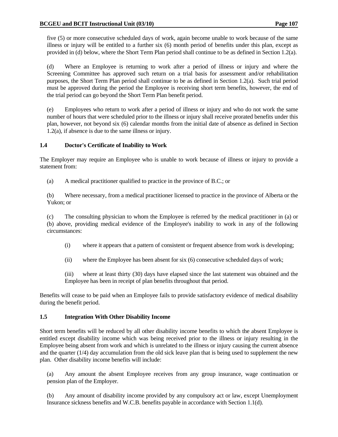five (5) or more consecutive scheduled days of work, again become unable to work because of the same illness or injury will be entitled to a further six (6) month period of benefits under this plan, except as provided in (d) below, where the Short Term Plan period shall continue to be as defined in Section 1.2(a).

 (d) Where an Employee is returning to work after a period of illness or injury and where the Screening Committee has approved such return on a trial basis for assessment and/or rehabilitation purposes, the Short Term Plan period shall continue to be as defined in Section 1.2(a). Such trial period must be approved during the period the Employee is receiving short term benefits, however, the end of the trial period can go beyond the Short Term Plan benefit period.

 (e) Employees who return to work after a period of illness or injury and who do not work the same number of hours that were scheduled prior to the illness or injury shall receive prorated benefits under this plan, however, not beyond six (6) calendar months from the initial date of absence as defined in Section 1.2(a), if absence is due to the same illness or injury.

# **1.4 Doctor's Certificate of Inability to Work**

The Employer may require an Employee who is unable to work because of illness or injury to provide a statement from:

(a) A medical practitioner qualified to practice in the province of B.C.; or

 (b) Where necessary, from a medical practitioner licensed to practice in the province of Alberta or the Yukon; or

 (c) The consulting physician to whom the Employee is referred by the medical practitioner in (a) or (b) above, providing medical evidence of the Employee's inability to work in any of the following circumstances:

- (i) where it appears that a pattern of consistent or frequent absence from work is developing;
- (ii) where the Employee has been absent for six (6) consecutive scheduled days of work;

 (iii) where at least thirty (30) days have elapsed since the last statement was obtained and the Employee has been in receipt of plan benefits throughout that period.

Benefits will cease to be paid when an Employee fails to provide satisfactory evidence of medical disability during the benefit period.

# **1.5 Integration With Other Disability Income**

Short term benefits will be reduced by all other disability income benefits to which the absent Employee is entitled except disability income which was being received prior to the illness or injury resulting in the Employee being absent from work and which is unrelated to the illness or injury causing the current absence and the quarter (1/4) day accumulation from the old sick leave plan that is being used to supplement the new plan. Other disability income benefits will include:

 (a) Any amount the absent Employee receives from any group insurance, wage continuation or pension plan of the Employer.

 (b) Any amount of disability income provided by any compulsory act or law, except Unemployment Insurance sickness benefits and W.C.B. benefits payable in accordance with Section 1.1(d).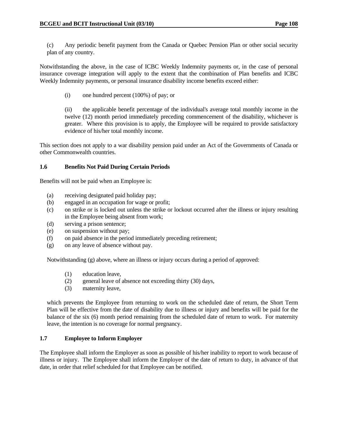(c) Any periodic benefit payment from the Canada or Quebec Pension Plan or other social security plan of any country.

Notwithstanding the above, in the case of ICBC Weekly Indemnity payments or, in the case of personal insurance coverage integration will apply to the extent that the combination of Plan benefits and ICBC Weekly Indemnity payments, or personal insurance disability income benefits exceed either:

(i) one hundred percent (100%) of pay; or

 (ii) the applicable benefit percentage of the individual's average total monthly income in the twelve (12) month period immediately preceding commencement of the disability, whichever is greater. Where this provision is to apply, the Employee will be required to provide satisfactory evidence of his/her total monthly income.

This section does not apply to a war disability pension paid under an Act of the Governments of Canada or other Commonwealth countries.

# **1.6 Benefits Not Paid During Certain Periods**

Benefits will not be paid when an Employee is:

- (a) receiving designated paid holiday pay;
- (b) engaged in an occupation for wage or profit;
- (c) on strike or is locked out unless the strike or lockout occurred after the illness or injury resulting in the Employee being absent from work;
- (d) serving a prison sentence;
- (e) on suspension without pay;
- (f) on paid absence in the period immediately preceding retirement;
- (g) on any leave of absence without pay.

Notwithstanding (g) above, where an illness or injury occurs during a period of approved:

- (1) education leave,
- (2) general leave of absence not exceeding thirty (30) days,
- (3) maternity leave,

 which prevents the Employee from returning to work on the scheduled date of return, the Short Term Plan will be effective from the date of disability due to illness or injury and benefits will be paid for the balance of the six (6) month period remaining from the scheduled date of return to work. For maternity leave, the intention is no coverage for normal pregnancy.

# **1.7 Employee to Inform Employer**

The Employee shall inform the Employer as soon as possible of his/her inability to report to work because of illness or injury. The Employee shall inform the Employer of the date of return to duty, in advance of that date, in order that relief scheduled for that Employee can be notified.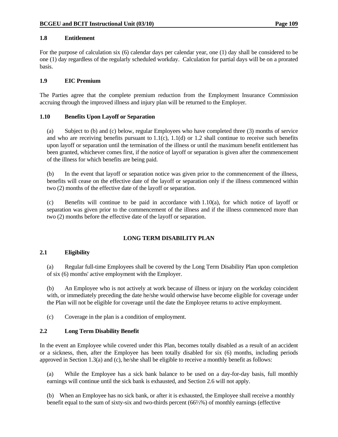# **1.8 Entitlement**

For the purpose of calculation six (6) calendar days per calendar year, one (1) day shall be considered to be one (1) day regardless of the regularly scheduled workday. Calculation for partial days will be on a prorated basis.

# **1.9 EIC Premium**

The Parties agree that the complete premium reduction from the Employment Insurance Commission accruing through the improved illness and injury plan will be returned to the Employer.

# **1.10 Benefits Upon Layoff or Separation**

 (a) Subject to (b) and (c) below, regular Employees who have completed three (3) months of service and who are receiving benefits pursuant to  $1.1(c)$ ,  $1.1(d)$  or  $1.2$  shall continue to receive such benefits upon layoff or separation until the termination of the illness or until the maximum benefit entitlement has been granted, whichever comes first, if the notice of layoff or separation is given after the commencement of the illness for which benefits are being paid.

 (b) In the event that layoff or separation notice was given prior to the commencement of the illness, benefits will cease on the effective date of the layoff or separation only if the illness commenced within two (2) months of the effective date of the layoff or separation.

 (c) Benefits will continue to be paid in accordance with 1.10(a), for which notice of layoff or separation was given prior to the commencement of the illness and if the illness commenced more than two (2) months before the effective date of the layoff or separation.

# **LONG TERM DISABILITY PLAN**

# **2.1 Eligibility**

 (a) Regular full-time Employees shall be covered by the Long Term Disability Plan upon completion of six (6) months' active employment with the Employer.

 (b) An Employee who is not actively at work because of illness or injury on the workday coincident with, or immediately preceding the date he/she would otherwise have become eligible for coverage under the Plan will not be eligible for coverage until the date the Employee returns to active employment.

(c) Coverage in the plan is a condition of employment.

# **2.2 Long Term Disability Benefit**

In the event an Employee while covered under this Plan, becomes totally disabled as a result of an accident or a sickness, then, after the Employee has been totally disabled for six (6) months, including periods approved in Section 1.3(a) and (c), he/she shall be eligible to receive a monthly benefit as follows:

 (a) While the Employee has a sick bank balance to be used on a day-for-day basis, full monthly earnings will continue until the sick bank is exhausted, and Section 2.6 will not apply.

(b) When an Employee has no sick bank, or after it is exhausted, the Employee shall receive a monthly benefit equal to the sum of sixty-six and two-thirds percent (66⅔%) of monthly earnings (effective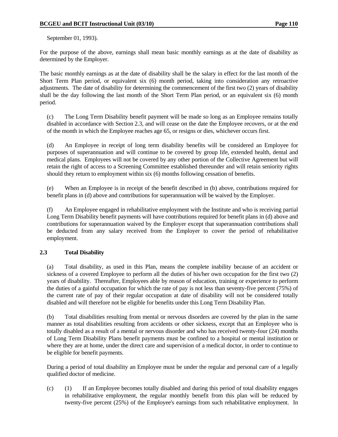September 01, 1993).

For the purpose of the above, earnings shall mean basic monthly earnings as at the date of disability as determined by the Employer.

The basic monthly earnings as at the date of disability shall be the salary in effect for the last month of the Short Term Plan period, or equivalent six (6) month period, taking into consideration any retroactive adjustments. The date of disability for determining the commencement of the first two (2) years of disability shall be the day following the last month of the Short Term Plan period, or an equivalent six (6) month period.

 (c) The Long Term Disability benefit payment will be made so long as an Employee remains totally disabled in accordance with Section 2.3, and will cease on the date the Employee recovers, or at the end of the month in which the Employee reaches age 65, or resigns or dies, whichever occurs first.

 (d) An Employee in receipt of long term disability benefits will be considered an Employee for purposes of superannuation and will continue to be covered by group life, extended health, dental and medical plans. Employees will not be covered by any other portion of the Collective Agreement but will retain the right of access to a Screening Committee established thereunder and will retain seniority rights should they return to employment within six (6) months following cessation of benefits.

 (e) When an Employee is in receipt of the benefit described in (b) above, contributions required for benefit plans in (d) above and contributions for superannuation will be waived by the Employer.

 (f) An Employee engaged in rehabilitative employment with the Institute and who is receiving partial Long Term Disability benefit payments will have contributions required for benefit plans in (d) above and contributions for superannuation waived by the Employer except that superannuation contributions shall be deducted from any salary received from the Employer to cover the period of rehabilitative employment.

# **2.3 Total Disability**

 (a) Total disability, as used in this Plan, means the complete inability because of an accident or sickness of a covered Employee to perform all the duties of his/her own occupation for the first two (2) years of disability. Thereafter, Employees able by reason of education, training or experience to perform the duties of a gainful occupation for which the rate of pay is not less than seventy-five percent (75%) of the current rate of pay of their regular occupation at date of disability will not be considered totally disabled and will therefore not be eligible for benefits under this Long Term Disability Plan.

 (b) Total disabilities resulting from mental or nervous disorders are covered by the plan in the same manner as total disabilities resulting from accidents or other sickness, except that an Employee who is totally disabled as a result of a mental or nervous disorder and who has received twenty-four (24) months of Long Term Disability Plans benefit payments must be confined to a hospital or mental institution or where they are at home, under the direct care and supervision of a medical doctor, in order to continue to be eligible for benefit payments.

 During a period of total disability an Employee must be under the regular and personal care of a legally qualified doctor of medicine.

 (c) (1) If an Employee becomes totally disabled and during this period of total disability engages in rehabilitative employment, the regular monthly benefit from this plan will be reduced by twenty-five percent (25%) of the Employee's earnings from such rehabilitative employment. In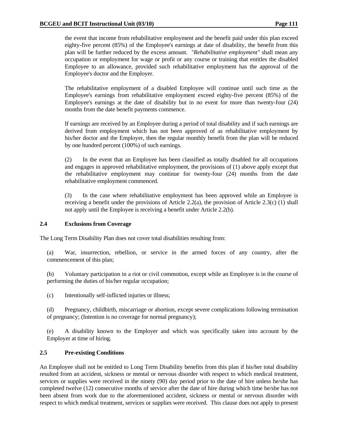the event that income from rehabilitative employment and the benefit paid under this plan exceed eighty-five percent (85%) of the Employee's earnings at date of disability, the benefit from this plan will be further reduced by the excess amount. *"Rehabilitative employment"* shall mean any occupation or employment for wage or profit or any course or training that entitles the disabled Employee to an allowance, provided such rehabilitative employment has the approval of the Employee's doctor and the Employer.

 The rehabilitative employment of a disabled Employee will continue until such time as the Employee's earnings from rehabilitative employment exceed eighty-five percent (85%) of the Employee's earnings at the date of disability but in no event for more than twenty-four (24) months from the date benefit payments commence.

 If earnings are received by an Employee during a period of total disability and if such earnings are derived from employment which has not been approved of as rehabilitative employment by his/her doctor and the Employer, then the regular monthly benefit from the plan will be reduced by one hundred percent (100%) of such earnings.

 (2) In the event that an Employee has been classified as totally disabled for all occupations and engages in approved rehabilitative employment, the provisions of (1) above apply except that the rehabilitative employment may continue for twenty-four (24) months from the date rehabilitative employment commenced.

 (3) In the case where rehabilitative employment has been approved while an Employee is receiving a benefit under the provisions of Article 2.2(a), the provision of Article 2.3(c) (1) shall not apply until the Employee is receiving a benefit under Article 2.2(b).

# **2.4 Exclusions from Coverage**

The Long Term Disability Plan does not cover total disabilities resulting from:

 (a) War, insurrection, rebellion, or service in the armed forces of any country, after the commencement of this plan;

 (b) Voluntary participation in a riot or civil commotion, except while an Employee is in the course of performing the duties of his/her regular occupation;

(c) Intentionally self-inflicted injuries or illness;

 (d) Pregnancy, childbirth, miscarriage or abortion, except severe complications following termination of pregnancy; (Intention is no coverage for normal pregnancy);

 (e) A disability known to the Employer and which was specifically taken into account by the Employer at time of hiring.

# **2.5 Pre-existing Conditions**

An Employee shall not be entitled to Long Term Disability benefits from this plan if his/her total disability resulted from an accident, sickness or mental or nervous disorder with respect to which medical treatment, services or supplies were received in the ninety (90) day period prior to the date of hire unless he/she has completed twelve (12) consecutive months of service after the date of hire during which time he/she has not been absent from work due to the aforementioned accident, sickness or mental or nervous disorder with respect to which medical treatment, services or supplies were received. This clause does not apply to present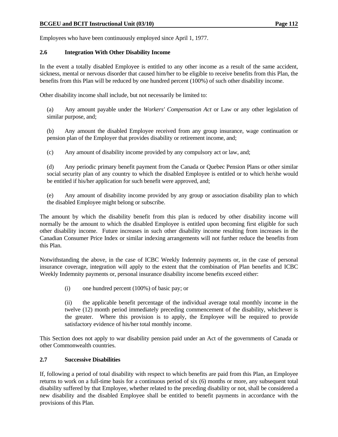Employees who have been continuously employed since April 1, 1977.

# **2.6 Integration With Other Disability Income**

In the event a totally disabled Employee is entitled to any other income as a result of the same accident, sickness, mental or nervous disorder that caused him/her to be eligible to receive benefits from this Plan, the benefits from this Plan will be reduced by one hundred percent (100%) of such other disability income.

Other disability income shall include, but not necessarily be limited to:

 (a) Any amount payable under the *Workers' Compensation Act* or Law or any other legislation of similar purpose, and;

 (b) Any amount the disabled Employee received from any group insurance, wage continuation or pension plan of the Employer that provides disability or retirement income, and;

(c) Any amount of disability income provided by any compulsory act or law, and;

 (d) Any periodic primary benefit payment from the Canada or Quebec Pension Plans or other similar social security plan of any country to which the disabled Employee is entitled or to which he/she would be entitled if his/her application for such benefit were approved, and;

 (e) Any amount of disability income provided by any group or association disability plan to which the disabled Employee might belong or subscribe.

The amount by which the disability benefit from this plan is reduced by other disability income will normally be the amount to which the disabled Employee is entitled upon becoming first eligible for such other disability income. Future increases in such other disability income resulting from increases in the Canadian Consumer Price Index or similar indexing arrangements will not further reduce the benefits from this Plan.

Notwithstanding the above, in the case of ICBC Weekly Indemnity payments or, in the case of personal insurance coverage, integration will apply to the extent that the combination of Plan benefits and ICBC Weekly Indemnity payments or, personal insurance disability income benefits exceed either:

(i) one hundred percent (100%) of basic pay; or

 (ii) the applicable benefit percentage of the individual average total monthly income in the twelve (12) month period immediately preceding commencement of the disability, whichever is the greater. Where this provision is to apply, the Employee will be required to provide satisfactory evidence of his/her total monthly income.

This Section does not apply to war disability pension paid under an Act of the governments of Canada or other Commonwealth countries.

# **2.7 Successive Disabilities**

If, following a period of total disability with respect to which benefits are paid from this Plan, an Employee returns to work on a full-time basis for a continuous period of six (6) months or more, any subsequent total disability suffered by that Employee, whether related to the preceding disability or not, shall be considered a new disability and the disabled Employee shall be entitled to benefit payments in accordance with the provisions of this Plan.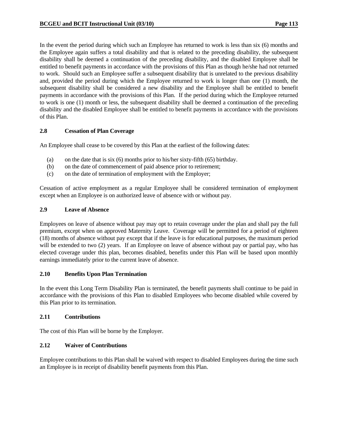In the event the period during which such an Employee has returned to work is less than six (6) months and the Employee again suffers a total disability and that is related to the preceding disability, the subsequent disability shall be deemed a continuation of the preceding disability, and the disabled Employee shall be entitled to benefit payments in accordance with the provisions of this Plan as though he/she had not returned to work. Should such an Employee suffer a subsequent disability that is unrelated to the previous disability and, provided the period during which the Employee returned to work is longer than one (1) month, the subsequent disability shall be considered a new disability and the Employee shall be entitled to benefit payments in accordance with the provisions of this Plan. If the period during which the Employee returned to work is one (1) month or less, the subsequent disability shall be deemed a continuation of the preceding disability and the disabled Employee shall be entitled to benefit payments in accordance with the provisions of this Plan.

# **2.8 Cessation of Plan Coverage**

An Employee shall cease to be covered by this Plan at the earliest of the following dates:

- (a) on the date that is six (6) months prior to his/her sixty-fifth (65) birthday.
- (b) on the date of commencement of paid absence prior to retirement;
- (c) on the date of termination of employment with the Employer;

Cessation of active employment as a regular Employee shall be considered termination of employment except when an Employee is on authorized leave of absence with or without pay.

### **2.9 Leave of Absence**

Employees on leave of absence without pay may opt to retain coverage under the plan and shall pay the full premium, except when on approved Maternity Leave. Coverage will be permitted for a period of eighteen (18) months of absence without pay except that if the leave is for educational purposes, the maximum period will be extended to two (2) years. If an Employee on leave of absence without pay or partial pay, who has elected coverage under this plan, becomes disabled, benefits under this Plan will be based upon monthly earnings immediately prior to the current leave of absence.

### **2.10 Benefits Upon Plan Termination**

In the event this Long Term Disability Plan is terminated, the benefit payments shall continue to be paid in accordance with the provisions of this Plan to disabled Employees who become disabled while covered by this Plan prior to its termination.

# **2.11 Contributions**

The cost of this Plan will be borne by the Employer.

# **2.12 Waiver of Contributions**

Employee contributions to this Plan shall be waived with respect to disabled Employees during the time such an Employee is in receipt of disability benefit payments from this Plan.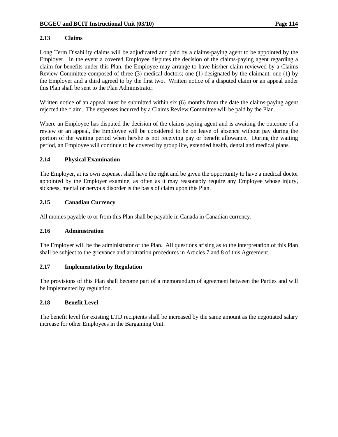# **2.13 Claims**

Long Term Disability claims will be adjudicated and paid by a claims-paying agent to be appointed by the Employer. In the event a covered Employee disputes the decision of the claims-paying agent regarding a claim for benefits under this Plan, the Employee may arrange to have his/her claim reviewed by a Claims Review Committee composed of three (3) medical doctors; one (1) designated by the claimant, one (1) by the Employer and a third agreed to by the first two. Written notice of a disputed claim or an appeal under this Plan shall be sent to the Plan Administrator.

Written notice of an appeal must be submitted within six (6) months from the date the claims-paying agent rejected the claim. The expenses incurred by a Claims Review Committee will be paid by the Plan.

Where an Employee has disputed the decision of the claims-paying agent and is awaiting the outcome of a review or an appeal, the Employee will be considered to be on leave of absence without pay during the portion of the waiting period when he/she is not receiving pay or benefit allowance. During the waiting period, an Employee will continue to be covered by group life, extended health, dental and medical plans.

# **2.14 Physical Examination**

The Employer, at its own expense, shall have the right and be given the opportunity to have a medical doctor appointed by the Employer examine, as often as it may reasonably require any Employee whose injury, sickness, mental or nervous disorder is the basis of claim upon this Plan.

# **2.15 Canadian Currency**

All monies payable to or from this Plan shall be payable in Canada in Canadian currency.

# **2.16 Administration**

The Employer will be the administrator of the Plan. All questions arising as to the interpretation of this Plan shall be subject to the grievance and arbitration procedures in Articles 7 and 8 of this Agreement.

# **2.17 Implementation by Regulation**

The provisions of this Plan shall become part of a memorandum of agreement between the Parties and will be implemented by regulation.

### **2.18 Benefit Level**

The benefit level for existing LTD recipients shall be increased by the same amount as the negotiated salary increase for other Employees in the Bargaining Unit.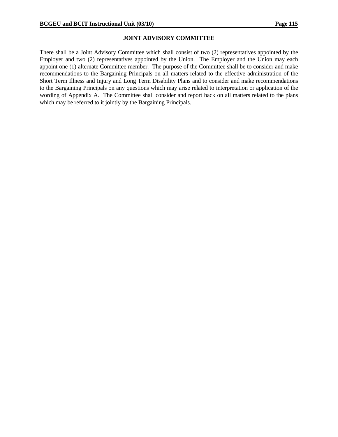### **JOINT ADVISORY COMMITTEE**

There shall be a Joint Advisory Committee which shall consist of two (2) representatives appointed by the Employer and two (2) representatives appointed by the Union. The Employer and the Union may each appoint one (1) alternate Committee member. The purpose of the Committee shall be to consider and make recommendations to the Bargaining Principals on all matters related to the effective administration of the Short Term Illness and Injury and Long Term Disability Plans and to consider and make recommendations to the Bargaining Principals on any questions which may arise related to interpretation or application of the wording of Appendix A. The Committee shall consider and report back on all matters related to the plans which may be referred to it jointly by the Bargaining Principals.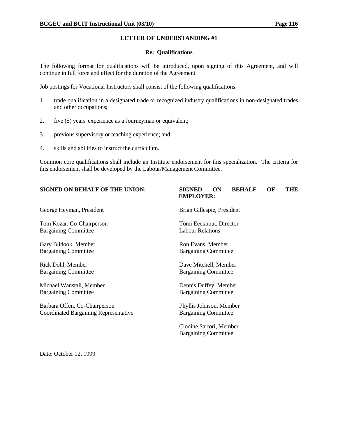### **Re: Qualifications**

The following format for qualifications will be introduced, upon signing of this Agreement, and will continue in full force and effect for the duration of the Agreement.

Job postings for Vocational Instructors shall consist of the following qualifications:

- 1. trade qualification in a designated trade or recognized industry qualifications in non-designated trades and other occupations;
- 2. five (5) years' experience as a Journeyman or equivalent;
- 3. previous supervisory or teaching experience; and
- 4. skills and abilities to instruct the curriculum.

Common core qualifications shall include an Institute endorsement for this specialization. The criteria for this endorsement shall be developed by the Labour/Management Committee.

### **SIGNED ON BEHALF OF THE UNION: SIGNED ON BEHALF OF THE EMPLOYER:**

George Heyman, President and Brian Gillespie, President Brian Gillespie, President

Tom Kozar, Co-Chairperson Tomi Eeckhout, Director Bargaining Committee Labour Relations

Gary Blidook, Member Ron Evans, Member Bargaining Committee Bargaining Committee

Michael Wanstall, Member Dennis Duffey, Member Bargaining Committee Bargaining Committee

Barbara Offen, Co-Chairperson Phyllis Johnson, Member Coordinated Bargaining Representative Bargaining Committee

Rick Dohl, Member **Dave Mitchell**, Member **Dave Mitchell**, Member Bargaining Committee Bargaining Committee

 Clodine Sartori, Member Bargaining Committee

Date: October 12, 1999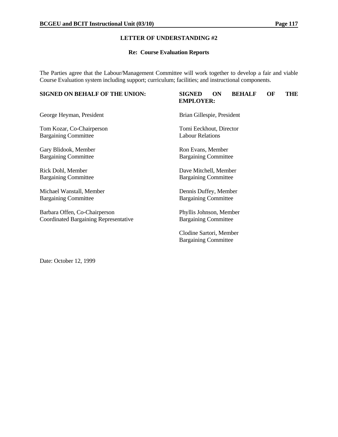### **Re: Course Evaluation Reports**

The Parties agree that the Labour/Management Committee will work together to develop a fair and viable Course Evaluation system including support; curriculum; facilities; and instructional components.

# **SIGNED ON BEHALF OF THE UNION: SIGNED ON BEHALF OF THE EMPLOYER:** George Heyman, President Brian Gillespie, President Tom Kozar, Co-Chairperson Tomi Eeckhout, Director Bargaining Committee Labour Relations Gary Blidook, Member Ron Evans, Member Bargaining Committee Bargaining Committee Rick Dohl, Member Dave Mitchell, Member Bargaining Committee Bargaining Committee Michael Wanstall, Member Dennis Duffey, Member Bargaining Committee Bargaining Committee Barbara Offen, Co-Chairperson Phyllis Johnson, Member Coordinated Bargaining Representative Bargaining Committee Clodine Sartori, Member Bargaining Committee

Date: October 12, 1999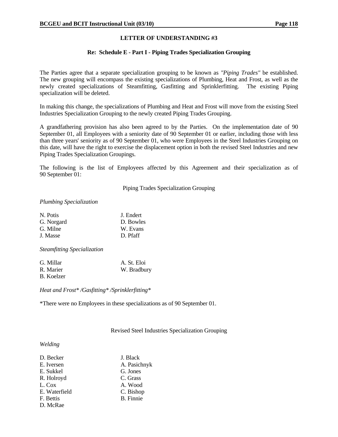### **Re: Schedule E - Part I - Piping Trades Specialization Grouping**

The Parties agree that a separate specialization grouping to be known as *"Piping Trades"* be established. The new grouping will encompass the existing specializations of Plumbing, Heat and Frost, as well as the newly created specializations of Steamfitting, Gasfitting and Sprinklerfitting. The existing Piping specialization will be deleted.

In making this change, the specializations of Plumbing and Heat and Frost will move from the existing Steel Industries Specialization Grouping to the newly created Piping Trades Grouping.

A grandfathering provision has also been agreed to by the Parties. On the implementation date of 90 September 01, all Employees with a seniority date of 90 September 01 or earlier, including those with less than three years' seniority as of 90 September 01, who were Employees in the Steel Industries Grouping on this date, will have the right to exercise the displacement option in both the revised Steel Industries and new Piping Trades Specialization Groupings.

The following is the list of Employees affected by this Agreement and their specialization as of 90 September 01:

Piping Trades Specialization Grouping

### *Plumbing Specialization*

| N. Potis   | J. Endert |
|------------|-----------|
| G. Norgard | D. Bowles |
| G. Milne   | W. Evans  |
| J. Masse   | D. Pfaff  |
|            |           |

*Steamfitting Specialization*

| G. Millar  | A. St. Eloi |
|------------|-------------|
| R. Marier  | W. Bradbury |
| B. Koelzer |             |

*Heat and Frost\* /Gasfitting\* /Sprinklerfitting\**

\*There were no Employees in these specializations as of 90 September 01.

Revised Steel Industries Specialization Grouping

### *Welding*

| D. Becker     | J. Black         |
|---------------|------------------|
| E. Iversen    | A. Pasichnyk     |
| E. Sukkel     | G. Jones         |
| R. Holroyd    | C. Grass         |
| L. Cox        | A. Wood          |
| E. Waterfield | C. Bishop        |
| F. Bettis     | <b>B.</b> Finnie |
| D. McRae      |                  |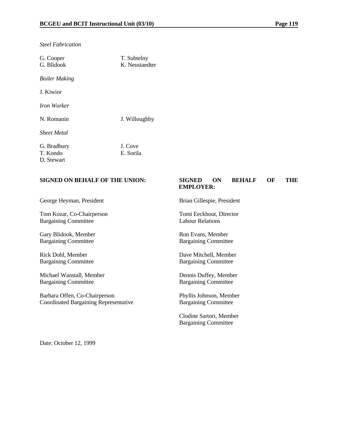*Steel Fabrication*

| G. Cooper<br>G. Blidook | T. Subtelny<br>K. Neustaedter |
|-------------------------|-------------------------------|
| <b>Boiler Making</b>    |                               |
| J. Kiwior               |                               |
| Iron Worker             |                               |
| N. Romanin              | J. Willoughby                 |
| <b>Sheet Metal</b>      |                               |
| G. Bradbury             | J. Cove                       |
| T. Kondo                | E. Sorila                     |
| D. Stewart              |                               |

### **SIGNED ON BEHALF OF THE UNION: SIGNED ON BEHALF OF THE EMPLOYER:**

George Heyman, President Brian Gillespie, President

Tom Kozar, Co-Chairperson Tomi Eeckhout, Director Bargaining Committee Labour Relations

Gary Blidook, Member Ron Evans, Member Bargaining Committee Bargaining Committee

Rick Dohl, Member Dave Mitchell, Member

Michael Wanstall, Member Dennis Duffey, Member Bargaining Committee Bargaining Committee

Barbara Offen, Co-Chairperson Phyllis Johnson, Member Coordinated Bargaining Representative Bargaining Committee

Bargaining Committee Bargaining Committee

 Clodine Sartori, Member Bargaining Committee

Date: October 12, 1999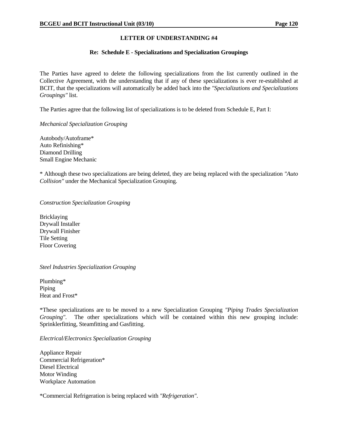### **Re: Schedule E - Specializations and Specialization Groupings**

The Parties have agreed to delete the following specializations from the list currently outlined in the Collective Agreement, with the understanding that if any of these specializations is ever re-established at BCIT, that the specializations will automatically be added back into the *"Specializations and Specializations Groupings"* list.

The Parties agree that the following list of specializations is to be deleted from Schedule E, Part I:

### *Mechanical Specialization Grouping*

Autobody/Autoframe\* Auto Refinishing\* Diamond Drilling Small Engine Mechanic

\* Although these two specializations are being deleted, they are being replaced with the specialization *"Auto Collision"* under the Mechanical Specialization Grouping.

### *Construction Specialization Grouping*

Bricklaying Drywall Installer Drywall Finisher Tile Setting Floor Covering

# *Steel Industries Specialization Grouping*

Plumbing\* Piping Heat and Frost\*

\*These specializations are to be moved to a new Specialization Grouping *"Piping Trades Specialization Grouping"*. The other specializations which will be contained within this new grouping include: Sprinklerfitting, Steamfitting and Gasfitting.

# *Electrical/Electronics Specialization Grouping*

Appliance Repair Commercial Refrigeration\* Diesel Electrical Motor Winding Workplace Automation

\*Commercial Refrigeration is being replaced with *"Refrigeration"*.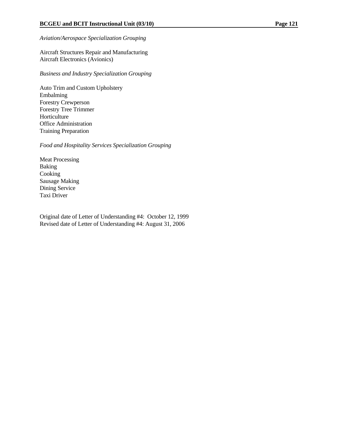# *Aviation/Aerospace Specialization Grouping*

Aircraft Structures Repair and Manufacturing Aircraft Electronics (Avionics)

*Business and Industry Specialization Grouping*

Auto Trim and Custom Upholstery Embalming Forestry Crewperson Forestry Tree Trimmer Horticulture Office Administration Training Preparation

*Food and Hospitality Services Specialization Grouping*

Meat Processing Baking Cooking Sausage Making Dining Service Taxi Driver

Original date of Letter of Understanding #4: October 12, 1999 Revised date of Letter of Understanding #4: August 31, 2006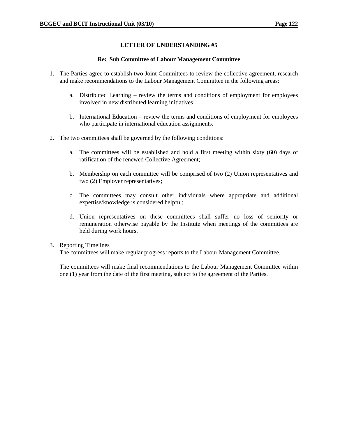### **Re: Sub Committee of Labour Management Committee**

- 1. The Parties agree to establish two Joint Committees to review the collective agreement, research and make recommendations to the Labour Management Committee in the following areas:
	- a. Distributed Learning review the terms and conditions of employment for employees involved in new distributed learning initiatives.
	- b. International Education review the terms and conditions of employment for employees who participate in international education assignments.
- 2. The two committees shall be governed by the following conditions:
	- a. The committees will be established and hold a first meeting within sixty (60) days of ratification of the renewed Collective Agreement;
	- b. Membership on each committee will be comprised of two (2) Union representatives and two (2) Employer representatives;
	- c. The committees may consult other individuals where appropriate and additional expertise/knowledge is considered helpful;
	- d. Union representatives on these committees shall suffer no loss of seniority or remuneration otherwise payable by the Institute when meetings of the committees are held during work hours.

### 3. Reporting Timelines

The committees will make regular progress reports to the Labour Management Committee.

The committees will make final recommendations to the Labour Management Committee within one (1) year from the date of the first meeting, subject to the agreement of the Parties.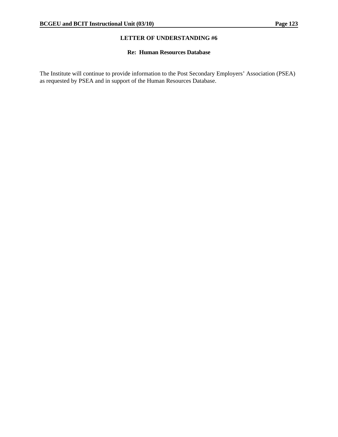# **Re: Human Resources Database**

The Institute will continue to provide information to the Post Secondary Employers' Association (PSEA) as requested by PSEA and in support of the Human Resources Database.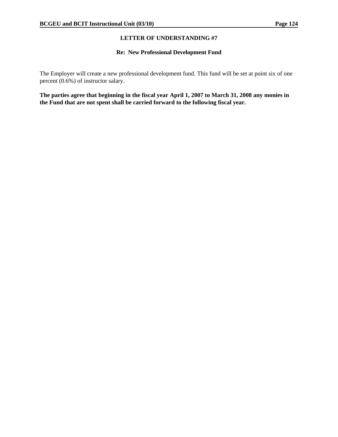# **Re: New Professional Development Fund**

The Employer will create a new professional development fund. This fund will be set at point six of one percent (0.6%) of instructor salary.

**The parties agree that beginning in the fiscal year April 1, 2007 to March 31, 2008 any monies in the Fund that are not spent shall be carried forward to the following fiscal year.**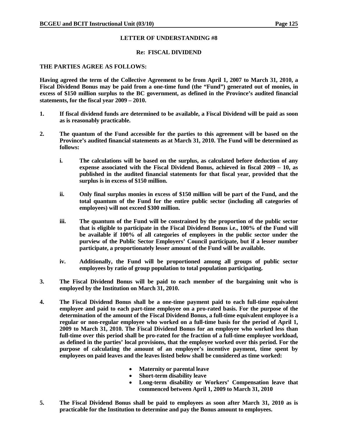### **Re: FISCAL DIVIDEND**

### **THE PARTIES AGREE AS FOLLOWS:**

**Having agreed the term of the Collective Agreement to be from April 1, 2007 to March 31, 2010, a Fiscal Dividend Bonus may be paid from a one-time fund (the "Fund") generated out of monies, in excess of \$150 million surplus to the BC government, as defined in the Province's audited financial statements, for the fiscal year 2009 – 2010.** 

- **1. If fiscal dividend funds are determined to be available, a Fiscal Dividend will be paid as soon as is reasonably practicable.**
- **2. The quantum of the Fund accessible for the parties to this agreement will be based on the Province's audited financial statements as at March 31, 2010. The Fund will be determined as follows:** 
	- **i. The calculations will be based on the surplus, as calculated before deduction of any expense associated with the Fiscal Dividend Bonus, achieved in fiscal 2009 – 10, as published in the audited financial statements for that fiscal year, provided that the surplus is in excess of \$150 million.**
	- **ii. Only final surplus monies in excess of \$150 million will be part of the Fund, and the total quantum of the Fund for the entire public sector (including all categories of employees) will not exceed \$300 million.**
	- **iii. The quantum of the Fund will be constrained by the proportion of the public sector that is eligible to participate in the Fiscal Dividend Bonus i.e., 100% of the Fund will be available if 100% of all categories of employees in the public sector under the purview of the Public Sector Employers' Council participate, but if a lesser number participate, a proportionately lesser amount of the Fund will be available.**
	- **iv. Additionally, the Fund will be proportioned among all groups of public sector employees by ratio of group population to total population participating.**
- **3. The Fiscal Dividend Bonus will be paid to each member of the bargaining unit who is employed by the Institution on March 31, 2010.**
- **4. The Fiscal Dividend Bonus shall be a one-time payment paid to each full-time equivalent employee and paid to each part-time employee on a pro-rated basis. For the purpose of the determination of the amount of the Fiscal Dividend Bonus, a full-time equivalent employee is a regular or non-regular employee who worked on a full-time basis for the period of April 1, 2009 to March 31, 2010. The Fiscal Dividend Bonus for an employee who worked less than full-time over this period shall be pro-rated for the fraction of a full-time employee workload, as defined in the parties' local provisions, that the employee worked over this period. For the purpose of calculating the amount of an employee's incentive payment, time spent by employees on paid leaves and the leaves listed below shall be considered as time worked:** 
	- **Maternity or parental leave**
	- **Short-term disability leave**
	- **Long-term disability or Workers' Compensation leave that commenced between April 1, 2009 to March 31, 2010**
- **5. The Fiscal Dividend Bonus shall be paid to employees as soon after March 31, 2010 as is practicable for the Institution to determine and pay the Bonus amount to employees.**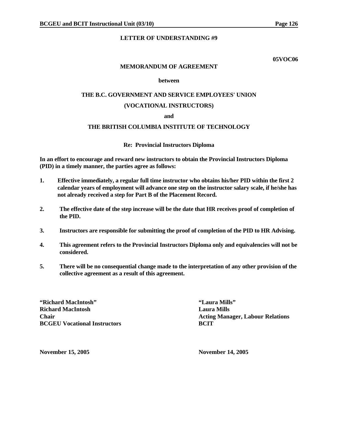**05VOC06** 

### **MEMORANDUM OF AGREEMENT**

### **between**

# **THE B.C. GOVERNMENT AND SERVICE EMPLOYEES' UNION**

### **(VOCATIONAL INSTRUCTORS)**

### **and**

# **THE BRITISH COLUMBIA INSTITUTE OF TECHNOLOGY**

### **Re: Provincial Instructors Diploma**

**In an effort to encourage and reward new instructors to obtain the Provincial Instructors Diploma (PID) in a timely manner, the parties agree as follows:** 

- **1. Effective immediately, a regular full time instructor who obtains his/her PID within the first 2 calendar years of employment will advance one step on the instructor salary scale, if he/she has not already received a step for Part B of the Placement Record.**
- **2. The effective date of the step increase will be the date that HR receives proof of completion of the PID.**
- **3. Instructors are responsible for submitting the proof of completion of the PID to HR Advising.**
- **4. This agreement refers to the Provincial Instructors Diploma only and equivalencies will not be considered.**
- **5. There will be no consequential change made to the interpretation of any other provision of the collective agreement as a result of this agreement.**

**"Richard MacIntosh" "Laura Mills" Richard MacIntosh Laura Mills BCGEU Vocational Instructors BCIT** 

**Chair Chair Chair Chair Chair Chair Acting Manager, Labour Relations Acting Manager**, Labour Relations

**November 15, 2005 November 14, 2005**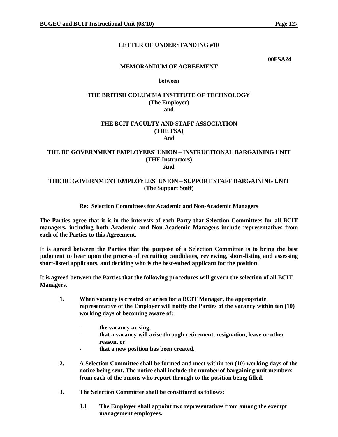**00FSA24** 

### **MEMORANDUM OF AGREEMENT**

### **between**

### **THE BRITISH COLUMBIA INSTITUTE OF TECHNOLOGY (The Employer) and**

### **THE BCIT FACULTY AND STAFF ASSOCIATION (THE FSA) And**

### **THE BC GOVERNMENT EMPLOYEES' UNION – INSTRUCTIONAL BARGAINING UNIT (THE Instructors) And**

# **THE BC GOVERNMENT EMPLOYEES' UNION – SUPPORT STAFF BARGAINING UNIT (The Support Staff)**

# **Re: Selection Committees for Academic and Non-Academic Managers**

**The Parties agree that it is in the interests of each Party that Selection Committees for all BCIT managers, including both Academic and Non-Academic Managers include representatives from each of the Parties to this Agreement.** 

**It is agreed between the Parties that the purpose of a Selection Committee is to bring the best judgment to bear upon the process of recruiting candidates, reviewing, short-listing and assessing short-listed applicants, and deciding who is the best-suited applicant for the position.** 

**It is agreed between the Parties that the following procedures will govern the selection of all BCIT Managers.** 

- **1. When vacancy is created or arises for a BCIT Manager, the appropriate representative of the Employer will notify the Parties of the vacancy within ten (10) working days of becoming aware of:** 
	- the vacancy arising,
	- **that a vacancy will arise through retirement, resignation, leave or other reason, or**
	- that a new position has been created.
- **2. A Selection Committee shall be formed and meet within ten (10) working days of the notice being sent. The notice shall include the number of bargaining unit members from each of the unions who report through to the position being filled.**
- **3. The Selection Committee shall be constituted as follows:** 
	- **3.1 The Employer shall appoint two representatives from among the exempt management employees.**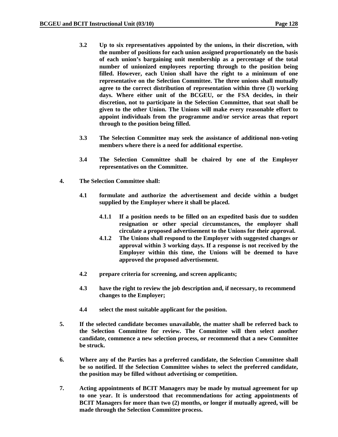- **3.2 Up to six representatives appointed by the unions, in their discretion, with the number of positions for each union assigned proportionately on the basis of each union's bargaining unit membership as a percentage of the total number of unionized employees reporting through to the position being filled. However, each Union shall have the right to a minimum of one representative on the Selection Committee. The three unions shall mutually agree to the correct distribution of representation within three (3) working days. Where either unit of the BCGEU, or the FSA decides, in their discretion, not to participate in the Selection Committee, that seat shall be given to the other Union. The Unions will make every reasonable effort to appoint individuals from the programme and/or service areas that report through to the position being filled.**
- **3.3 The Selection Committee may seek the assistance of additional non-voting members where there is a need for additional expertise.**
- **3.4 The Selection Committee shall be chaired by one of the Employer representatives on the Committee.**
- **4. The Selection Committee shall:** 
	- **4.1 formulate and authorize the advertisement and decide within a budget supplied by the Employer where it shall be placed.** 
		- **4.1.1 If a position needs to be filled on an expedited basis due to sudden resignation or other special circumstances, the employer shall circulate a proposed advertisement to the Unions for their approval.**
		- **4.1.2 The Unions shall respond to the Employer with suggested changes or approval within 3 working days. If a response is not received by the Employer within this time, the Unions will be deemed to have approved the proposed advertisement.**
	- **4.2 prepare criteria for screening, and screen applicants;**
	- **4.3 have the right to review the job description and, if necessary, to recommend changes to the Employer;**
	- **4.4 select the most suitable applicant for the position.**
- **5. If the selected candidate becomes unavailable, the matter shall be referred back to the Selection Committee for review. The Committee will then select another candidate, commence a new selection process, or recommend that a new Committee be struck.**
- **6. Where any of the Parties has a preferred candidate, the Selection Committee shall be so notified. If the Selection Committee wishes to select the preferred candidate, the position may be filled without advertising or competition.**
- **7. Acting appointments of BCIT Managers may be made by mutual agreement for up to one year. It is understood that recommendations for acting appointments of BCIT Managers for more than two (2) months, or longer if mutually agreed, will be made through the Selection Committee process.**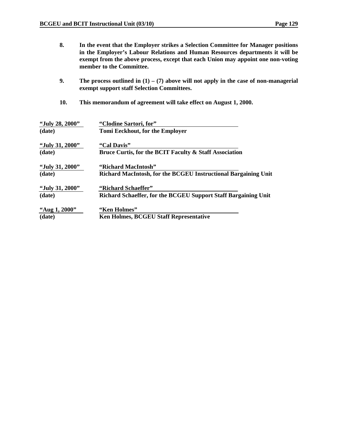- **8. In the event that the Employer strikes a Selection Committee for Manager positions in the Employer's Labour Relations and Human Resources departments it will be exempt from the above process, except that each Union may appoint one non-voting member to the Committee.**
- **9. The process outlined in (1) (7) above will not apply in the case of non-managerial exempt support staff Selection Committees.**
- **10. This memorandum of agreement will take effect on August 1, 2000.**

| "July 28, 2000" | "Clodine Sartori, for"                                         |
|-----------------|----------------------------------------------------------------|
| (date)          | Tomi Eeckhout, for the Employer                                |
| "July 31, 2000" | "Cal Davis"                                                    |
| (date)          | Bruce Curtis, for the BCIT Faculty & Staff Association         |
| "July 31, 2000" | "Richard MacIntosh"                                            |
| (date)          | Richard MacIntosh, for the BCGEU Instructional Bargaining Unit |
| "July 31, 2000" | "Richard Schaeffer"                                            |
| (date)          | Richard Schaeffer, for the BCGEU Support Staff Bargaining Unit |
| "Aug 1, 2000"   | "Ken Holmes"                                                   |
| (date)          | Ken Holmes, BCGEU Staff Representative                         |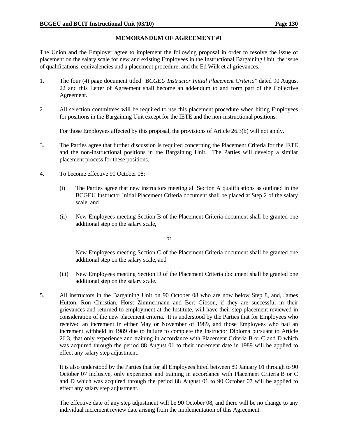# **MEMORANDUM OF AGREEMENT #1**

The Union and the Employer agree to implement the following proposal in order to resolve the issue of placement on the salary scale for new and existing Employees in the Instructional Bargaining Unit, the issue of qualifications, equivalencies and a placement procedure, and the Ed Wilk et al grievances.

- 1. The four (4) page document titled *"BCGEU Instructor Initial Placement Criteria"* dated 90 August 22 and this Letter of Agreement shall become an addendum to and form part of the Collective Agreement.
- 2. All selection committees will be required to use this placement procedure when hiring Employees for positions in the Bargaining Unit except for the IETE and the non-instructional positions.

For those Employees affected by this proposal, the provisions of Article 26.3(b) will not apply.

- 3. The Parties agree that further discussion is required concerning the Placement Criteria for the IETE and the non-instructional positions in the Bargaining Unit. The Parties will develop a similar placement process for these positions.
- 4. To become effective 90 October 08:
	- (i) The Parties agree that new instructors meeting all Section A qualifications as outlined in the BCGEU Instructor Initial Placement Criteria document shall be placed at Step 2 of the salary scale, and
	- (ii) New Employees meeting Section B of the Placement Criteria document shall be granted one additional step on the salary scale,

or

 New Employees meeting Section C of the Placement Criteria document shall be granted one additional step on the salary scale, and

- (iii) New Employees meeting Section D of the Placement Criteria document shall be granted one additional step on the salary scale.
- 5. All instructors in the Bargaining Unit on 90 October 08 who are now below Step 8, and, James Hutton, Ron Christian, Horst Zimmermann and Bert Gibson, if they are successful in their grievances and returned to employment at the Institute, will have their step placement reviewed in consideration of the new placement criteria. It is understood by the Parties that for Employees who received an increment in either May or November of 1989, and those Employees who had an increment withheld in 1989 due to failure to complete the Instructor Diploma pursuant to Article 26.3, that only experience and training in accordance with Placement Criteria B or C and D which was acquired through the period 88 August 01 to their increment date in 1989 will be applied to effect any salary step adjustment.

 It is also understood by the Parties that for all Employees hired between 89 January 01 through to 90 October 07 inclusive, only experience and training in accordance with Placement Criteria B or C and D which was acquired through the period 88 August 01 to 90 October 07 will be applied to effect any salary step adjustment.

 The effective date of any step adjustment will be 90 October 08, and there will be no change to any individual increment review date arising from the implementation of this Agreement.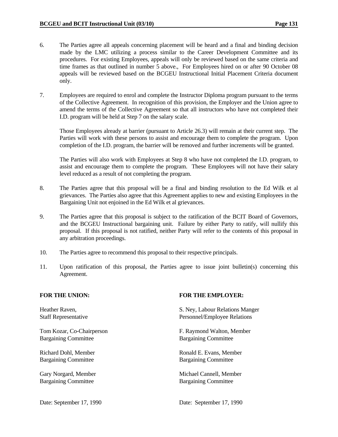- 6. The Parties agree all appeals concerning placement will be heard and a final and binding decision made by the LMC utilizing a process similar to the Career Development Committee and its procedures. For existing Employees, appeals will only be reviewed based on the same criteria and time frames as that outlined in number 5 above., For Employees hired on or after 90 October 08 appeals will be reviewed based on the BCGEU Instructional Initial Placement Criteria document only.
- 7. Employees are required to enrol and complete the Instructor Diploma program pursuant to the terms of the Collective Agreement. In recognition of this provision, the Employer and the Union agree to amend the terms of the Collective Agreement so that all instructors who have not completed their I.D. program will be held at Step 7 on the salary scale.

 Those Employees already at barrier (pursuant to Article 26.3) will remain at their current step. The Parties will work with these persons to assist and encourage them to complete the program. Upon completion of the I.D. program, the barrier will be removed and further increments will be granted.

 The Parties will also work with Employees at Step 8 who have not completed the I.D. program, to assist and encourage them to complete the program. These Employees will not have their salary level reduced as a result of not completing the program.

- 8. The Parties agree that this proposal will be a final and binding resolution to the Ed Wilk et al grievances. The Parties also agree that this Agreement applies to new and existing Employees in the Bargaining Unit not enjoined in the Ed Wilk et al grievances.
- 9. The Parties agree that this proposal is subject to the ratification of the BCIT Board of Governors, and the BCGEU Instructional bargaining unit. Failure by either Party to ratify, will nullify this proposal. If this proposal is not ratified, neither Party will refer to the contents of this proposal in any arbitration proceedings.
- 10. The Parties agree to recommend this proposal to their respective principals.
- 11. Upon ratification of this proposal, the Parties agree to issue joint bulletin(s) concerning this Agreement.

Bargaining Committee Bargaining Committee

Bargaining Committee Bargaining Committee

Bargaining Committee Bargaining Committee

### FOR THE UNION: **FOR THE EMPLOYER:**

Heather Raven, S. Ney, Labour Relations Manger Staff Representative **Personnel/Employee Relations** 

Tom Kozar, Co-Chairperson F. Raymond Walton, Member

Richard Dohl, Member Ronald E. Evans, Member

Gary Norgard, Member Michael Cannell, Member Michael Cannell, Member

Date: September 17, 1990 Date: September 17, 1990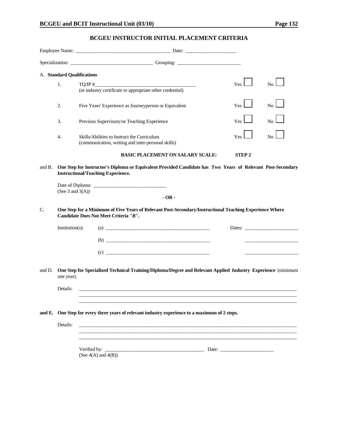# **BCGEU INSTRUCTOR INITIAL PLACEMENT CRITERIA**

|        |                            | Specialization: Contact Contact Contact Contact Contact Contact Contact Contact Contact Contact Contact Contact Contact Contact Contact Contact Contact Contact Contact Contact Contact Contact Contact Contact Contact Contac |              |                |
|--------|----------------------------|--------------------------------------------------------------------------------------------------------------------------------------------------------------------------------------------------------------------------------|--------------|----------------|
|        | A. Standard Qualifications |                                                                                                                                                                                                                                |              |                |
|        | 1.                         | $\text{TO/IP}~\text{#}$                                                                                                                                                                                                        | Yes          | No             |
|        |                            | (or industry certificate or appropriate other credential)                                                                                                                                                                      |              |                |
|        | 2.                         | Five Years' Experience as Journeyperson or Equivalent                                                                                                                                                                          | Yes          | No.            |
|        | 3.                         | Previous Supervisory/or Teaching Experience                                                                                                                                                                                    | Yes          | N <sub>0</sub> |
|        | 4.                         | Skills/Abilities to Instruct the Curriculum<br>(communication, writing and inter-personal skills)                                                                                                                              | Yes          | N <sub>0</sub> |
|        |                            | <b>BASIC PLACEMENT ON SALARY SCALE:</b>                                                                                                                                                                                        | <b>STEP2</b> |                |
| and B. | (See 3 and $3(A)$ )        | One Step for Instructor's Diploma or Equivalent Provided Candidate has Two Years of Relevant Post-Secondary<br><b>Instructional/Teaching Experience.</b><br>$-OR -$                                                            |              |                |
| C.     |                            | One Step for a Minimum of Five Years of Relevant Post-Secondary/Instructional Teaching Experience Where<br>Candidate Does Not Meet Criteria "B".                                                                               |              |                |
|        | Institution(s):            | $\left( \text{a)}\; \right)$                                                                                                                                                                                                   |              | Dates:         |
|        |                            | $\left( b\right)$                                                                                                                                                                                                              |              |                |
|        |                            | (c)                                                                                                                                                                                                                            |              |                |
| and D. | one year).                 | One Step for Specialized Technical Training/Diploma/Degree and Relevant Applied Industry Experience (minimum                                                                                                                   |              |                |
|        | Details:                   |                                                                                                                                                                                                                                |              |                |
|        |                            |                                                                                                                                                                                                                                |              |                |
| and E. |                            | One Step for every three years of relevant industry experience to a maximum of 2 steps.                                                                                                                                        |              |                |
|        | Details:                   |                                                                                                                                                                                                                                |              |                |
|        |                            | Verified by: Date: Date:                                                                                                                                                                                                       |              |                |
|        |                            | (See $4(A)$ and $4(B)$ )                                                                                                                                                                                                       |              |                |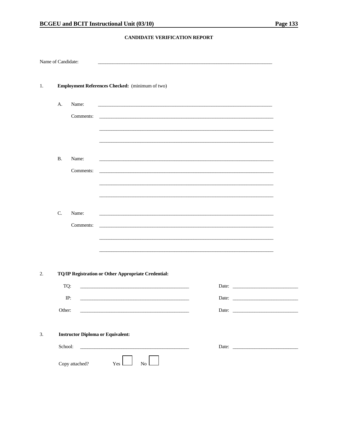### CANDIDATE VERIFICATION REPORT

|           | Name of Candidate:                       |                                                                                                                      |                                                                                                                     |  |
|-----------|------------------------------------------|----------------------------------------------------------------------------------------------------------------------|---------------------------------------------------------------------------------------------------------------------|--|
|           |                                          | Employment References Checked: (minimum of two)                                                                      |                                                                                                                     |  |
| A.        | Name:                                    |                                                                                                                      |                                                                                                                     |  |
|           | Comments:                                |                                                                                                                      | <u> 1989 - Jan Samuel Barbara, margaret e popularista e popularista e popularista e popularista e popularista e</u> |  |
|           |                                          |                                                                                                                      |                                                                                                                     |  |
|           |                                          |                                                                                                                      |                                                                                                                     |  |
| <b>B.</b> | Name:                                    | and the control of the control of the control of the control of the control of the control of the control of the     |                                                                                                                     |  |
|           | Comments:                                |                                                                                                                      | <u> 1989 - Johann Stoff, amerikansk politiker (* 1908)</u>                                                          |  |
|           |                                          |                                                                                                                      |                                                                                                                     |  |
|           |                                          |                                                                                                                      |                                                                                                                     |  |
| C.        | Name:                                    |                                                                                                                      |                                                                                                                     |  |
|           | Comments:                                |                                                                                                                      | <u> 1989 - Johann Stoff, amerikansk politiker (* 1908)</u>                                                          |  |
|           |                                          |                                                                                                                      |                                                                                                                     |  |
|           |                                          |                                                                                                                      |                                                                                                                     |  |
|           |                                          | TQ/IP Registration or Other Appropriate Credential:                                                                  |                                                                                                                     |  |
|           | TQ:                                      | <u> 1989 - Johann John Stein, mars et al. (b. 1989)</u>                                                              |                                                                                                                     |  |
|           | IP:                                      |                                                                                                                      | Date:                                                                                                               |  |
|           | Other:                                   | <u> 1989 - Johann Barbara, martxa alemaniar arg</u>                                                                  |                                                                                                                     |  |
|           |                                          |                                                                                                                      |                                                                                                                     |  |
|           | <b>Instructor Diploma or Equivalent:</b> |                                                                                                                      |                                                                                                                     |  |
|           | School:                                  | <u> 2000 - Jan James James Jan James James James James James James James James James James James James James Jam</u> |                                                                                                                     |  |
|           |                                          |                                                                                                                      |                                                                                                                     |  |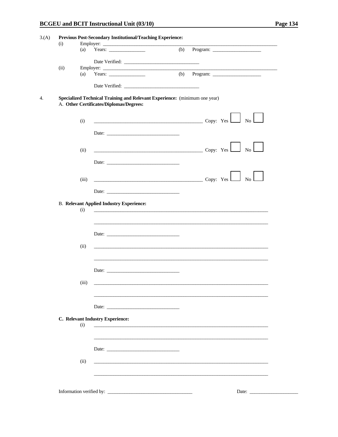| (b)<br>Date Verified:<br>Years: $\qquad \qquad$<br>(b)<br>Program:<br>(a)<br>Date Verified:<br>Specialized Technical Training and Relevant Experience: (minimum one year)<br>A. Other Certificates/Diplomas/Degrees:<br>$Copy: Yes \t\t No$<br>(i)<br>Date:<br>$\overline{\text{Copy: Yes}}$<br>No l<br>(ii)<br>Date:<br>Copy: $Yes$ No<br>(iii)<br><b>B. Relevant Applied Industry Experience:</b><br>(i)<br>Date:<br>(ii)<br>Date:<br>(iii)<br>Date:<br>C. Relevant Industry Experience:<br>(i)<br><u> 1989 - Johann Stein, marwolaethau a bhann an t-Amhain ann an t-Amhain an t-Amhain an t-Amhain an t-Amhain an </u><br>Date:<br>(ii) | (i)  |     |  |  |
|---------------------------------------------------------------------------------------------------------------------------------------------------------------------------------------------------------------------------------------------------------------------------------------------------------------------------------------------------------------------------------------------------------------------------------------------------------------------------------------------------------------------------------------------------------------------------------------------------------------------------------------------|------|-----|--|--|
|                                                                                                                                                                                                                                                                                                                                                                                                                                                                                                                                                                                                                                             |      | (a) |  |  |
|                                                                                                                                                                                                                                                                                                                                                                                                                                                                                                                                                                                                                                             |      |     |  |  |
|                                                                                                                                                                                                                                                                                                                                                                                                                                                                                                                                                                                                                                             | (ii) |     |  |  |
|                                                                                                                                                                                                                                                                                                                                                                                                                                                                                                                                                                                                                                             |      |     |  |  |
|                                                                                                                                                                                                                                                                                                                                                                                                                                                                                                                                                                                                                                             |      |     |  |  |
|                                                                                                                                                                                                                                                                                                                                                                                                                                                                                                                                                                                                                                             |      |     |  |  |
|                                                                                                                                                                                                                                                                                                                                                                                                                                                                                                                                                                                                                                             |      |     |  |  |
|                                                                                                                                                                                                                                                                                                                                                                                                                                                                                                                                                                                                                                             |      |     |  |  |
|                                                                                                                                                                                                                                                                                                                                                                                                                                                                                                                                                                                                                                             |      |     |  |  |
|                                                                                                                                                                                                                                                                                                                                                                                                                                                                                                                                                                                                                                             |      |     |  |  |
|                                                                                                                                                                                                                                                                                                                                                                                                                                                                                                                                                                                                                                             |      |     |  |  |
|                                                                                                                                                                                                                                                                                                                                                                                                                                                                                                                                                                                                                                             |      |     |  |  |
|                                                                                                                                                                                                                                                                                                                                                                                                                                                                                                                                                                                                                                             |      |     |  |  |
|                                                                                                                                                                                                                                                                                                                                                                                                                                                                                                                                                                                                                                             |      |     |  |  |
|                                                                                                                                                                                                                                                                                                                                                                                                                                                                                                                                                                                                                                             |      |     |  |  |
|                                                                                                                                                                                                                                                                                                                                                                                                                                                                                                                                                                                                                                             |      |     |  |  |
|                                                                                                                                                                                                                                                                                                                                                                                                                                                                                                                                                                                                                                             |      |     |  |  |
|                                                                                                                                                                                                                                                                                                                                                                                                                                                                                                                                                                                                                                             |      |     |  |  |
|                                                                                                                                                                                                                                                                                                                                                                                                                                                                                                                                                                                                                                             |      |     |  |  |
|                                                                                                                                                                                                                                                                                                                                                                                                                                                                                                                                                                                                                                             |      |     |  |  |
|                                                                                                                                                                                                                                                                                                                                                                                                                                                                                                                                                                                                                                             |      |     |  |  |
|                                                                                                                                                                                                                                                                                                                                                                                                                                                                                                                                                                                                                                             |      |     |  |  |
|                                                                                                                                                                                                                                                                                                                                                                                                                                                                                                                                                                                                                                             |      |     |  |  |
|                                                                                                                                                                                                                                                                                                                                                                                                                                                                                                                                                                                                                                             |      |     |  |  |
|                                                                                                                                                                                                                                                                                                                                                                                                                                                                                                                                                                                                                                             |      |     |  |  |
|                                                                                                                                                                                                                                                                                                                                                                                                                                                                                                                                                                                                                                             |      |     |  |  |
|                                                                                                                                                                                                                                                                                                                                                                                                                                                                                                                                                                                                                                             |      |     |  |  |
|                                                                                                                                                                                                                                                                                                                                                                                                                                                                                                                                                                                                                                             |      |     |  |  |
|                                                                                                                                                                                                                                                                                                                                                                                                                                                                                                                                                                                                                                             |      |     |  |  |
|                                                                                                                                                                                                                                                                                                                                                                                                                                                                                                                                                                                                                                             |      |     |  |  |
|                                                                                                                                                                                                                                                                                                                                                                                                                                                                                                                                                                                                                                             |      |     |  |  |
|                                                                                                                                                                                                                                                                                                                                                                                                                                                                                                                                                                                                                                             |      |     |  |  |
|                                                                                                                                                                                                                                                                                                                                                                                                                                                                                                                                                                                                                                             |      |     |  |  |
|                                                                                                                                                                                                                                                                                                                                                                                                                                                                                                                                                                                                                                             |      |     |  |  |
|                                                                                                                                                                                                                                                                                                                                                                                                                                                                                                                                                                                                                                             |      |     |  |  |
|                                                                                                                                                                                                                                                                                                                                                                                                                                                                                                                                                                                                                                             |      |     |  |  |
|                                                                                                                                                                                                                                                                                                                                                                                                                                                                                                                                                                                                                                             |      |     |  |  |
|                                                                                                                                                                                                                                                                                                                                                                                                                                                                                                                                                                                                                                             |      |     |  |  |
|                                                                                                                                                                                                                                                                                                                                                                                                                                                                                                                                                                                                                                             |      |     |  |  |
|                                                                                                                                                                                                                                                                                                                                                                                                                                                                                                                                                                                                                                             |      |     |  |  |
|                                                                                                                                                                                                                                                                                                                                                                                                                                                                                                                                                                                                                                             |      |     |  |  |
|                                                                                                                                                                                                                                                                                                                                                                                                                                                                                                                                                                                                                                             |      |     |  |  |
|                                                                                                                                                                                                                                                                                                                                                                                                                                                                                                                                                                                                                                             |      |     |  |  |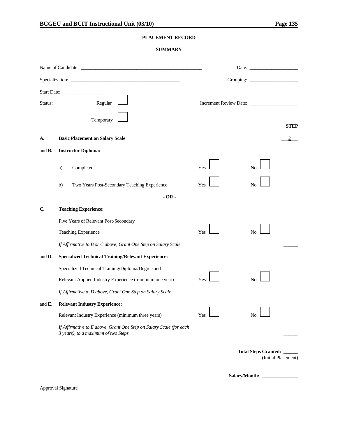# **PLACEMENT RECORD**

### **SUMMARY**

|                    |                                                                                                             |     | Date: $\qquad \qquad$                            |
|--------------------|-------------------------------------------------------------------------------------------------------------|-----|--------------------------------------------------|
|                    |                                                                                                             |     |                                                  |
| Status:            | Regular                                                                                                     |     |                                                  |
|                    | Temporary                                                                                                   |     | <b>STEP</b>                                      |
| А.                 | <b>Basic Placement on Salary Scale</b>                                                                      |     |                                                  |
| and $\mathbf{B}$ . | <b>Instructor Diploma:</b>                                                                                  |     |                                                  |
|                    | Completed<br>a)                                                                                             | Yes | No                                               |
|                    | Two Years Post-Secondary Teaching Experience<br>b)                                                          | Yes | N <sub>0</sub>                                   |
| $-OR -$            |                                                                                                             |     |                                                  |
| C.                 | <b>Teaching Experience:</b>                                                                                 |     |                                                  |
|                    | Five Years of Relevant Post-Secondary                                                                       |     |                                                  |
|                    | Teaching Experience                                                                                         | Yes | N <sub>0</sub>                                   |
|                    | If Affirmative to B or C above, Grant One Step on Salary Scale                                              |     |                                                  |
| and D.             | <b>Specialized Technical Training/Relevant Experience:</b>                                                  |     |                                                  |
|                    | Specialized Technical Training/Diploma/Degree and                                                           |     |                                                  |
|                    | Relevant Applied Industry Experience (minimum one year)                                                     | Yes | N <sub>0</sub>                                   |
|                    | If Affirmative to D above, Grant One Step on Salary Scale                                                   |     |                                                  |
| and $\mathbf{E}$ . | <b>Relevant Industry Experience:</b>                                                                        |     |                                                  |
|                    | Relevant Industry Experience (minimum three years)                                                          | Yes | No                                               |
|                    | If Affirmative to E above, Grant One Step on Salary Scale (for each<br>3 years), to a maximum of two Steps. |     |                                                  |
|                    |                                                                                                             |     | Total Steps Granted: ____<br>(Initial Placement) |

Salary/Month:

Approval Signature

\_\_\_\_\_\_\_\_\_\_\_\_\_\_\_\_\_\_\_\_\_\_\_\_\_\_\_\_\_\_\_\_\_\_\_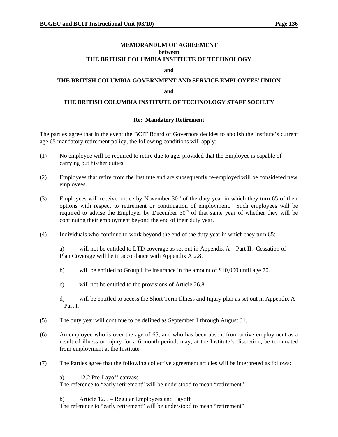#### **MEMORANDUM OF AGREEMENT between THE BRITISH COLUMBIA INSTITUTE OF TECHNOLOGY**

#### **and**

# **THE BRITISH COLUMBIA GOVERNMENT AND SERVICE EMPLOYEES' UNION and**

#### **THE BRITISH COLUMBIA INSTITUTE OF TECHNOLOGY STAFF SOCIETY**

### **Re: Mandatory Retirement**

The parties agree that in the event the BCIT Board of Governors decides to abolish the Institute's current age 65 mandatory retirement policy, the following conditions will apply:

- (1) No employee will be required to retire due to age, provided that the Employee is capable of carrying out his/her duties.
- (2) Employees that retire from the Institute and are subsequently re-employed will be considered new employees.
- (3) Employees will receive notice by November  $30<sup>th</sup>$  of the duty year in which they turn 65 of their options with respect to retirement or continuation of employment. Such employees will be required to advise the Employer by December  $30<sup>th</sup>$  of that same year of whether they will be continuing their employment beyond the end of their duty year.
- (4) Individuals who continue to work beyond the end of the duty year in which they turn 65:

a) will not be entitled to LTD coverage as set out in Appendix A – Part II. Cessation of Plan Coverage will be in accordance with Appendix A 2.8.

- b) will be entitled to Group Life insurance in the amount of \$10,000 until age 70.
- c) will not be entitled to the provisions of Article 26.8.

d) will be entitled to access the Short Term Illness and Injury plan as set out in Appendix A – Part I.

- (5) The duty year will continue to be defined as September 1 through August 31.
- (6) An employee who is over the age of 65, and who has been absent from active employment as a result of illness or injury for a 6 month period, may, at the Institute's discretion, be terminated from employment at the Institute
- (7) The Parties agree that the following collective agreement articles will be interpreted as follows:

a) 12.2 Pre-Layoff canvass

The reference to "early retirement" will be understood to mean "retirement"

b) Article 12.5 – Regular Employees and Layoff

The reference to "early retirement" will be understood to mean "retirement"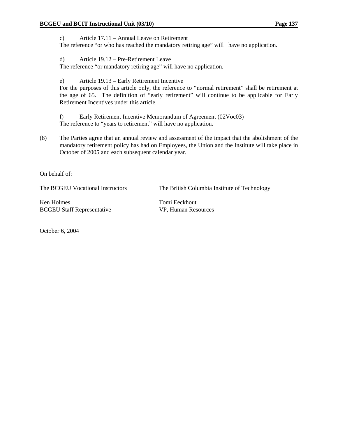c) Article 17.11 – Annual Leave on Retirement The reference "or who has reached the mandatory retiring age" will have no application.

d) Article 19.12 – Pre-Retirement Leave

The reference "or mandatory retiring age" will have no application.

e) Article 19.13 – Early Retirement Incentive

For the purposes of this article only, the reference to "normal retirement" shall be retirement at the age of 65. The definition of "early retirement" will continue to be applicable for Early Retirement Incentives under this article.

f) Early Retirement Incentive Memorandum of Agreement (02Voc03) The reference to "years to retirement" will have no application.

(8) The Parties agree that an annual review and assessment of the impact that the abolishment of the mandatory retirement policy has had on Employees, the Union and the Institute will take place in October of 2005 and each subsequent calendar year.

On behalf of:

The BCGEU Vocational Instructors The British Columbia Institute of Technology

Ken Holmes Tomi Eeckhout BCGEU Staff Representative VP, Human Resources

October 6, 2004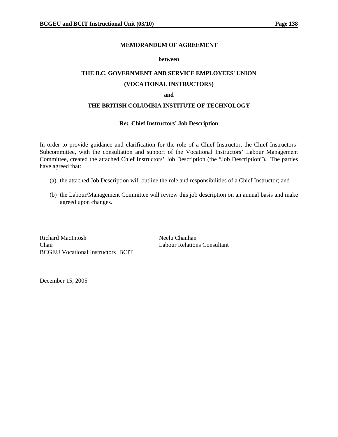#### **MEMORANDUM OF AGREEMENT**

#### **between**

# **THE B.C. GOVERNMENT AND SERVICE EMPLOYEES' UNION (VOCATIONAL INSTRUCTORS)**

#### **and**

#### **THE BRITISH COLUMBIA INSTITUTE OF TECHNOLOGY**

#### **Re: Chief Instructors' Job Description**

In order to provide guidance and clarification for the role of a Chief Instructor, the Chief Instructors' Subcommittee, with the consultation and support of the Vocational Instructors' Labour Management Committee, created the attached Chief Instructors' Job Description (the "Job Description"). The parties have agreed that:

- (a) the attached Job Description will outline the role and responsibilities of a Chief Instructor; and
- (b) the Labour/Management Committee will review this job description on an annual basis and make agreed upon changes.

Richard MacIntosh Neelu Chauhan Chair Labour Relations Consultant BCGEU Vocational Instructors BCIT

December 15, 2005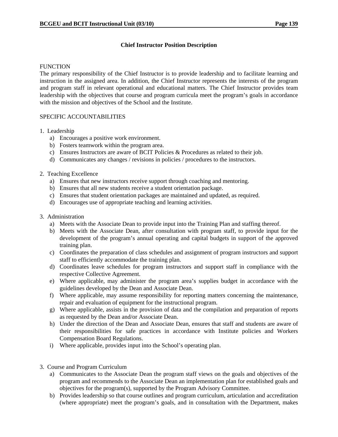## **Chief Instructor Position Description**

#### **FUNCTION**

The primary responsibility of the Chief Instructor is to provide leadership and to facilitate learning and instruction in the assigned area. In addition, the Chief Instructor represents the interests of the program and program staff in relevant operational and educational matters. The Chief Instructor provides team leadership with the objectives that course and program curricula meet the program's goals in accordance with the mission and objectives of the School and the Institute.

## SPECIFIC ACCOUNTABILITIES

### 1. Leadership

- a) Encourages a positive work environment.
- b) Fosters teamwork within the program area.
- c) Ensures Instructors are aware of BCIT Policies  $&$  Procedures as related to their job.
- d) Communicates any changes / revisions in policies / procedures to the instructors.

### 2. Teaching Excellence

- a) Ensures that new instructors receive support through coaching and mentoring.
- b) Ensures that all new students receive a student orientation package.
- c) Ensures that student orientation packages are maintained and updated, as required.
- d) Encourages use of appropriate teaching and learning activities.

### 3. Administration

- a) Meets with the Associate Dean to provide input into the Training Plan and staffing thereof.
- b) Meets with the Associate Dean, after consultation with program staff, to provide input for the development of the program's annual operating and capital budgets in support of the approved training plan.
- c) Coordinates the preparation of class schedules and assignment of program instructors and support staff to efficiently accommodate the training plan.
- d) Coordinates leave schedules for program instructors and support staff in compliance with the respective Collective Agreement.
- e) Where applicable, may administer the program area's supplies budget in accordance with the guidelines developed by the Dean and Associate Dean.
- f) Where applicable, may assume responsibility for reporting matters concerning the maintenance, repair and evaluation of equipment for the instructional program.
- g) Where applicable, assists in the provision of data and the compilation and preparation of reports as requested by the Dean and/or Associate Dean.
- h) Under the direction of the Dean and Associate Dean, ensures that staff and students are aware of their responsibilities for safe practices in accordance with Institute policies and Workers Compensation Board Regulations.
- i) Where applicable, provides input into the School's operating plan.
- 3. Course and Program Curriculum
	- a) Communicates to the Associate Dean the program staff views on the goals and objectives of the program and recommends to the Associate Dean an implementation plan for established goals and objectives for the program(s), supported by the Program Advisory Committee.
	- b) Provides leadership so that course outlines and program curriculum, articulation and accreditation (where appropriate) meet the program's goals, and in consultation with the Department, makes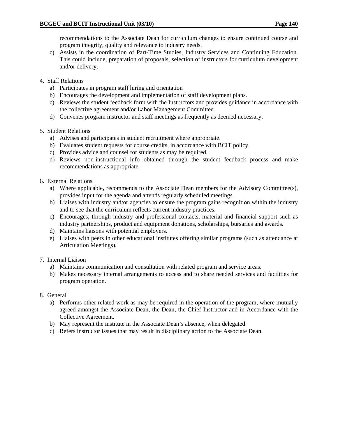recommendations to the Associate Dean for curriculum changes to ensure continued course and program integrity, quality and relevance to industry needs.

- c) Assists in the coordination of Part-Time Studies, Industry Services and Continuing Education. This could include, preparation of proposals, selection of instructors for curriculum development and/or delivery.
- 4. Staff Relations
	- a) Participates in program staff hiring and orientation
	- b) Encourages the development and implementation of staff development plans.
	- c) Reviews the student feedback form with the Instructors and provides guidance in accordance with the collective agreement and/or Labor Management Committee.
	- d) Convenes program instructor and staff meetings as frequently as deemed necessary.
- 5. Student Relations
	- a) Advises and participates in student recruitment where appropriate.
	- b) Evaluates student requests for course credits, in accordance with BCIT policy.
	- c) Provides advice and counsel for students as may be required.
	- d) Reviews non-instructional info obtained through the student feedback process and make recommendations as appropriate.
- 6. External Relations
	- a) Where applicable, recommends to the Associate Dean members for the Advisory Committee(s), provides input for the agenda and attends regularly scheduled meetings.
	- b) Liaises with industry and/or agencies to ensure the program gains recognition within the industry and to see that the curriculum reflects current industry practices.
	- c) Encourages, through industry and professional contacts, material and financial support such as industry partnerships, product and equipment donations, scholarships, bursaries and awards.
	- d) Maintains liaisons with potential employers.
	- e) Liaises with peers in other educational institutes offering similar programs (such as attendance at Articulation Meetings).
- 7. Internal Liaison
	- a) Maintains communication and consultation with related program and service areas.
	- b) Makes necessary internal arrangements to access and to share needed services and facilities for program operation.
- 8. General
	- a) Performs other related work as may be required in the operation of the program, where mutually agreed amongst the Associate Dean, the Dean, the Chief Instructor and in Accordance with the Collective Agreement.
	- b) May represent the institute in the Associate Dean's absence, when delegated.
	- c) Refers instructor issues that may result in disciplinary action to the Associate Dean.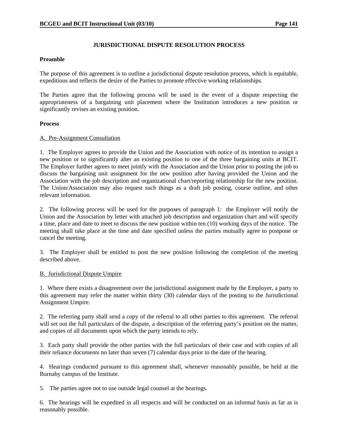### **JURISDICTIONAL DISPUTE RESOLUTION PROCESS**

### **Preamble**

The purpose of this agreement is to outline a jurisdictional dispute resolution process, which is equitable, expeditious and reflects the desire of the Parties to promote effective working relationships.

The Parties agree that the following process will be used in the event of a dispute respecting the appropriateness of a bargaining unit placement where the Institution introduces a new position or significantly revises an existing position.

### **Process**

## A. Pre-Assignment Consultation

1. The Employer agrees to provide the Union and the Association with notice of its intention to assign a new position or to significantly alter an existing position to one of the three bargaining units at BCIT. The Employer further agrees to meet jointly with the Association and the Union prior to posting the job to discuss the bargaining unit assignment for the new position after having provided the Union and the Association with the job description and organizational chart/reporting relationship for the new position. The Union/Association may also request such things as a draft job posting, course outline, and other relevant information.

2. The following process will be used for the purposes of paragraph 1: the Employer will notify the Union and the Association by letter with attached job description and organization chart and will specify a time, place and date to meet to discuss the new position within ten (10) working days of the notice. The meeting shall take place at the time and date specified unless the parties mutually agree to postpone or cancel the meeting.

3. The Employer shall be entitled to post the new position following the completion of the meeting described above.

### B. Jurisdictional Dispute Umpire

1. Where there exists a disagreement over the jurisdictional assignment made by the Employer, a party to this agreement may refer the matter within thirty (30) calendar days of the posting to the Jurisdictional Assignment Umpire.

2. The referring party shall send a copy of the referral to all other parties to this agreement. The referral will set out the full particulars of the dispute, a description of the referring party's position on the matter, and copies of all documents upon which the party intends to rely.

3. Each party shall provide the other parties with the full particulars of their case and with copies of all their reliance documents no later than seven (7) calendar days prior to the date of the hearing.

4. Hearings conducted pursuant to this agreement shall, whenever reasonably possible, be held at the Burnaby campus of the Institute.

5. The parties agree not to use outside legal counsel at the hearings.

6. The hearings will be expedited in all respects and will be conducted on an informal basis as far as is reasonably possible.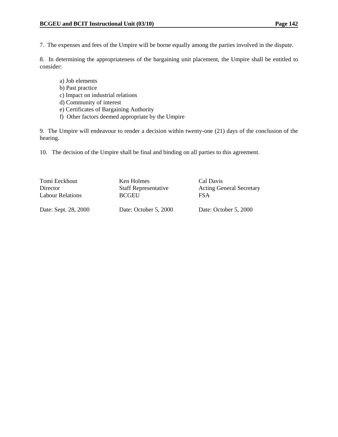7. The expenses and fees of the Umpire will be borne equally among the parties involved in the dispute.

8. In determining the appropriateness of the bargaining unit placement, the Umpire shall be entitled to consider:

- a) Job elements
- b) Past practice
- c) Impact on industrial relations
- d) Community of interest
- e) Certificates of Bargaining Authority
- f) Other factors deemed appropriate by the Umpire

9. The Umpire will endeavour to render a decision within twenty-one (21) days of the conclusion of the hearing.

10. The decision of the Umpire shall be final and binding on all parties to this agreement.

| Tomi Eeckhout        | Ken Holmes                  | Cal Davis                       |
|----------------------|-----------------------------|---------------------------------|
| Director             | <b>Staff Representative</b> | <b>Acting General Secretary</b> |
| Labour Relations     | <b>BCGEU</b>                | <b>FSA</b>                      |
| Date: Sept. 28, 2000 | Date: October 5, 2000       | Date: October 5, 2000           |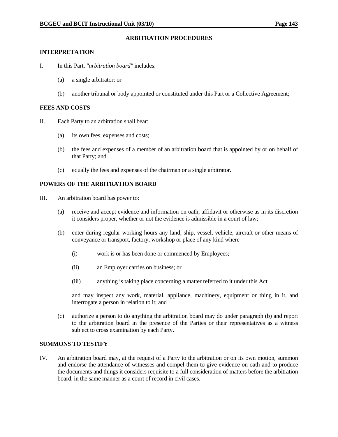### **ARBITRATION PROCEDURES**

#### **INTERPRETATION**

- I. In this Part, *"arbitration board"* includes:
	- (a) a single arbitrator; or
	- (b) another tribunal or body appointed or constituted under this Part or a Collective Agreement;

#### **FEES AND COSTS**

- II. Each Party to an arbitration shall bear:
	- (a) its own fees, expenses and costs;
	- (b) the fees and expenses of a member of an arbitration board that is appointed by or on behalf of that Party; and
	- (c) equally the fees and expenses of the chairman or a single arbitrator.

### **POWERS OF THE ARBITRATION BOARD**

- III. An arbitration board has power to:
	- (a) receive and accept evidence and information on oath, affidavit or otherwise as in its discretion it considers proper, whether or not the evidence is admissible in a court of law;
	- (b) enter during regular working hours any land, ship, vessel, vehicle, aircraft or other means of conveyance or transport, factory, workshop or place of any kind where
		- (i) work is or has been done or commenced by Employees;
		- (ii) an Employer carries on business; or
		- (iii) anything is taking place concerning a matter referred to it under this Act

 and may inspect any work, material, appliance, machinery, equipment or thing in it, and interrogate a person in relation to it; and

 (c) authorize a person to do anything the arbitration board may do under paragraph (b) and report to the arbitration board in the presence of the Parties or their representatives as a witness subject to cross examination by each Party.

### **SUMMONS TO TESTIFY**

IV. An arbitration board may, at the request of a Party to the arbitration or on its own motion, summon and endorse the attendance of witnesses and compel them to give evidence on oath and to produce the documents and things it considers requisite to a full consideration of matters before the arbitration board, in the same manner as a court of record in civil cases.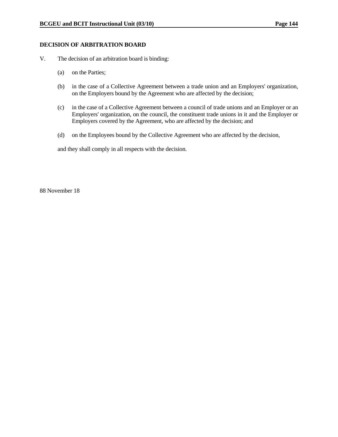#### **DECISION OF ARBITRATION BOARD**

- V. The decision of an arbitration board is binding:
	- (a) on the Parties;
	- (b) in the case of a Collective Agreement between a trade union and an Employers' organization, on the Employers bound by the Agreement who are affected by the decision;
	- (c) in the case of a Collective Agreement between a council of trade unions and an Employer or an Employers' organization, on the council, the constituent trade unions in it and the Employer or Employers covered by the Agreement, who are affected by the decision; and
	- (d) on the Employees bound by the Collective Agreement who are affected by the decision,

and they shall comply in all respects with the decision.

88 November 18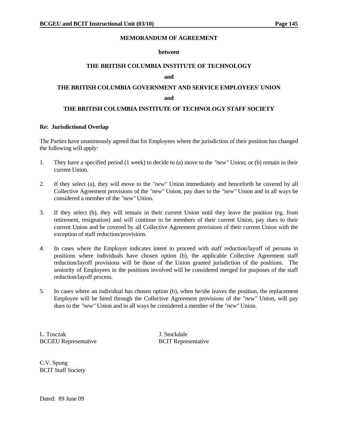#### **MEMORANDUM OF AGREEMENT**

#### **between**

#### **THE BRITISH COLUMBIA INSTITUTE OF TECHNOLOGY**

#### **and**

# **THE BRITISH COLUMBIA GOVERNMENT AND SERVICE EMPLOYEES' UNION**

#### **and**

### **THE BRITISH COLUMBIA INSTITUTE OF TECHNOLOGY STAFF SOCIETY**

#### **Re: Jurisdictional Overlap**

The Parties have unanimously agreed that for Employees where the jurisdiction of their position has changed the following will apply:

- 1. They have a specified period (1 week) to decide to (a) move to the *"new"* Union; or (b) remain in their current Union.
- 2. If they select (a), they will move to the *"new"* Union immediately and henceforth be covered by all Collective Agreement provisions of the *"new"* Union, pay dues to the *"new"* Union and in all ways be considered a member of the *"new"* Union.
- 3. If they select (b), they will remain in their current Union until they leave the position (eg. from retirement, resignation) and will continue to be members of their current Union, pay dues to their current Union and be covered by all Collective Agreement provisions of their current Union with the exception of staff reduction/provisions.
- 4. In cases where the Employer indicates intent to proceed with staff reduction/layoff of persons in positions where individuals have chosen option (b), the applicable Collective Agreement staff reduction/layoff provisions will be those of the Union granted jurisdiction of the positions. The seniority of Employees in the positions involved will be considered merged for purposes of the staff reduction/layoff process.
- 5. In cases where an individual has chosen option (b), when he/she leaves the position, the replacement Employee will be hired through the Collective Agreement provisions of the *"new"* Union, will pay dues to the *"new"* Union and in all ways be considered a member of the *"new"* Union.

L. Tosczak J. Stockdale BCGEU Representative BCIT Representative

C.V. Spong BCIT Staff Society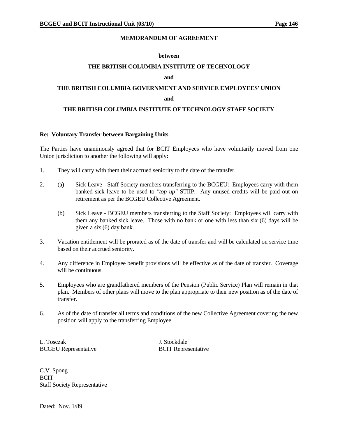## **MEMORANDUM OF AGREEMENT**

#### **between**

### **THE BRITISH COLUMBIA INSTITUTE OF TECHNOLOGY**

#### **and**

# **THE BRITISH COLUMBIA GOVERNMENT AND SERVICE EMPLOYEES' UNION**

#### **and and**

## **THE BRITISH COLUMBIA INSTITUTE OF TECHNOLOGY STAFF SOCIETY**

#### **Re: Voluntary Transfer between Bargaining Units**

The Parties have unanimously agreed that for BCIT Employees who have voluntarily moved from one Union jurisdiction to another the following will apply:

- 1. They will carry with them their accrued seniority to the date of the transfer.
- 2. (a) Sick Leave Staff Society members transferring to the BCGEU: Employees carry with them banked sick leave to be used to *"top up"* STIIP. Any unused credits will be paid out on retirement as per the BCGEU Collective Agreement.
	- (b) Sick Leave BCGEU members transferring to the Staff Society: Employees will carry with them any banked sick leave. Those with no bank or one with less than six (6) days will be given a six (6) day bank.
- 3. Vacation entitlement will be prorated as of the date of transfer and will be calculated on service time based on their accrued seniority.
- 4. Any difference in Employee benefit provisions will be effective as of the date of transfer. Coverage will be continuous.
- 5. Employees who are grandfathered members of the Pension (Public Service) Plan will remain in that plan. Members of other plans will move to the plan appropriate to their new position as of the date of transfer.
- 6. As of the date of transfer all terms and conditions of the new Collective Agreement covering the new position will apply to the transferring Employee.

L. Tosczak J. Stockdale BCGEU Representative BCIT Representative

C.V. Spong **BCIT** Staff Society Representative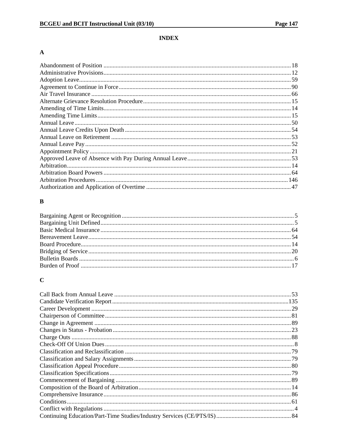## **INDEX**

## $\boldsymbol{\rm{A}}$

## $\, {\bf B}$

# $\mathbf C$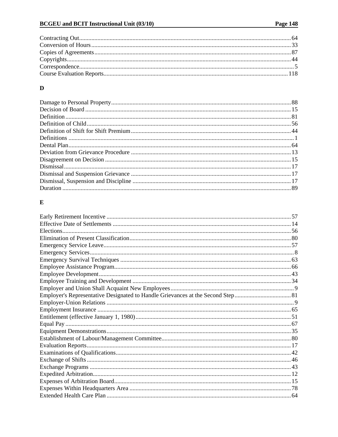## $\mathbf D$

# $\mathbf E$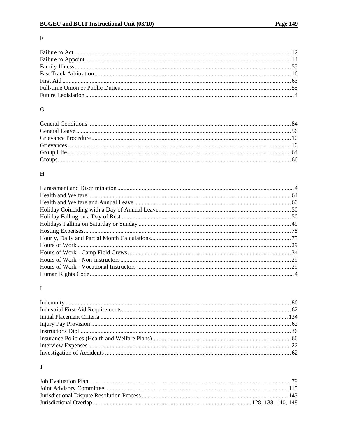## $\mathbf F$

## $\bf G$

## $\mathbf H$

## $\mathbf I$

# $\mathbf{J}$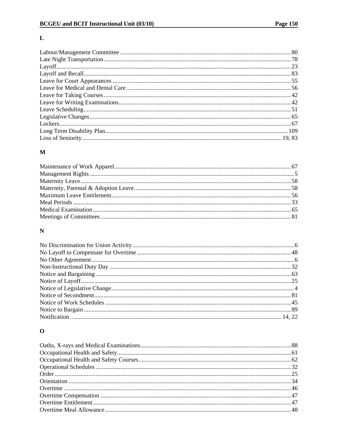## $\mathbf L$

## $\mathbf M$

## ${\bf N}$

# $\mathbf 0$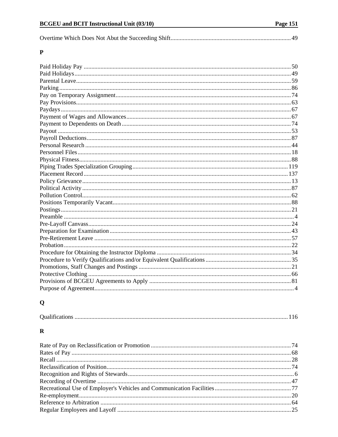|--|--|

## $\mathbf P$

# $\mathbf Q$

|--|

# $\mathbf R$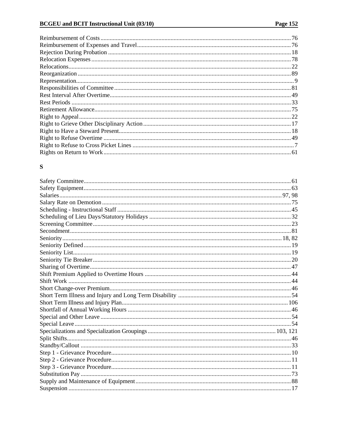## ${\bf S}$